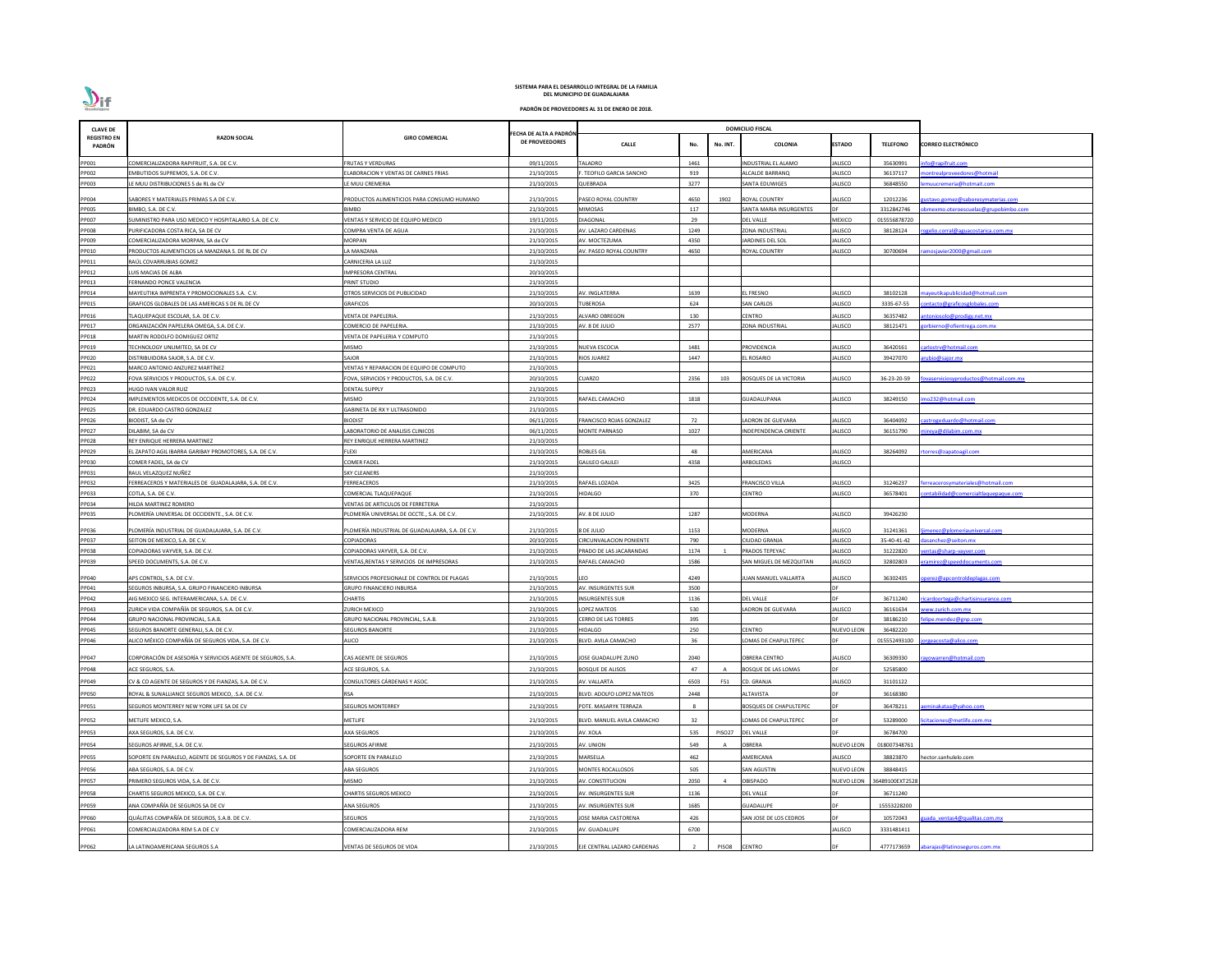| <b>CLAVE DE</b>              |                                                                         |                                                                 |                                                | <b>DOMICILIO FISCAL</b>        |            |          |                               |                   |                 |                                          |
|------------------------------|-------------------------------------------------------------------------|-----------------------------------------------------------------|------------------------------------------------|--------------------------------|------------|----------|-------------------------------|-------------------|-----------------|------------------------------------------|
| <b>REGISTRO EN</b><br>PADRÓN | <b>RAZON SOCIAL</b>                                                     | <b>GIRO COMERCIAL</b>                                           | ECHA DE ALTA A PADRÓN<br><b>DE PROVEEDORES</b> | <b>CALLE</b>                   | No.        | No. INT. | <b>COLONIA</b>                | <b>ESTADO</b>     | <b>TELEFONO</b> | <b>CORREO ELECTRÓNICO</b>                |
| PP001                        | COMERCIALIZADORA RAPIFRUIT, S.A. DE C.V.                                | FRUTAS Y VERDURAS                                               | 09/11/2015                                     | TALADRO                        | 1461       |          | INDUSTRIAL EL ALAMO           | JALISCO           | 35630991        | fo@rapifruit.com                         |
| PP002                        | EMBUTIDOS SUPREMOS, S.A. DE C.V.                                        | <b>ELABORACION Y VENTAS DE CARNES FRIAS</b>                     | 21/10/2015                                     | . TEOFILO GARCIA SANCHO        | 919        |          | ALCALDE BARRANQ               | JALISCO           | 36137117        | ontrealproveedores@hotmail               |
| PP003                        | LE MUU DISTRIBUCIONES S de RL de CV                                     | LE MUU CREMERIA                                                 | 21/10/2015                                     | QUEBRADA                       | 3277       |          | SANTA EDUWIGES                | <b>JALISCO</b>    | 36848550        | nuucremeria@hotmait.com                  |
| PP004                        | SABORES Y MATERIALES PRIMAS S.A DE C.V.                                 | PRODUCTOS ALIMENTICIOS PARA CONSUMO HUMANO                      | 21/10/2015                                     | PASEO ROYAL COUNTRY            | 4650       | 1902     | <b>ROYAL COUNTRY</b>          | JALISCO           | 12012236        | <u>ustavo.gomez@saboresymaterias.com</u> |
| PP005                        | BIMBO, S.A. DE C.V.                                                     | <b>BIMBO</b>                                                    | 21/10/2015                                     | <b>MIMOSAS</b>                 | 117        |          | SANTA MARIA INSURGENTES       | <b>DF</b>         | 3312842746      | omexmo.oteroescuelas@grupobimbo.com      |
| PP007                        | SUMINISTRO PARA USO MEDICO Y HOSPITALARIO S.A. DE C.V.                  | VENTAS Y SERVICIO DE EQUIPO MEDICO                              | 19/11/2015                                     | <b>DIAGONAL</b>                | 29         |          | DEL VALLE                     | <b>MEXICO</b>     | 015556878720    |                                          |
| <b>PP008</b>                 | PURIFICADORA COSTA RICA, SA DE CV                                       | COMPRA VENTA DE AGUA                                            | 21/10/2015                                     | AV. LAZARO CARDENAS            | 1249       |          | <b>ZONA INDUSTRIAL</b>        | JALISCO           | 38128124        | <u>gelio.corral@aguacostarica.com.mx</u> |
| PP009                        | COMERCIALIZADORA MORPAN, SA de CV                                       | MORPAN                                                          | 21/10/2015                                     | AV. MOCTEZUMA                  | 4350       |          | <b>JARDINES DEL SOL</b>       | JALISCO           |                 |                                          |
| PP010                        | PRODUCTOS ALIMENTICIOS LA MANZANA S. DE RL DE CV                        | A MANZANA                                                       | 21/10/2015                                     | AV. PASEO ROYAL COUNTRY        | 4650       |          | ROYAL COUNTRY                 | JALISCO           | 30700694        | mosjavier2000@gmail.com                  |
| PP011                        | RAÚL COVARRUBIAS GOMEZ                                                  | CARNICERIA LA LUZ                                               | 21/10/2015                                     |                                |            |          |                               |                   |                 |                                          |
| PP012                        | UIS MACIAS DE ALBA                                                      | IMPRESORA CENTRAL                                               | 20/10/2015                                     |                                |            |          |                               |                   |                 |                                          |
| PP013<br>PP014               | FERNANDO PONCE VALENCIA<br>MAYEUTIKA IMPRENTA Y PROMOCIONALES S.A. C.V. | PRINT STUDIO<br><b>DTROS SERVICIOS DE PUBLICIDAD</b>            | 21/10/2015<br>21/10/2015                       | AV. INGLATERRA                 | 1639       |          | L FRESNO                      | <b>JALISCO</b>    | 38102128        | ayeutikapublicidad@hotmail.com           |
| PP015                        | GRAFICOS GLOBALES DE LAS AMERICAS S DE RL DE CV                         | <b>GRAFICOS</b>                                                 | 20/10/2015                                     | TUBEROSA                       | 624        |          | <b>SAN CARLOS</b>             | ALISCO            | 3335-67-55      | ontacto@graficosglobales.com             |
| PP016                        | TLAQUEPAQUE ESCOLAR, S.A. DE C.V.                                       | /ENTA DE PAPELERIA.                                             | 21/10/2015                                     | ALVARO OBREGON                 | 130        |          | CENTRO                        | JALISCO           | 36357482        | itoniosolo@prodigy.net.mx                |
| PP017                        | ORGANIZACIÓN PAPELERA OMEGA, S.A. DE C.V.                               | COMERCIO DE PAPELERIA.                                          | 21/10/2015                                     | AV. 8 DE JULIO                 | 2577       |          | ONA INDUSTRIAL                | <b>JALISCO</b>    | 38121471        | vrbierno@ofientrega.com.mx               |
| PP018                        | MARTIN RODOLFO DOMIGUEZ ORTIZ                                           | VENTA DE PAPELERIA Y COMPUTO                                    | 21/10/2015                                     |                                |            |          |                               |                   |                 |                                          |
| PP019                        | TECHNOLOGY UNLIMITED, SA DE CV                                          | MISMO                                                           | 21/10/2015                                     | <b>NUEVA ESCOCIA</b>           | 1481       |          | PROVIDENCIA                   | JALISCO           | 36420161        | arlostrv@hotmail.com                     |
| PP020                        | DISTRIBUIDORA SAJOR, S.A. DE C.V.                                       | SAJOR                                                           | 21/10/2015                                     | <b>RIOS JUAREZ</b>             | 1447       |          | L ROSARIO                     | ALISCO            | 39427070        | ubio@sajor.mx                            |
| PP021                        | MARCO ANTONIO ANZUREZ MARTÍNEZ                                          | VENTAS Y REPARACION DE EQUIPO DE COMPUTO                        | 21/10/2015                                     |                                |            |          |                               |                   |                 |                                          |
| PP022                        | FOVA SERVICIOS Y PRODUCTOS, S.A. DE C.V.                                | FOVA, SERVICIOS Y PRODUCTOS, S.A. DE C.V.                       | 20/10/2015                                     | <b>CUARZO</b>                  | 2356       | 103      | <b>BOSQUES DE LA VICTORIA</b> | JALISCO           | 36-23-20-59     | vaserviciosyproductos@hotmail.com.mx     |
| PP023                        | <b>HUGO IVAN VALOR RUIZ</b>                                             | DENTAL SUPPLY                                                   | 21/10/2015                                     |                                |            |          |                               |                   |                 |                                          |
| PP024                        | IMPLEMENTOS MEDICOS DE OCCIDENTE, S.A. DE C.V.                          | MISMO                                                           | 21/10/2015                                     | RAFAEL CAMACHO                 | 1818       |          | <b>GUADALUPANA</b>            | <b>JALISCO</b>    | 38249150        | 10232@hotmail.com                        |
| PP025                        | DR. EDUARDO CASTRO GONZALEZ                                             | GABINETA DE RX Y ULTRASONIDO                                    | 21/10/2015                                     |                                |            |          |                               |                   |                 |                                          |
| PP026                        | BIODIST, SA de CV                                                       | <b>BIODIST</b>                                                  | 06/11/2015                                     | FRANCISCO ROJAS GONZALEZ       | 72<br>1027 |          | LADRON DE GUEVARA             | JALISCO           | 36404092        | astrogeduardo@hotmail.com                |
| PP027<br>PP028               | DILABIM, SA de CV<br>REY ENRIQUE HERRERA MARTINEZ                       | ABORATORIO DE ANALISIS CLINICOS<br>REY ENRIQUE HERRERA MARTINEZ | 06/11/2015<br>21/10/2015                       | <b>MONTE PARNASO</b>           |            |          | INDEPENDENCIA ORIENTE         | JALISCO           | 36151790        | ireya@dilabim.com.mx                     |
| PP029                        | EL ZAPATO AGIL IBARRA GARIBAY PROMOTORES, S.A. DE C.V.                  | FLEXI                                                           | 21/10/2015                                     | <b>ROBLES GIL</b>              | 48         |          | AMERICANA                     | JALISCO           | 38264092        | orres@zapatoagil.com                     |
| PP030                        | COMER FADEL, SA de CV                                                   | COMER FADEL                                                     | 21/10/2015                                     | <b>GALILEO GALILEI</b>         | 4358       |          | <b>ARBOLEDAS</b>              | JALISCO           |                 |                                          |
| PP031                        | RAUL VELAZQUEZ NUÑEZ                                                    | <b>SKY CLEANERS</b>                                             | 21/10/2015                                     |                                |            |          |                               |                   |                 |                                          |
| PP032                        | FERREACEROS Y MATERIALES DE GUADALAJARA, S.A. DE C.V.                   | <b>ERREACEROS</b>                                               | 21/10/2015                                     | RAFAEL LOZADA                  | 3425       |          | <b>RANCISCO VILLA</b>         | ALISCO            | 31246237        | <u>rreacerosymateriales@hotmail.com</u>  |
| PP033                        | COTLA, S.A. DE C.V.                                                     | COMERCIAL TLAQUEPAQUE                                           | 21/10/2015                                     | <b>HIDALGO</b>                 | 370        |          | ENTRO:                        | ALISCO            | 36578401        | ntabilidad@comercialtlaquepaque.com      |
| PP034                        | HILDA MARTINEZ ROMERO                                                   | VENTAS DE ARTICULOS DE FERRETERIA                               | 21/10/2015                                     |                                |            |          |                               |                   |                 |                                          |
| PP035                        | PLOMERÍA UNIVERSAL DE OCCIDENTE., S.A. DE C.V.                          | PLOMERÍA UNIVERSAL DE OCCTE., S.A. DE C.V.                      | 21/10/2015                                     | AV. 8 DE JULIO                 | 1287       |          | <b>MODERNA</b>                | ALISCO            | 39426230        |                                          |
| PP036                        | PLOMERÍA INDUSTRIAL DE GUADALAJARA, S.A. DE C.V.                        | PLOMERÍA INDUSTRIAL DE GUADALAJARA, S.A. DE C.V.                | 21/10/2015                                     | 8 DE JULIO                     | 1153       |          | MODERNA                       | <b>JALISCO</b>    | 31241361        | menez@plomeriauniversal.com              |
| PP037                        | SEITON DE MEXICO, S.A. DE C.V.                                          | COPIADORAS                                                      | 20/10/2015                                     | <b>CIRCUNVALACION PONIENTE</b> | 790        |          | CIUDAD GRANJA                 | <b>JALISCO</b>    | 35-40-41-42     | sanchez@seiton.mx                        |
| PP038                        | COPIADORAS VAYVER, S.A. DE C.V.                                         | COPIADORAS VAYVER, S.A. DE C.V.                                 | 21/10/2015                                     | PRADO DE LAS JACARANDAS        | 1174       |          | PRADOS TEPEYAC                | <b>JALISCO</b>    | 31222820        | ntas@sharp-vayver.com                    |
| PP039                        | SPEED DOCUMENTS, S.A. DE C.V.                                           | ENTAS, RENTAS Y SERVICIOS DE IMPRESORAS                         | 21/10/2015                                     | RAFAEL CAMACHO                 | 1586       |          | SAN MIGUEL DE MEZQUITAN       | <b>JALISCO</b>    | 32802803        | amirez@speeddocuments.com                |
| PP040                        | APS CONTROL, S.A. DE C.V.                                               | SERVICIOS PROFESIONALE DE CONTROL DE PLAGAS                     | 21/10/2015                                     | LEO                            | 4249       |          | <b>JUAN MANUEL VALLARTA</b>   | <b>JALISCO</b>    | 36302435        | perez@apcontroldeplagas.com              |
| PP041                        | SEGUROS INBURSA, S.A. GRUPO FINANCIERO INBURSA                          | GRUPO FINANCIERO INBURSA                                        | 21/10/2015                                     | <b>AV. INSURGENTES SUR</b>     | 3500       |          |                               | <b>DE</b>         |                 |                                          |
| PP042                        | AIG MEXICO SEG. INTERAMERICANA, S.A. DE C.V.                            | CHARTIS                                                         | 21/10/2015                                     | <b>INSURGENTES SUR</b>         | 1136       |          | <b>DEL VALLE</b>              | <b>DE</b>         | 36711240        | cardoortega@chartisinsurance.com         |
| PP043                        | ZURICH VIDA COMPAÑÍA DE SEGUROS, S.A. DE C.V.                           | URICH MEXICO                                                    | 21/10/2015                                     | LOPEZ MATEOS                   | 530        |          | ADRON DE GUEVARA              | ALISCO            | 36161634        | ww.zurich.com.mx                         |
| PP044                        | GRUPO NACIONAL PROVINCIAL, S.A.B.                                       | GRUPO NACIONAL PROVINCIAL, S.A.B.                               | 21/10/2015                                     | <b>CERRO DE LAS TORRES</b>     | 395        |          |                               | <b>DE</b>         | 38186210        | lipe.mendez@gnp.com                      |
| PP045                        | SEGUROS BANORTE GENERALI, S.A. DE C.V.                                  | <b>SEGUROS BANORTE</b>                                          | 21/10/2015                                     | <b>HIDALGO</b>                 | 250        |          | CENTRO                        | <b>NUEVO LEON</b> | 36482220        |                                          |
| PP046                        | ALICO MÉXICO COMPAÑÍA DE SEGUROS VIDA, S.A. DE C.V.                     | ALICO                                                           | 21/10/2015                                     | BLVD. AVILA CAMACHO            | 36         |          | LOMAS DE CHAPULTEPEC          |                   | 015552493100    | rgeacosta@alico.com                      |
| PP047                        | CORPORACIÓN DE ASESORÍA Y SERVICIOS AGENTE DE SEGUROS, S.A.             | CAS AGENTE DE SEGUROS                                           | 21/10/2015                                     | JOSE GUADALUPE ZUNO            | 2040       |          | OBRERA CENTRO                 | <b>JALISCO</b>    | 36309330        | wowarren@hotmail.com                     |
| PP048                        | ACE SEGUROS, S.A.                                                       | ACE SEGUROS, S.A.                                               | 21/10/2015                                     | <b>BOSQUE DE ALISOS</b>        | 47         |          | BOSQUE DE LAS LOMAS           | <b>DF</b>         | 52585800        |                                          |
| PP049                        | CV & CO AGENTE DE SEGUROS Y DE FIANZAS, S.A. DE C.V.                    | CONSULTORES CÁRDENAS Y ASOC.                                    | 21/10/2015                                     | AV. VALLARTA                   | 6503       | F51      | CD. GRANJA                    | <b>JALISCO</b>    | 31101122        |                                          |
| PP050                        | ROYAL & SUNALLIANCE SEGUROS MEXICO, .S.A. DE C.V.                       | RSA                                                             | 21/10/2015                                     | BLVD. ADOLFO LOPEZ MATEOS      | 2448       |          | ALTAVISTA                     |                   | 36168380        |                                          |
|                              |                                                                         |                                                                 |                                                |                                | - 8        |          |                               |                   |                 |                                          |
| PP051                        | SEGUROS MONTERREY NEW YORK LIFE SA DE CV                                | SEGUROS MONTERREY                                               | 21/10/2015                                     | PDTE. MASARYK TERRAZA          |            |          | <b>BOSQUES DE CHAPULTEPEC</b> |                   | 36478211        | minakataa@yahoo.com                      |
| PP052                        | METLIFE MEXICO, S.A.                                                    | METLIFE                                                         | 21/10/2015                                     | BLVD. MANUEL AVILA CAMACHO     | 32         |          | LOMAS DE CHAPULTEPEC          | DF                | 53289000        | citaciones@metlife.com.mx                |
| PP053                        | AXA SEGUROS, S.A. DE C.V.                                               | AXA SEGUROS                                                     | 21/10/2015                                     | AV. XOLA                       | 535        | PISO27   | <b>DEL VALLE</b>              |                   | 36784700        |                                          |
| PP054                        | SEGUROS AFIRME, S.A. DE C.V.                                            | SEGUROS AFIRME                                                  | 21/10/2015                                     | AV. UNION                      | 549        |          | <b>DBRERA</b>                 | <b>NUEVO LEON</b> | 018007348761    |                                          |
| PP055                        | SOPORTE EN PARALELO, AGENTE DE SEGUROS Y DE FIANZAS, S.A. DE            | SOPORTE EN PARALELO                                             | 21/10/2015                                     | MARSELLA                       | 462        |          | <b>MERICANA</b>               | <b>JALISCO</b>    | 38823870        | hector.sanhulelo.com                     |
| PP056                        | ABA SEGUROS, S.A. DE C.V.                                               | ABA SEGUROS                                                     | 21/10/2015                                     | MONTES ROCALLOSOS              | 505        |          | SAN AGUSTIN                   | <b>NUEVO LEON</b> | 38848415        |                                          |
| PP057                        | PRIMERO SEGUROS VIDA, S.A. DE C.V.                                      | MISMO                                                           | 21/10/2015                                     | AV. CONSTITUCION               | 2050       |          | OBISPADO                      | NUEVO LEON        | 36489100EXT2528 |                                          |
| PP058                        | CHARTIS SEGUROS MEXICO, S.A. DE C.V.                                    | CHARTIS SEGUROS MEXICO                                          | 21/10/2015                                     | AV. INSURGENTES SUR            | 1136       |          | <b>DEL VALLE</b>              | DF                | 36711240        |                                          |
| PP059                        | ANA COMPAÑÍA DE SEGUROS SA DE CV                                        | ANA SEGUROS                                                     | 21/10/2015                                     | AV. INSURGENTES SUR            | 1685       |          | GUADALUPE                     | DE                | 15553228200     |                                          |
| PP060                        | QUÁLITAS COMPAÑÍA DE SEGUROS, S.A.B. DE C.V.                            | SEGUROS                                                         | 21/10/2015                                     | JOSE MARIA CASTORENA           | 426        |          | SAN JOSE DE LOS CEDROS        | <b>DF</b>         | 10572043        | uada ventas4@qualitas.com.mx             |
| PP061                        | COMERCIALIZADORA REM S.A DE C.V                                         | COMERCIALIZADORA REM                                            | 21/10/2015                                     | AV. GUADALUPE                  | 6700       |          |                               | <b>JALISCO</b>    | 3331481411      |                                          |
|                              |                                                                         |                                                                 |                                                |                                |            |          |                               |                   |                 |                                          |
| PP062                        | LA LATINOAMERICANA SEGUROS S.A                                          | VENTAS DE SEGUROS DE VIDA                                       | 21/10/2015                                     | EJE CENTRAL LAZARO CARDENAS    |            | PISO8    | <b>CENTRO</b>                 | DF                | 4777173659      | abarajas@latinoseguros.com.mx            |

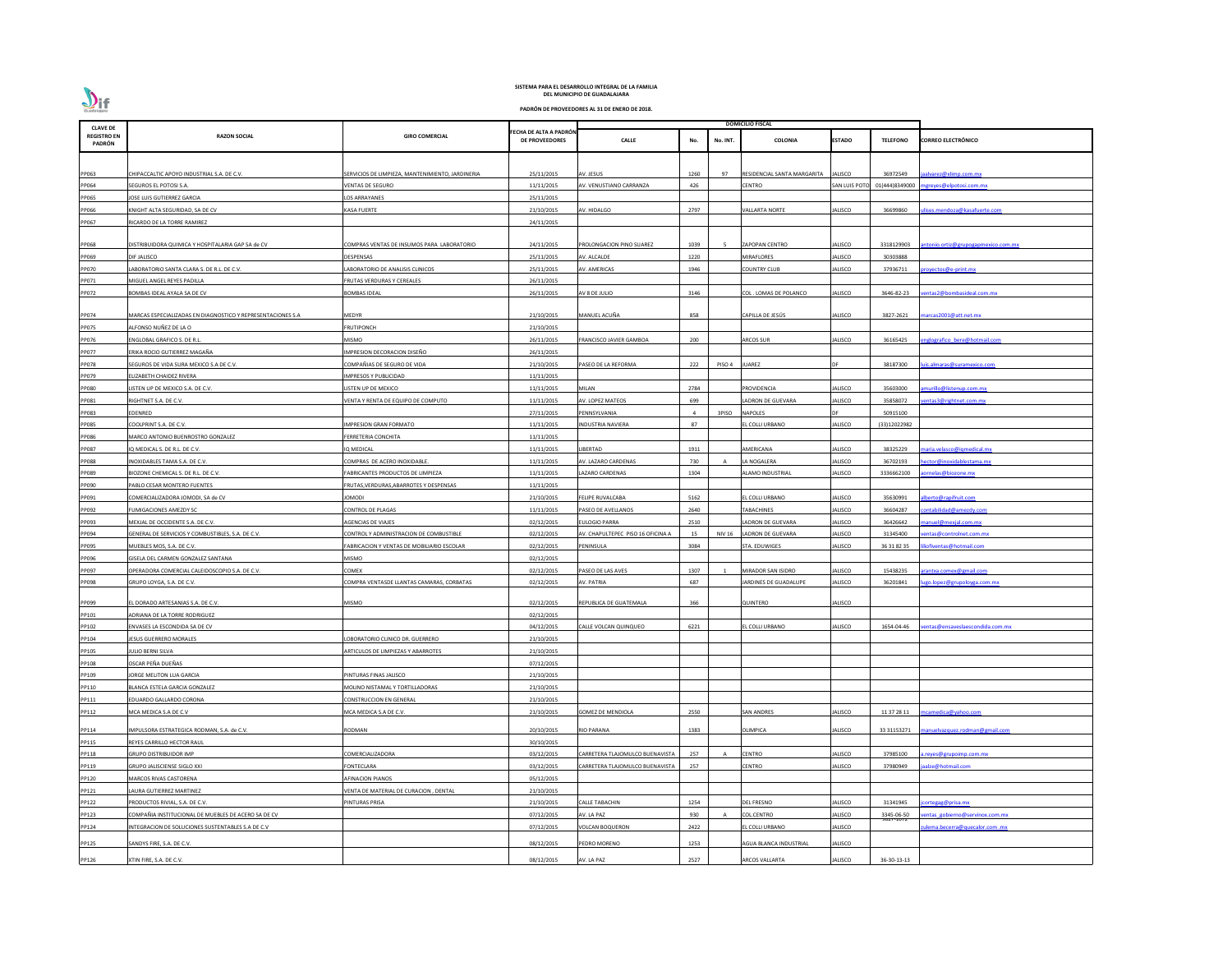

| <b>CLAVE DE</b>              |                                                             |                                                  |                                          |                                   |      |                | <b>DOMICILIO FISCAL</b>     |                     |                  |                                     |
|------------------------------|-------------------------------------------------------------|--------------------------------------------------|------------------------------------------|-----------------------------------|------|----------------|-----------------------------|---------------------|------------------|-------------------------------------|
| <b>REGISTRO EN</b><br>PADRÓN | <b>RAZON SOCIAL</b>                                         | <b>GIRO COMERCIAL</b>                            | FECHA DE ALTA A PADRÓN<br>DE PROVEEDORES | CALLE                             | No.  | No. INT.       | COLONIA                     | <b>ESTADO</b>       | <b>TELEFONO</b>  | <b>CORREO ELECTRÓNICO</b>           |
|                              |                                                             |                                                  |                                          |                                   |      |                |                             |                     |                  |                                     |
| PP063                        | CHIPACCALTIC APOYO INDUSTRIAL S.A. DE C.V.                  | SERVICIOS DE LIMPIEZA, MANTENIMIENTO, JARDINERIA | 25/11/2015                               | AV. JESUS                         | 1260 | 97             | RESIDENCIAL SANTA MARGARITA | ALISCO              | 36972549         | jaalvarez@xlimp.com.mx              |
| PP064                        | SEGUROS EL POTOSI S.A.                                      | VENTAS DE SEGURO                                 | 11/11/2015                               | AV. VENUSTIANO CARRANZA           | 426  |                | CENTRO                      | <b>SAN LUIS POT</b> | 01(444)8349000   | mgreyes@elpotosi.com.mx             |
| PP065                        | JOSE LUIS GUTIERREZ GARCIA                                  | <b>LOS ARRAYANES</b>                             | 25/11/2015                               |                                   |      |                |                             |                     |                  |                                     |
| PP066                        | KNIGHT ALTA SEGURIDAD, SA DE CV                             | <b>KASA FUERTE</b>                               | 21/10/2015                               | AV. HIDALGO                       | 2797 |                | <b>VALLARTA NORTE</b>       | JALISCO             | 36699860         | lises.mendoza@kasafuerte.com        |
| PP067                        | RICARDO DE LA TORRE RAMIREZ                                 |                                                  | 24/11/2015                               |                                   |      |                |                             |                     |                  |                                     |
|                              |                                                             |                                                  |                                          |                                   |      |                |                             |                     |                  |                                     |
| PP068                        | DISTRIBUIDORA QUIMICA Y HOSPITALARIA GAP SA de CV           | COMPRAS VENTAS DE INSUMOS PARA LABORATORIO       | 24/11/2015                               | PROLONGACION PINO SUAREZ          | 1039 |                | <b>ZAPOPAN CENTRO</b>       | JALISCO             | 3318129903       | antonio.ortiz@grupogapmexico.com.mx |
| PP069                        | DIF JALISCO                                                 | DESPENSAS                                        | 25/11/2015                               | AV. ALCALDE                       | 1220 |                | MIRAFLORES                  | JALISCO             | 30303888         |                                     |
| PP070                        | ABORATORIO SANTA CLARA S. DE R.L. DE C.V.                   | LABORATORIO DE ANALISIS CLINICOS                 | 25/11/2015                               | <b>NV. AMERICAS</b>               | 1946 |                | <b>COUNTRY CLUB</b>         | JALISCO             | 37936711         | royectos@e-print.mx                 |
| PP071                        | MIGUEL ANGEL REYES PADILLA                                  | FRUTAS VERDURAS Y CEREALES                       | 26/11/2015                               |                                   |      |                |                             |                     |                  |                                     |
| PP072                        | BOMBAS IDEAL AYALA SA DE CV                                 | <b>BOMBAS IDEAL</b>                              | 26/11/2015                               | AV 8 DE JULIO                     | 3146 |                | COL . LOMAS DE POLANCO      | ALISCO              | 3646-82-23       | entas2@bombasideal.com.mx           |
|                              |                                                             |                                                  |                                          |                                   |      |                |                             |                     |                  |                                     |
| PP074                        | MARCAS ESPECIALIZADAS EN DIAGNOSTICO Y REPRESENTACIONES S.A | MEDYR                                            | 21/10/2015                               | MANUEL ACUÑA                      | 858  |                | CAPILLA DE JESÚS            | JALISCO             | 3827-2621        | marcas2001@att.net.mx               |
| PP075                        | ALFONSO NUÑEZ DE LA O                                       | <b>FRUTIPONCH</b>                                | 21/10/2015                               |                                   |      |                |                             |                     |                  |                                     |
| PP076                        | ENGLOBAL GRAFICO S. DE R.L.                                 | MISMO                                            | 26/11/2015                               | <b>RANCISCO JAVIER GAMBOA</b>     | 200  |                | ARCOS SUR                   | JALISCO             | 36165425         | nglografico bere@hotmail.com        |
| PP077                        | ERIKA ROCIO GUTIERREZ MAGAÑA                                | IMPRESION DECORACION DISEÑO                      | 26/11/2015                               |                                   |      |                |                             |                     |                  |                                     |
| PP078                        | SEGUROS DE VIDA SURA MEXICO S.A DE C.V.                     | COMPAÑIAS DE SEGURO DE VIDA                      | 21/10/2015                               | PASEO DE LA REFORMA               | 222  | PISO 4         | <b>JUAREZ</b>               |                     | 38187300         | <u>uis.almaras@suramexico.com</u>   |
| PP079                        | ELIZABETH CHAIDEZ RIVERA                                    | <b>IMPRESOS Y PUBLICIDAD</b>                     | 11/11/2015                               |                                   |      |                |                             |                     |                  |                                     |
| PP080                        | LISTEN UP DE MEXICO S.A. DE C.V.                            | LISTEN UP DE MEXICO                              | 11/11/2015                               | VIILAN                            | 2784 |                | PROVIDENCIA                 | ALISCO              | 35603000         | murillo@listenup.com.mx             |
| PP081                        | RIGHTNET S.A. DE C.V.                                       | VENTA Y RENTA DE EQUIPO DE COMPUTO               | 11/11/2015                               | AV. LOPEZ MATEOS                  | 699  |                | ADRON DE GUEVARA            | ALISCO              | 35858072         | entas3@rightnet.com.mx              |
| PP083                        | EDENRED                                                     |                                                  | 27/11/2015                               | PENNSYLVANIA                      |      | 3PISO          | <b>NAPOLES</b>              |                     | 50915100         |                                     |
| PP085                        | COOLPRINT S.A. DE C.V.                                      | <b>IMPRESION GRAN FORMATO</b>                    | 11/11/2015                               | INDUSTRIA NAVIERA                 | 87   |                | EL COLLI URBANO             | JALISCO             | (33)12022982     |                                     |
| PP086                        | MARCO ANTONIO BUENROSTRO GONZALEZ                           | FERRETERIA CONCHITA                              | 11/11/2015                               |                                   |      |                |                             |                     |                  |                                     |
| PP087                        | IQ MEDICAL S. DE R.L. DE C.V.                               | IQ MEDICAL                                       | 11/11/2015                               | .IBERTAD                          | 1911 |                | AMERICANA                   | JALISCO             | 38325229         | maria.velasco@iqmedical.mx          |
| PP088                        | INOXIDABLES TAMA S.A. DE C.V.                               | COMPRAS DE ACERO INOXIDABLE.                     | 11/11/2015                               | AV. LAZARO CARDENAS               | 730  |                | LA NOGALERA                 | ALISCO              | 36702193         | hector@inoxidablestama.mx           |
| PP089                        | BIOZONE CHEMICAL S. DE R.L. DE C.V.                         | FABRICANTES PRODUCTOS DE LIMPIEZA                | 11/11/2015                               | <b>AZARO CARDENAS</b>             | 1304 |                | <b>ALAMO INDUSTRIAL</b>     | JALISCO             | 3336662100       | aornelas@biozone.mx                 |
| PP090                        | PABLO CESAR MONTERO FUENTES                                 | FRUTAS, VERDURAS, ABARROTES Y DESPENSAS          | 11/11/2015                               |                                   |      |                |                             |                     |                  |                                     |
| PP091                        | COMERCIALIZADORA JOMODI, SA de CV                           | <b>JOMODI</b>                                    | 21/10/2015                               | <b>FELIPE RUVALCABA</b>           | 5162 |                | EL COLLI URBANO             | <b>JALISCO</b>      | 35630991         | alberto@rapifruit.com               |
| PP092                        | FUMIGACIONES AMEZDY SC                                      | <b>CONTROL DE PLAGAS</b>                         | 11/11/2015                               | PASEO DE AVELLANOS                | 2640 |                | <b>TABACHINES</b>           | JALISCO             | 36604287         | contabilidad@amezdy.com             |
| PP093                        | MEXJAL DE OCCIDENTE S.A. DE C.V.                            | AGENCIAS DE VIAJES                               | 02/12/2015                               | <b>ULOGIO PARRA</b>               | 2510 |                | LADRON DE GUEVARA           | ALISCO              | 36426642         | nanuel@mexjal.com.mx                |
| PP094                        | GENERAL DE SERVICIOS Y COMBUSTIBLES, S.A. DE C.V.           | CONTROL Y ADMINISTRACION DE COMBUSTIBLE          | 02/12/2015                               | AV. CHAPULTEPEC PISO 16 OFICINA A | 15   | <b>NIV 16</b>  | LADRON DE GUEVARA           | <b>JALISCO</b>      | 31345400         | entas@controlnet.com.mx             |
| PP095                        | MUEBLES MOS, S.A. DE C.V.                                   | FABRICACION Y VENTAS DE MOBILIARIO ESCOLAR       | 02/12/2015                               | <b>PENINSULA</b>                  | 3084 |                | STA. EDUWIGES               | <b>JALISCO</b>      | 36 31 82 35      | liofiventas@hotmail.com             |
| PP096                        | GISELA DEL CARMEN GONZALEZ SANTANA                          | MISMO                                            | 02/12/2015                               |                                   |      |                |                             |                     |                  |                                     |
| PP097                        | OPERADORA COMERCIAL CALEIDOSCOPIO S.A. DE C.V.              | <b>COMEX</b>                                     | 02/12/2015                               | ASEO DE LAS AVES                  | 1307 |                | MIRADOR SAN ISIDRO          | ALISCO              | 15438235         | arantxa.comex@gmail.com             |
| PP098                        | GRUPO LOYGA, S.A. DE C.V.                                   | COMPRA VENTASDE LLANTAS CAMARAS, CORBATAS        | 02/12/2015                               | AV. PATRIA                        | 687  |                | JARDINES DE GUADALUPE       | JALISCO             | 36201841         | ugo.lopez@grupoloyga.com.mx         |
|                              |                                                             |                                                  |                                          |                                   |      |                |                             |                     |                  |                                     |
| PP099                        | EL DORADO ARTESANIAS S.A. DE C.V.                           | MISMO                                            | 02/12/2015                               | REPUBLICA DE GUATEMALA            | 366  |                | QUINTERO                    | JALISCO             |                  |                                     |
| PP101                        | ADRIANA DE LA TORRE RODRIGUEZ                               |                                                  | 02/12/2015                               |                                   |      |                |                             |                     |                  |                                     |
| PP102                        | ENVASES LA ESCONDIDA SA DE CV                               |                                                  | 04/12/2015                               | ALLE VOLCAN QUINQUEO              | 6221 |                | L COLLI URBANO              | ALISCO              | 1654-04-46       | entas@ensaveslaescondida.com.mx     |
| PP104                        | JESUS GUERRERO MORALES                                      | LOBORATORIO CLINICO DR. GUERRERO                 | 21/10/2015                               |                                   |      |                |                             |                     |                  |                                     |
| PP105                        | JULIO BERNI SILVA                                           | ARTICULOS DE LIMPIEZAS Y ABARROTES               | 21/10/2015                               |                                   |      |                |                             |                     |                  |                                     |
| PP108                        | OSCAR PEÑA DUEÑAS                                           |                                                  | 07/12/2015                               |                                   |      |                |                             |                     |                  |                                     |
| PP109                        | JORGE MELITON LUA GARCIA                                    | PINTURAS FINAS JALISCO                           | 21/10/2015                               |                                   |      |                |                             |                     |                  |                                     |
| PP110                        | BLANCA ESTELA GARCIA GONZALEZ                               | MOLINO NISTAMAL Y TORTILLADORAS                  | 21/10/2015                               |                                   |      |                |                             |                     |                  |                                     |
| PP111                        | EDUARDO GALLARDO CORONA                                     | <b>CONSTRUCCION EN GENERAL</b>                   | 21/10/2015                               |                                   |      |                |                             |                     |                  |                                     |
| PP112                        | MCA MEDICA S.A DE C.V                                       | MCA MEDICA S.A DE C.V.                           | 21/10/2015                               | <b>GOMEZ DE MENDIOLA</b>          | 2550 |                | <b>SAN ANDRES</b>           | ALISCO              | 11 37 28 11      | ncamedica@yahoo.com                 |
| PP114                        | IMPULSORA ESTRATEGICA RODMAN, S.A. de C.V.                  | <b>RODMAN</b>                                    | 20/10/2015                               | RIO PARANA                        | 1383 |                | <b>OLIMPICA</b>             | JALISCO             | 33 31153271      | manuelvazquez.rodman@gmail.com      |
| PP115                        | REYES CARRILLO HECTOR RAUL                                  |                                                  | 30/10/2015                               |                                   |      |                |                             |                     |                  |                                     |
| PP118                        | <b>GRUPO DISTRIBUIDOR IMP</b>                               | COMERCIALIZADORA                                 | 03/12/2015                               | CARRETERA TLAJOMULCO BUENAVISTA   | 257  | $\overline{A}$ | <b>CENTRO</b>               | <b>JALISCO</b>      | 37985100         | .reyes@grupoimp.com.mx              |
| PP119                        | <b>GRUPO JALISCIENSE SIGLO XXI</b>                          | <b>FONTECLARA</b>                                | 03/12/2015                               | CARRETERA TLAJOMULCO BUENAVISTA   | 257  |                | CENTRO                      | JALISCO             | 37980949         | alze@hotmail.com                    |
| PP120                        | MARCOS RIVAS CASTORENA                                      | AFINACION PIANOS                                 | 05/12/2015                               |                                   |      |                |                             |                     |                  |                                     |
| PP121                        | AURA GUTIERREZ MARTINEZ                                     | VENTA DE MATERIAL DE CURACION, DENTAL            | 21/10/2015                               |                                   |      |                |                             |                     |                  |                                     |
| PP122                        | PRODUCTOS RIVIAL, S.A. DE C.V.                              | PINTURAS PRISA                                   | 21/10/2015                               | <b>CALLE TABACHIN</b>             | 1254 |                | <b>DEL FRESNO</b>           | JALISCO             | 31341945         | cortegag@prisa.mx                   |
| PP123                        | COMPAÑIA INSTITUCIONAL DE MUEBLES DE ACERO SA DE CV         |                                                  | 07/12/2015                               | AV. LA PAZ                        | 930  |                | <b>COL.CENTRO</b>           | ALISCO              | 3345-06-50       | entas gobierno@servinox.com.mx      |
| PP124                        | INTEGRACION DE SOLUCIONES SUSTENTABLES S.A DE C.V           |                                                  | 07/12/2015                               | <b>/OLCAN BOQUERON</b>            | 2422 |                | L COLLI URBANO              | JALISCO             | <b>2071-TAIS</b> | ulema.becerra@quecalor.com.mx       |
|                              |                                                             |                                                  |                                          |                                   |      |                |                             |                     |                  |                                     |
| PP125                        | SANDYS FIRE, S.A. DE C.V.                                   |                                                  | 08/12/2015                               | PEDRO MORENO                      | 1253 |                | AGUA BLANCA INDUSTRIAL      | JALISCO             |                  |                                     |
| PP126                        | XTIN FIRE, S.A. DE C.V.                                     |                                                  | 08/12/2015                               | AV. LA PAZ                        | 2527 |                | <b>ARCOS VALLARTA</b>       | <b>JALISCO</b>      | 36-30-13-13      |                                     |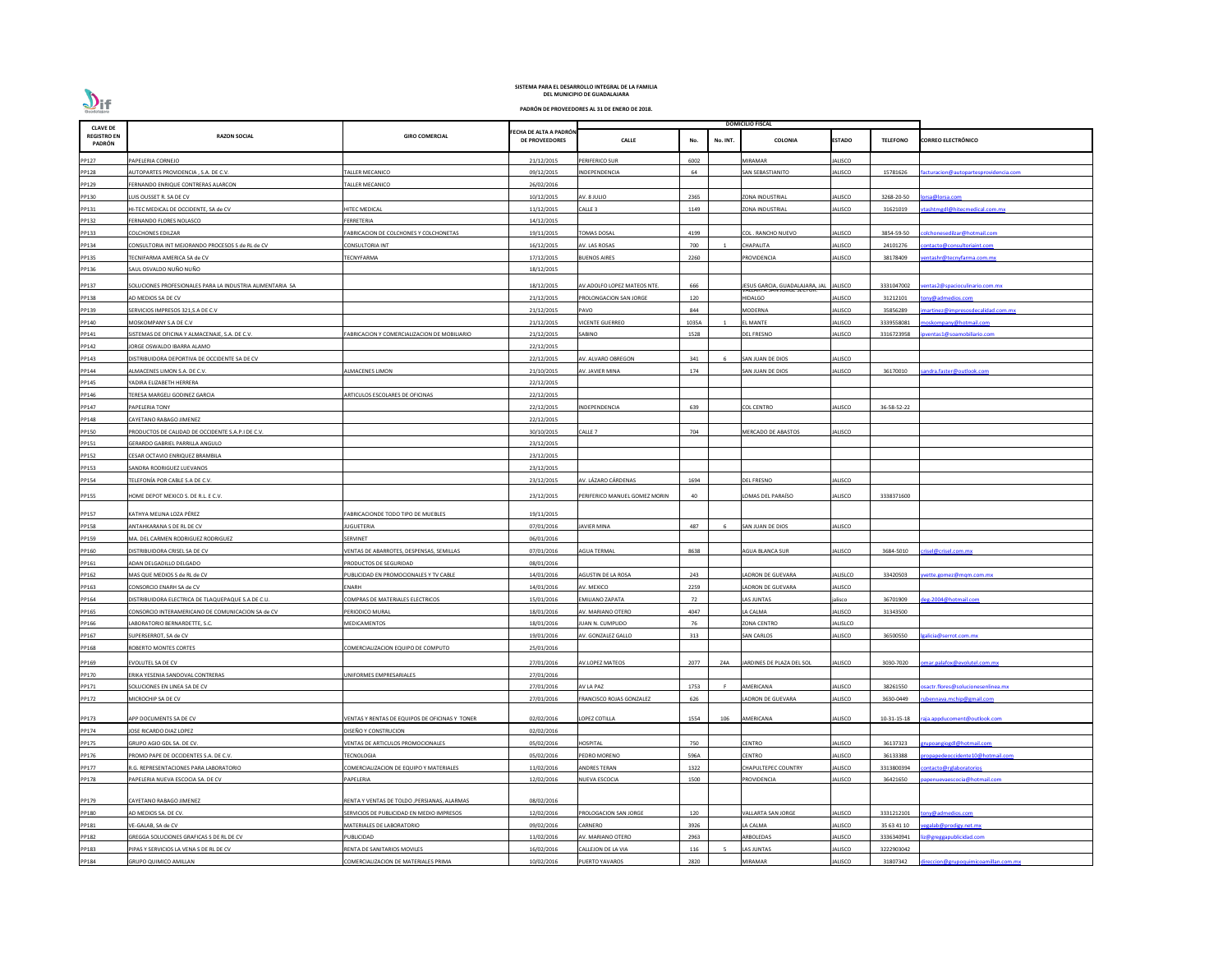| <b>CLAVE DE</b>              |                                                           |                                                |                                                 |                               |                 | <b>DOMICILIO FISCAL</b>         |                |                 |                                      |
|------------------------------|-----------------------------------------------------------|------------------------------------------------|-------------------------------------------------|-------------------------------|-----------------|---------------------------------|----------------|-----------------|--------------------------------------|
| <b>REGISTRO EN</b><br>PADRÓN | <b>RAZON SOCIAL</b>                                       | <b>GIRO COMERCIAL</b>                          | FECHA DE ALTA A PADRÓN<br><b>DE PROVEEDORES</b> | <b>CALLE</b>                  | No.<br>No. INT. | <b>COLONIA</b>                  | <b>ESTADO</b>  | <b>TELEFONO</b> | <b>CORREO ELECTRÓNICO</b>            |
| PP127                        | PAPELERIA CORNEJO                                         |                                                | 21/12/2015                                      | PERIFERICO SUR                | 6002            | <b>MIRAMAR</b>                  | JALISCO        |                 |                                      |
| PP128                        | AUTOPARTES PROVIDENCIA, S.A. DE C.V.                      | ALLER MECANICO                                 | 09/12/2015                                      | <b>INDEPENDENCIA</b>          | 64              | SAN SEBASTIANITO                | JALISCO        | 15781626        | acturacion@autopartesprovidencia.com |
| PP129                        | FERNANDO ENRIQUE CONTRERAS ALARCON                        | ALLER MECANICO                                 | 26/02/2016                                      |                               |                 |                                 |                |                 |                                      |
| PP130                        | LUIS OUSSET R. SA DE CV                                   |                                                | 10/12/2015                                      | AV. 8 JULIO                   | 2365            | ZONA INDUSTRIAL                 | JALISCO        | 3268-20-50      | orsa@lorsa.com                       |
| PP131                        | HI-TEC MEDICAL DE OCCIDENTE, SA de CV                     | <b>IITEC MEDICAL</b>                           | 11/12/2015                                      | CALLE <sub>3</sub>            | 1149            | <b>ZONA INDUSTRIAL</b>          | JALISCO        | 31621019        | tashtmgdl@hitecmedical.com.mx        |
| PP132                        | FERNANDO FLORES NOLASCO                                   | <b>ERRETERIA</b>                               | 14/12/2015                                      |                               |                 |                                 |                |                 |                                      |
| PP133                        | COLCHONES EDILZAR                                         | ABRICACION DE COLCHONES Y COLCHONETAS          | 19/11/2015                                      | <b>OMAS DOSAL</b>             | 4199            | COL. RANCHO NUEVO               | JALISCO        | 3854-59-50      | olchonesedilzar@hotmail.com          |
| PP134                        | CONSULTORIA INT MEJORANDO PROCESOS S de RL de CV          | CONSULTORIA INT                                | 16/12/2015                                      | AV. LAS ROSAS                 | 700             | <b>CHAPALITA</b>                | <b>JALISCO</b> | 24101276        | ontacto@consultoriaint.com           |
| PP135                        | TECNIFARMA AMERICA SA de CV                               | <b>ECNYFARMA</b>                               | 17/12/2015                                      | <b>BUENOS AIRES</b>           | 2260            | <b>ROVIDENCIA</b>               | JALISCO        | 38178409        | entashr@tecnyfarma.com.mx            |
| PP136                        | SAUL OSVALDO NUÑO NUÑO                                    |                                                | 18/12/2015                                      |                               |                 |                                 |                |                 |                                      |
| PP137                        | SOLUCIONES PROFESIONALES PARA LA INDUSTRIA ALIMENTARIA SA |                                                | 18/12/2015                                      | AV.ADOLFO LOPEZ MATEOS NTE.   | 666             | JESUS GARCIA, GUADALAJARA, JAL  | <b>JALISCO</b> | 3331047002      | entas2@spacioculinario.com.mx        |
| PP138                        | AD MEDIOS SA DE CV                                        |                                                | 21/12/2015                                      | PROLONGACION SAN JORGE        | 120             | היו אבאטר אוי<br><b>HIDALGO</b> | ALISCO         | 31212101        | ony@admedios.com                     |
| PP139                        | SERVICIOS IMPRESOS 321, S.A DE C.V                        |                                                | 21/12/2015                                      | PAVO                          | 844             | <b>MODERNA</b>                  | JALISCO        | 35856289        | nartinez@impresosdecalidad.com.mx    |
| PP140                        | MOSKOMPANY S.A DE C.V                                     |                                                | 21/12/2015                                      | VICENTE GUERREO               | 1035A           | <b>LMANTE</b>                   | <b>JALISCO</b> | 3339558081      | oskompany@hotmail.com                |
| PP141                        | SISTEMAS DE OFICINA Y ALMACENAJE, S.A. DE C.V.            | ABRICACION Y COMERCIALIZACION DE MOBILIARIO    | 21/12/2015                                      | SABINO                        | 1528            | <b>DEL FRESNO</b>               | JALISCO        | 3316723958      | ventas1@soamobiliario.com            |
| PP142                        | <b>JORGE OSWALDO IBARRA ALAMO</b>                         |                                                | 22/12/2015                                      |                               |                 |                                 |                |                 |                                      |
| PP143                        | DISTRIBUIDORA DEPORTIVA DE OCCIDENTE SA DE CV             |                                                | 22/12/2015                                      | <b>\V. ALVARO OBREGON</b>     | 341             | SAN JUAN DE DIOS                | JALISCO        |                 |                                      |
| PP144                        | ALMACENES LIMON S.A. DE C.V.                              | LMACENES LIMON                                 | 21/10/2015                                      | AV. JAVIER MINA               | 174             | SAN JUAN DE DIOS                | JALISCO        | 36170010        | andra.faster@outlook.com             |
| PP145                        | YADIRA ELIZABETH HERRERA                                  |                                                | 22/12/2015                                      |                               |                 |                                 |                |                 |                                      |
| PP146                        | <b>ERESA MARGELI GODINEZ GARCIA</b>                       | ARTICULOS ESCOLARES DE OFICINAS                | 22/12/2015                                      |                               |                 |                                 |                |                 |                                      |
| PP147                        | PAPELERIA TONY                                            |                                                | 22/12/2015                                      | <b>NDEPENDENCIA</b>           | 639             | COL CENTRO                      | ALISCO         | 36-58-52-22     |                                      |
| PP148                        | CAYETANO RABAGO JIMENEZ                                   |                                                | 22/12/2015                                      |                               |                 |                                 |                |                 |                                      |
| PP150                        | PRODUCTOS DE CALIDAD DE OCCIDENTE S.A.P.I DE C.V.         |                                                | 30/10/2015                                      | CALLE <sub>7</sub>            | 704             | <b>MERCADO DE ABASTOS</b>       | JALISCO        |                 |                                      |
| PP151                        | GERARDO GABRIEL PARRILLA ANGULO                           |                                                | 23/12/2015                                      |                               |                 |                                 |                |                 |                                      |
| PP152                        | CESAR OCTAVIO ENRIQUEZ BRAMBILA                           |                                                | 23/12/2015                                      |                               |                 |                                 |                |                 |                                      |
| PP153                        | SANDRA RODRIGUEZ LUEVANOS                                 |                                                | 23/12/2015                                      |                               |                 |                                 |                |                 |                                      |
| PP154                        | TELEFONÍA POR CABLE S.A DE C.V.                           |                                                | 23/12/2015                                      | AV. LÁZARO CÁRDENAS           | 1694            | DEL FRESNO                      | JALISCO        |                 |                                      |
|                              |                                                           |                                                |                                                 |                               |                 |                                 |                |                 |                                      |
| PP155                        | HOME DEPOT MEXICO S. DE R.L. E C.V.                       |                                                | 23/12/2015                                      | PERIFERICO MANUEL GOMEZ MORIN | 40              | OMAS DEL PARAÍSO                | JALISCO        | 3338371600      |                                      |
| PP157                        | KATHYA MELINA LOZA PÉREZ                                  | FABRICACIONDE TODO TIPO DE MUEBLES             | 19/11/2015                                      |                               |                 |                                 |                |                 |                                      |
| PP158                        | ANTAHKARANA S DE RL DE CV                                 | <b>IUGUETERIA</b>                              | 07/01/2016                                      | <b>AVIER MINA</b>             | 487             | SAN JUAN DE DIOS                | <b>JALISCO</b> |                 |                                      |
| PP159                        | MA. DEL CARMEN RODRIGUEZ RODRIGUEZ                        | SERVINET                                       | 06/01/2016                                      |                               |                 |                                 |                |                 |                                      |
| PP160                        | DISTRIBUIDORA CRISEL SA DE CV                             | ENTAS DE ABARROTES, DESPENSAS, SEMILLAS        | 07/01/2016                                      | <b>AGUA TERMAL</b>            | 8638            | AGUA BLANCA SUR                 | <b>JALISCO</b> | 3684-5010       | risel@crisel.com.mx                  |
| PP161                        | ADAN DELGADILLO DELGADO                                   | RODUCTOS DE SEGURIDAD                          | 08/01/2016                                      |                               |                 |                                 |                |                 |                                      |
| PP162                        | MAS QUE MEDIOS S de RL de CV                              | UBLICIDAD EN PROMOCIONALES Y TV CABLE          | 14/01/2016                                      | AGUSTIN DE LA ROSA            | 243             | ADRON DE GUEVARA                | ALISLCO        | 33420503        | vette.gomez@mgm.com.mx               |
| PP163                        | CONSORCIO ENARH SA de CV                                  | ENARH                                          | 14/01/2016                                      | AV. MEXICO                    | 2259            | LADRON DE GUEVARA               | <b>JALISCO</b> |                 |                                      |
| PP164                        | DISTRIBUIDORA ELECTRICA DE TLAQUEPAQUE S.A DE C.U.        | COMPRAS DE MATERIALES ELECTRICOS               | 15/01/2016                                      | <b>EMILIANO ZAPATA</b>        | 72              | LAS JUNTAS                      | jalisco        | 36701909        | eg-2004@hotmail.com                  |
| PP165                        | CONSORCIO INTERAMERICANO DE COMUNICACION SA de CV         | PERIODICO MURAL                                | 18/01/2016                                      | AV. MARIANO OTERO             | 4047            | LA CALMA                        | JALISCO        | 31343500        |                                      |
| PP166                        | LABORATORIO BERNARDETTE, S.C.                             | MEDICAMENTOS                                   | 18/01/2016                                      | IUAN N. CUMPLIDO              | 76              | <b>ZONA CENTRO</b>              | JALISLCO       |                 |                                      |
| PP167                        | SUPERSERROT, SA de CV                                     |                                                | 19/01/2016                                      | AV. GONZALEZ GALLO            | 313             | <b>SAN CARLOS</b>               | JALISCO        | 36500550        | alicia@serrot.com.mx                 |
| PP168                        | ROBERTO MONTES CORTES                                     | COMERCIALIZACION EQUIPO DE COMPUTO             | 25/01/2016                                      |                               |                 |                                 |                |                 |                                      |
| PP169                        | EVOLUTEL SA DE CV                                         |                                                | 27/01/2016                                      | <b>AV.LOPEZ MATEOS</b>        | 2077<br>Z4A     | JARDINES DE PLAZA DEL SOL       | ALISCO         | 3030-7020       | mar.palafox@evolutel.com.mx          |
| PP170                        | ERIKA YESENIA SANDOVAL CONTRERAS                          | <b>JNIFORMES EMPRESARIALES</b>                 | 27/01/2016                                      |                               |                 |                                 |                |                 |                                      |
| PP171                        | SOLUCIONES EN LINEA SA DE CV                              |                                                | 27/01/2016                                      | AV LA PAZ                     | 1753            | AMERICANA                       | ALISCO         | 38261550        | sactr.flores@solucionesenlinea.mx    |
| PP172                        | MICROCHIP SA DE CV                                        |                                                | 27/01/2016                                      | FRANCISCO ROJAS GONZALEZ      | 626             | ADRON DE GUEVARA                | <b>JALISCO</b> | 3630-0449       | ubennava.mchip@gmail.com             |
|                              |                                                           |                                                |                                                 |                               |                 |                                 |                |                 |                                      |
| PP173                        | APP DOCUMENTS SA DE CV                                    | /ENTAS Y RENTAS DE EQUIPOS DE OFICINAS Y TONER | 02/02/2016                                      | LOPEZ COTILLA                 | 1554<br>106     | AMERICANA                       | JALISCO        | 10-31-15-18     | aja.appducoment@outlook.com          |
| PP174                        | <b>JOSE RICARDO DIAZ LOPEZ</b>                            | DISEÑO Y CONSTRUCION                           | 02/02/2016                                      |                               |                 |                                 |                |                 |                                      |
| PP175                        | GRUPO AGIO GDL SA. DE CV.                                 | <b>/ENTAS DE ARTICULOS PROMOCIONALES</b>       | 05/02/2016                                      | HOSPITAL                      | 750             | CENTRO                          | ALISCO         | 36137323        | rupoangiogdl@hotmail.com             |
| PP176                        | PROMO PAPE DE OCCIDENTES S.A. DE C.V.                     | <b>ECNOLOGIA</b>                               | 05/02/2016                                      | PEDRO MORENO                  | 596A            | CENTRO                          | JALISCO        | 36133388        | opapedeoccidente10@hotmail.com       |
| PP177                        | R.G. REPRESENTACIONES PARA LABORATORIO                    | COMERCIALIZACION DE EQUIPO Y MATERIALES        | 11/02/2016                                      | ANDRES TERAN                  | 1322            | <b>CHAPULTEPEC COUNTRY</b>      | JALISCO        | 3313800394      | ontacto@rglaboratorios               |
| PP178                        | PAPELERIA NUEVA ESCOCIA SA. DE CV                         | PAPELERIA                                      | 12/02/2016                                      | NUEVA ESCOCIA                 | 1500            | PROVIDENCIA                     | JALISCO        | 36421650        | ipenuevaescocia@hotmail.com          |
| PP179                        | CAYETANO RABAGO JIMENEZ                                   | RENTA Y VENTAS DE TOLDO ,PERSIANAS, ALARMAS    | 08/02/2016                                      |                               |                 |                                 |                |                 |                                      |
| PP180                        | AD MEDIOS SA. DE CV.                                      | SERVICIOS DE PUBLICIDAD EN MEDIO IMPRESOS      | 12/02/2016                                      | PROLOGACION SAN JORGE         | 120             | ALLARTA SAN JORGE               | ALISCO         | 3331212101      | ony@admedios.com                     |
| PP181                        | VE-GALAB, SA de CV                                        | MATERIALES DE LABORATORIO                      | 09/02/2016                                      | CARNERO                       | 3926            | LA CALMA                        | <b>JALISCO</b> | 35 63 41 10     | egalab@prodigy.net.mx                |
| PP182                        | GREGGA SOLUCIONES GRAFICAS S DE RL DE CV                  | PUBLICIDAD                                     | 11/02/2016                                      | AV. MARIANO OTERO             | 2963            | ARBOLEDAS                       | <b>ALISCO</b>  | 3336340941      | z@greggapublicidad.com               |
| PP183                        | PIPAS Y SERVICIOS LA VENA S DE RL DE CV                   | RENTA DE SANITARIOS MOVILES                    | 16/02/2016                                      | CALLEJON DE LA VIA            | 116             | AS JUNTAS                       | ALISCO         | 3222903042      |                                      |
| PP184                        | GRUPO QUIMICO AMILLAN                                     | COMERCIALIZACION DE MATERIALES PRIMA           | 10/02/2016                                      | PUERTO YAVAROS                | 2820            | <b>MIRAMAR</b>                  | <b>JALISCO</b> | 31807342        | ireccion@grupoquimicoamillan.com.mx  |

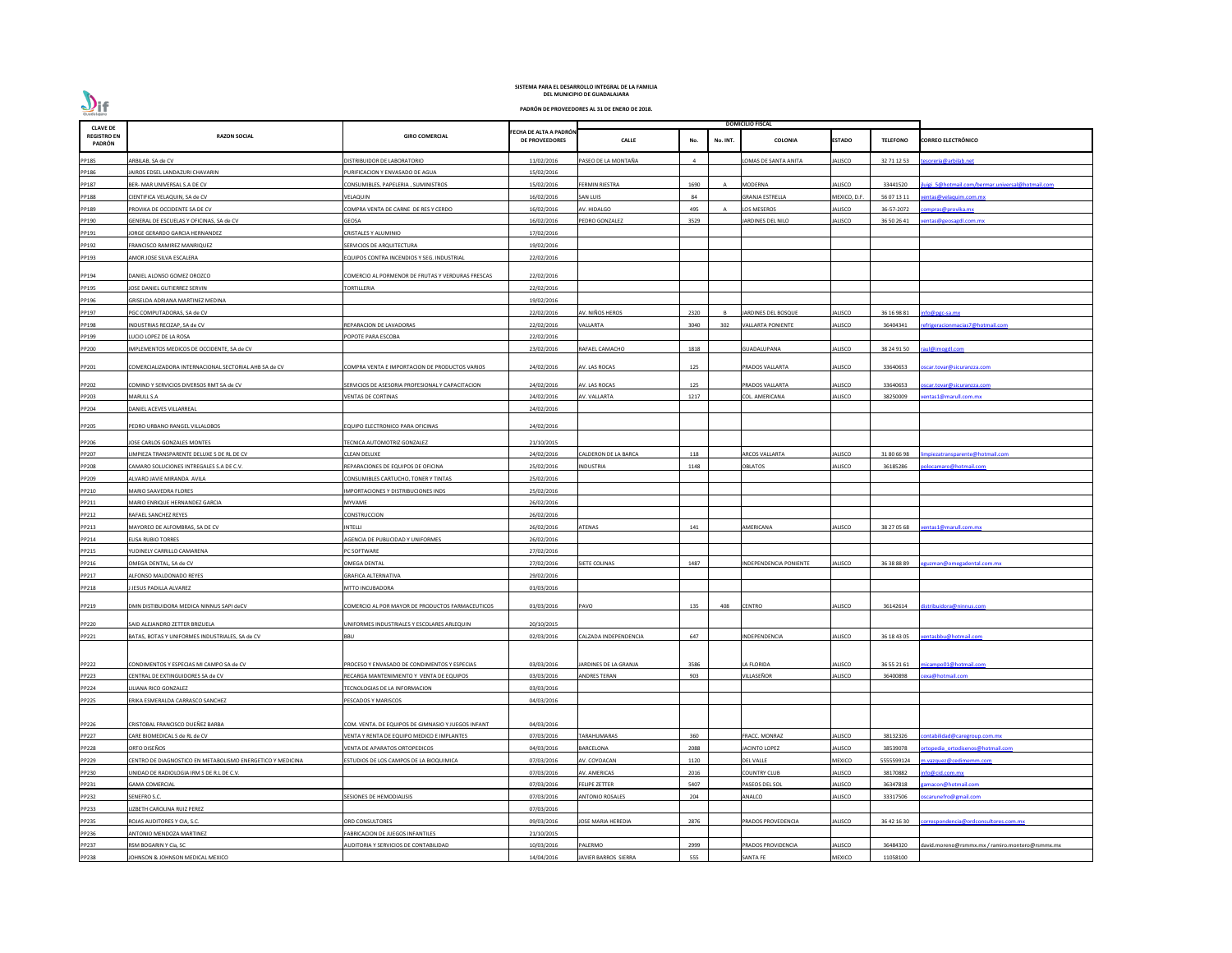| <b>CLAVE DE</b>              |                                                            |                                                    |                                                 |                           |      |                | <b>DOMICILIO FISCAL</b>  |                |                 |                                                 |
|------------------------------|------------------------------------------------------------|----------------------------------------------------|-------------------------------------------------|---------------------------|------|----------------|--------------------------|----------------|-----------------|-------------------------------------------------|
| <b>REGISTRO EN</b><br>PADRÓN | <b>RAZON SOCIAL</b>                                        | <b>GIRO COMERCIAL</b>                              | FECHA DE ALTA A PADRÓN<br><b>DE PROVEEDORES</b> | <b>CALLE</b>              | No.  | No. INT.       | <b>COLONIA</b>           | <b>ESTADO</b>  | <b>TELEFONO</b> | <b>CORREO ELECTRÓNICO</b>                       |
| PP185                        | ARBILAB, SA de CV                                          | DISTRIBUIDOR DE LABORATORIO                        | 11/02/2016                                      | PASEO DE LA MONTAÑA       |      |                | LOMAS DE SANTA ANITA     | ALISCO         | 32 71 12 53     | esoreria@arbilab.net                            |
| PP186                        | JAIROS EDSEL LANDAZURI CHAVARIN                            | URIFICACION Y ENVASADO DE AGUA                     | 15/02/2016                                      |                           |      |                |                          |                |                 |                                                 |
| PP187                        | BER- MAR UNIVERSAL S.A DE CV                               | CONSUMIBLES, PAPELERIA, SUMINISTROS                | 15/02/2016                                      | FERMIN RIESTRA            | 1690 | $\overline{A}$ | <b>MODERNA</b>           | ALISCO         | 33441520        | uigi 5@hotmail.com/bermar.universal@hotmail.com |
| PP188                        | CIENTIFICA VELAQUIN, SA de CV                              | VELAQUIN                                           | 16/02/2016                                      | SAN LUIS                  | 84   |                | <b>GRANJA ESTRELLA</b>   | MEXICO, D.F    | 56 07 13 11     | entas@velaquim.com.mx                           |
| PP189                        | PROVIKA DE OCCIDENTE SA DE CV                              | COMPRA VENTA DE CARNE DE RES Y CERDO               | 16/02/2016                                      | AV. HIDALGO               | 495  |                | LOS MESEROS              | ALISCO         | 36-57-2072      | ompras@provika.mx                               |
| PP190                        | GENERAL DE ESCUELAS Y OFICINAS, SA de CV                   | GEOSA                                              | 16/02/2016                                      | PEDRO GONZALEZ            | 3529 |                | JARDINES DEL NILO        | ALISCO         | 36 50 26 41     | entas@geosagdl.com.mx                           |
| PP191                        | JORGE GERARDO GARCIA HERNANDEZ                             | CRISTALES Y ALUMINIO                               | 17/02/2016                                      |                           |      |                |                          |                |                 |                                                 |
| PP192                        | FRANCISCO RAMIREZ MANRIQUEZ                                | SERVICIOS DE ARQUITECTURA                          | 19/02/2016                                      |                           |      |                |                          |                |                 |                                                 |
| PP193                        | AMOR JOSE SILVA ESCALERA                                   | QUIPOS CONTRA INCENDIOS Y SEG. INDUSTRIAL          | 22/02/2016                                      |                           |      |                |                          |                |                 |                                                 |
| PP194                        | DANIEL ALONSO GOMEZ OROZCO                                 | COMERCIO AL PORMENOR DE FRUTAS Y VERDURAS FRESCAS  | 22/02/2016                                      |                           |      |                |                          |                |                 |                                                 |
| PP195                        | JOSE DANIEL GUTIERREZ SERVIN                               | <b>TORTILLERIA</b>                                 | 22/02/2016                                      |                           |      |                |                          |                |                 |                                                 |
| PP196                        | GRISELDA ADRIANA MARTINEZ MEDINA                           |                                                    | 19/02/2016                                      |                           |      |                |                          |                |                 |                                                 |
| PP197                        | PGC COMPUTADORAS, SA de CV                                 |                                                    | 22/02/2016                                      | AV. NIÑOS HEROS           | 2320 |                | JARDINES DEL BOSQUE      | ALISCO         | 36 16 98 81     | nfo@pgc-sa.mx                                   |
| PP198                        | INDUSTRIAS RECIZAP, SA de CV                               | REPARACION DE LAVADORAS                            | 22/02/2016                                      | <b>VALLARTA</b>           | 3040 | 302            | <b>VALLARTA PONIENTE</b> | ALISCO         | 36404341        | efrigeracionmacias7@hotmail.com                 |
| PP199                        | LUCIO LOPEZ DE LA ROSA                                     | OPOTE PARA ESCOBA                                  | 22/02/2016                                      |                           |      |                |                          |                |                 |                                                 |
| PP200                        | IMPLEMENTOS MEDICOS DE OCCIDENTE, SA de CV                 |                                                    | 23/02/2016                                      | RAFAEL CAMACHO            | 1818 |                | GUADALUPANA              | ALISCO         | 38 24 91 50     | raul@imogdl.com                                 |
| PP201                        | COMERCIALIZADORA INTERNACIONAL SECTORIAL AHB SA de CV      | COMPRA VENTA E IMPORTACION DE PRODUCTOS VARIOS     | 24/02/2016                                      | AV. LAS ROCAS             | 125  |                | PRADOS VALLARTA          | JALISCO        | 33640653        | scar.tovar@sicuranzza.com                       |
|                              |                                                            |                                                    |                                                 |                           |      |                |                          |                |                 |                                                 |
| PP202                        | COMIND Y SERVICIOS DIVERSOS RMT SA de CV                   | SERVICIOS DE ASESORIA PROFESIONAL Y CAPACITACION   | 24/02/2016                                      | AV. LAS ROCAS             | 125  |                | PRADOS VALLARTA          | ALISCO         | 33640653        | scar.tovar@sicuranzza.com                       |
| PP203                        | MARULL S.A                                                 | VENTAS DE CORTINAS                                 | 24/02/2016                                      | AV. VALLARTA              | 1217 |                | COL. AMERICANA           | ALISCO         | 38250009        | entas1@marull.com.mx                            |
| PP204                        | DANIEL ACEVES VILLARREAL                                   |                                                    | 24/02/2016                                      |                           |      |                |                          |                |                 |                                                 |
| PP205                        | PEDRO URBANO RANGEL VILLALOBOS                             | EQUIPO ELECTRONICO PARA OFICINAS                   | 24/02/2016                                      |                           |      |                |                          |                |                 |                                                 |
| PP206                        | JOSE CARLOS GONZALES MONTES                                | ECNICA AUTOMOTRIZ GONZALEZ                         | 21/10/2015                                      |                           |      |                |                          |                |                 |                                                 |
| PP207                        | LIMPIEZA TRANSPARENTE DELUXE S DE RL DE CV                 | CLEAN DELUXE                                       | 24/02/2016                                      | ALDERON DE LA BARCA       | 118  |                | ARCOS VALLARTA           | ALISCO         | 31 80 66 98     | npiezatransparente@hotmail.com                  |
| PP208                        | CAMARO SOLUCIONES INTREGALES S.A DE C.V.                   | REPARACIONES DE EQUIPOS DE OFICINA                 | 25/02/2016                                      | INDUSTRIA                 | 1148 |                | OBLATOS                  | ALISCO         | 36185286        | olocamaro@hotmail.com                           |
| PP209                        | ALVARO JAVIE MIRANDA AVILA                                 | CONSUMIBLES CARTUCHO, TONER Y TINTAS               | 25/02/2016                                      |                           |      |                |                          |                |                 |                                                 |
| PP210                        | MARIO SAAVEDRA FLORES                                      | <b>IMPORTACIONES Y DISTRIBUCIONES INDS</b>         | 25/02/2016                                      |                           |      |                |                          |                |                 |                                                 |
| PP211                        | MARIO ENRIQUE HERNANDEZ GARCIA                             | MYVAME                                             | 26/02/2016                                      |                           |      |                |                          |                |                 |                                                 |
| PP212                        | RAFAEL SANCHEZ REYES                                       | CONSTRUCCION                                       | 26/02/2016                                      |                           |      |                |                          |                |                 |                                                 |
| PP213                        | MAYOREO DE ALFOMBRAS, SA DE CV                             | NTELLI                                             | 26/02/2016                                      | ATENAS                    | 141  |                | AMERICANA                | ALISCO         | 38 27 05 68     | entas1@marull.com.mx                            |
| PP214                        | <b>ELISA RUBIO TORRES</b>                                  | <b>AGENCIA DE PUBLICIDAD Y UNIFORMES</b>           | 26/02/2016                                      |                           |      |                |                          |                |                 |                                                 |
| PP215                        | YUDINELY CARRILLO CAMARENA                                 | PC SOFTWARE                                        | 27/02/2016                                      |                           |      |                |                          |                |                 |                                                 |
| PP216                        | OMEGA DENTAL, SA de CV                                     | OMEGA DENTAL                                       | 27/02/2016                                      | <b>IETE COLINAS</b>       | 1487 |                | INDEPENDENCIA PONIENTE   | ALISCO         | 36 38 88 89     | guzman@omegadental.com.mx                       |
| PP217                        | ALFONSO MALDONADO REYES                                    | <b>GRAFICA ALTERNATIVA</b>                         | 29/02/2016                                      |                           |      |                |                          |                |                 |                                                 |
| PP218                        | J JESUS PADILLA ALVAREZ                                    | MTTO INCUBADORA                                    | 01/03/2016                                      |                           |      |                |                          |                |                 |                                                 |
| PP219                        | DMN DISTIBUIDORA MEDICA NINNUS SAPI deCV                   | COMERCIO AL POR MAYOR DE PRODUCTOS FARMACEUTICOS   | 01/03/2016                                      | PAVO                      | 135  | 408            | <b>CENTRO</b>            | <b>JALISCO</b> | 36142614        | distribuidora@ninnus.com                        |
| PP220                        | SAID ALEJANDRO ZETTER BRIZUELA                             | UNIFORMES INDUSTRIALES Y ESCOLARES ARLEQUIN        | 20/10/2015                                      |                           |      |                |                          |                |                 |                                                 |
|                              | BATAS, BOTAS Y UNIFORMES INDUSTRIALES, SA de CV            | BBU                                                | 02/03/2016                                      | CALZADA INDEPENDENCIA     | 647  |                | INDEPENDENCIA            | ALISCO         | 36 18 43 05     | ventasbbu@hotmail.com                           |
| PP221                        |                                                            |                                                    |                                                 |                           |      |                |                          |                |                 |                                                 |
| PP222                        | CONDIMENTOS Y ESPECIAS MI CAMPO SA de CV                   | PROCESO Y ENVASADO DE CONDIMENTOS Y ESPECIAS       | 03/03/2016                                      | JARDINES DE LA GRANJA     | 3586 |                | LA FLORIDA               | ALISCO         | 36 55 21 61     | micampo01@hotmail.com                           |
| PP223                        | CENTRAL DE EXTINGUIDORES SA de CV                          | RECARGA MANTENIMIENTO Y VENTA DE EQUIPOS           | 03/03/2016                                      | ANDRES TERAN              | 903  |                | VILLASEÑOR               | ALISCO         | 36400898        | exa@hotmail.com                                 |
| PP224                        | LILIANA RICO GONZALEZ                                      | TECNOLOGIAS DE LA INFORMACION                      | 03/03/2016                                      |                           |      |                |                          |                |                 |                                                 |
| PP225                        | ERIKA ESMERALDA CARRASCO SANCHEZ                           | PESCADOS Y MARISCOS                                | 04/03/2016                                      |                           |      |                |                          |                |                 |                                                 |
| PP226                        | CRISTOBAL FRANCISCO DUEÑEZ BARBA                           | COM. VENTA. DE EQUIPOS DE GIMNASIO Y JUEGOS INFANT | 04/03/2016                                      |                           |      |                |                          |                |                 |                                                 |
| PP227                        | CARE BIOMEDICAL S de RL de CV                              | ENTA Y RENTA DE EQUIPO MEDICO E IMPLANTES          | 07/03/2016                                      | <b>ARAHUMARAS</b>         | 360  |                | FRACC. MONRAZ            | ALISCO         | 38132326        | contabilidad@caregroup.com.mx                   |
| PP228                        | ORTO DISEÑOS                                               | VENTA DE APARATOS ORTOPEDICOS                      | 04/03/2016                                      | BARCELONA                 | 2088 |                | JACINTO LOPEZ            | ALISCO         | 38539078        | rtopedia ortodisenos@hotmail.com                |
| PP229                        | CENTRO DE DIAGNOSTICO EN METABOLISMO ENERGETICO Y MEDICINA | ESTUDIOS DE LOS CAMPOS DE LA BIOQUIMICA            | 07/03/2016                                      | AV. COYOACAN              | 1120 |                | <b>DEL VALLE</b>         | MEXICO         | 5555599124      | n.vazquez@cedimemm.com                          |
| PP230                        | UNIDAD DE RADIOLOGIA IRM S DE R.L DE C.V.                  |                                                    | 07/03/2016                                      | AV. AMERICAS              | 2016 |                | <b>COUNTRY CLUB</b>      | ALISCO         | 38170882        | nfo@cid.com.mx                                  |
| PP231                        | <b>GAMA COMERCIAL</b>                                      |                                                    | 07/03/2016                                      | FELIPE ZETTER             | 5407 |                | PASEOS DEL SOL           | ALISCO         | 36347818        | amacon@hotmail.com                              |
| PP232                        | SENEFRO S.C.                                               | ESIONES DE HEMODIALISIS                            | 07/03/2016                                      | <b>ANTONIO ROSALES</b>    | 204  |                | ANALCO                   | ALISCO         | 33317506        | oscarunefro@gmail.com                           |
| PP233                        | LIZBETH CAROLINA RUIZ PEREZ                                |                                                    | 07/03/2016                                      |                           |      |                |                          |                |                 |                                                 |
| PP235                        | ROJAS AUDITORES Y CIA, S.C.                                | ORD CONSULTORES                                    | 09/03/2016                                      | <b>JOSE MARIA HEREDIA</b> | 2876 |                | PRADOS PROVEDENCIA       | ALISCO         | 36 42 16 30     | correspondencia@ordconsultores.com.mx           |
| PP236                        | ANTONIO MENDOZA MARTINEZ                                   | FABRICACION DE JUEGOS INFANTILES                   | 21/10/2015                                      |                           |      |                |                          |                |                 |                                                 |
| PP237                        | RSM BOGARIN Y Cia, SC                                      | <b>IUDITORIA Y SERVICIOS DE CONTABILIDAD</b>       | 10/03/2016                                      | <b>ALERMO</b>             | 2999 |                | PRADOS PROVIDENCIA       | ALISCO         | 36484320        | david.moreno@rsmmx.mx / ramiro.montero@rsmmx.mx |
| PP238                        | JOHNSON & JOHNSON MEDICAL MEXICO                           |                                                    | 14/04/2016                                      | JAVIER BARROS SIERRA      | 555  |                | <b>SANTA FE</b>          | MEXICO         | 11058100        |                                                 |
|                              |                                                            |                                                    |                                                 |                           |      |                |                          |                |                 |                                                 |

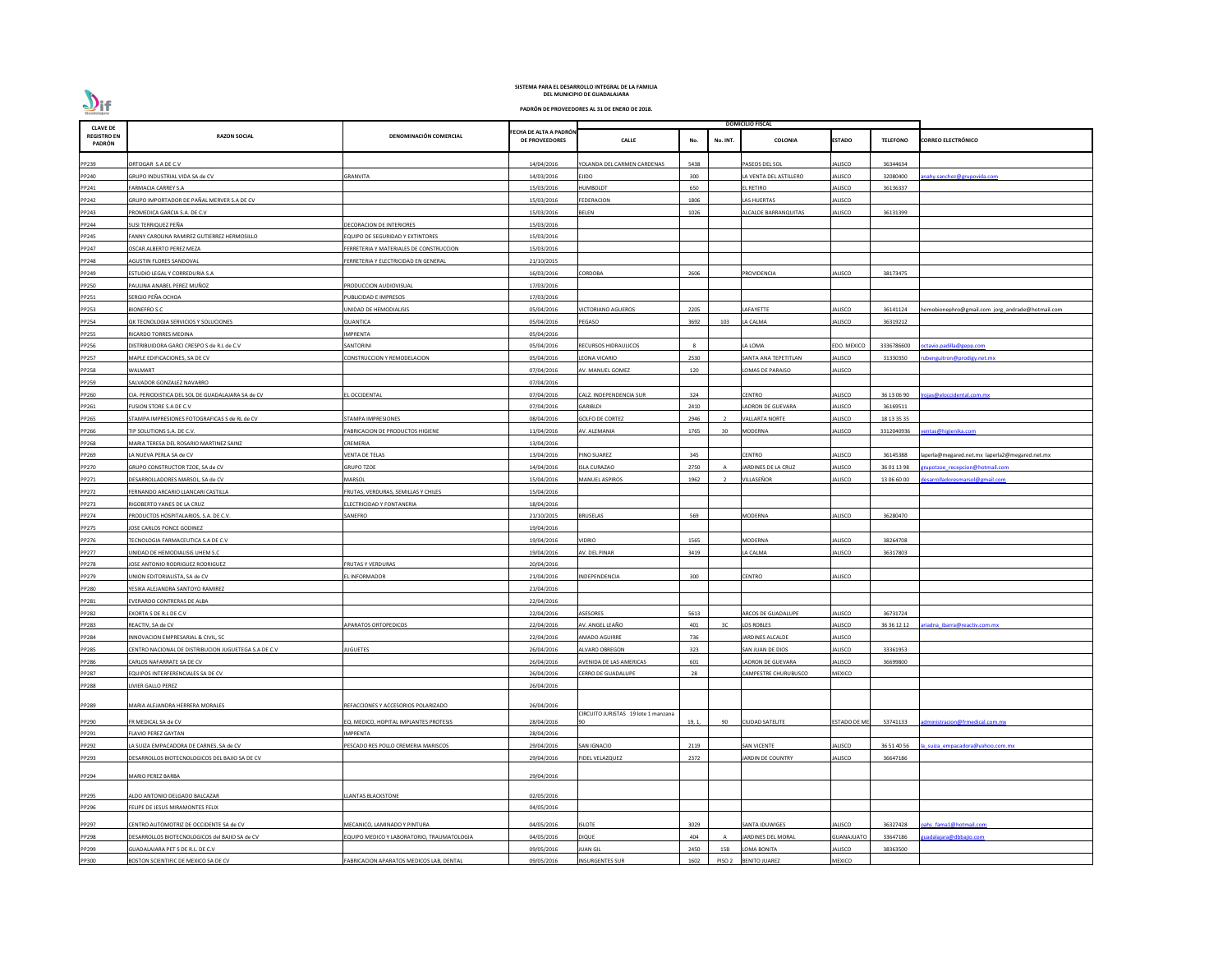| <b>CLAVE DE</b>              |                                                      |                                           |                                                 |                                    |        |                   | <b>DOMICILIO FISCAL</b> |                     |                 |                                                  |
|------------------------------|------------------------------------------------------|-------------------------------------------|-------------------------------------------------|------------------------------------|--------|-------------------|-------------------------|---------------------|-----------------|--------------------------------------------------|
| <b>REGISTRO EN</b><br>PADRÓN | <b>RAZON SOCIAL</b>                                  | DENOMINACIÓN COMERCIAL                    | FECHA DE ALTA A PADRÓN<br><b>DE PROVEEDORES</b> | <b>CALLE</b>                       | No.    | No. INT.          | <b>COLONIA</b>          | <b>ESTADO</b>       | <b>TELEFONO</b> | <b>CORREO ELECTRÓNICO</b>                        |
| PP239                        | ORTOGAR S.A DE C.V                                   |                                           | 14/04/2016                                      | YOLANDA DEL CARMEN CARDENAS        | 5438   |                   | PASEOS DEL SOL          | ALISCO              | 36344634        |                                                  |
| PP240                        | GRUPO INDUSTRIAL VIDA SA de CV                       | GRANVITA                                  | 14/03/2016                                      | EJIDO                              | 300    |                   | LA VENTA DEL ASTILLERO  | ALISCO              | 32080400        | nahy.sanchez@grupovida.com                       |
| PP241                        | <b>FARMACIA CARREY S.A</b>                           |                                           | 15/03/2016                                      | HUMBOLDT                           | 650    |                   | <b>L RETIRO</b>         | ALISCO              | 36136337        |                                                  |
| PP242                        | GRUPO IMPORTADOR DE PAÑAL MERVER S.A DE CV           |                                           | 15/03/2016                                      | <b>FEDERACION</b>                  | 1806   |                   | LAS HUERTAS             | ALISCO              |                 |                                                  |
| PP243                        | PROMEDICA GARCIA S.A. DE C.V                         |                                           | 15/03/2016                                      | BELEN                              | 1026   |                   | ALCALDE BARRANQUITAS    | ALISCO              | 36131399        |                                                  |
| PP244                        | SUSI TERRIQUEZ PEÑA                                  | DECORACION DE INTERIORES                  | 15/03/2016                                      |                                    |        |                   |                         |                     |                 |                                                  |
| PP245                        | FANNY CAROLINA RAMIREZ GUTIERREZ HERMOSILLO          | EQUIPO DE SEGURIDAD Y EXTINTORES          | 15/03/2016                                      |                                    |        |                   |                         |                     |                 |                                                  |
| PP247                        | OSCAR ALBERTO PEREZ MEZA                             | FERRETERIA Y MATERIALES DE CONSTRUCCION   | 15/03/2016                                      |                                    |        |                   |                         |                     |                 |                                                  |
| PP248                        | AGUSTIN FLORES SANDOVAL                              | FERRETERIA Y ELECTRICIDAD EN GENERAL      | 21/10/2015                                      |                                    |        |                   |                         |                     |                 |                                                  |
| PP249                        | ESTUDIO LEGAL Y CORREDURIA S.A                       |                                           | 16/03/2016                                      | CORDOBA                            | 2606   |                   | PROVIDENCIA             | ALISCO              | 38173475        |                                                  |
| PP250                        | PAULINA ANABEL PEREZ MUÑOZ                           | PRODUCCION AUDIOVISUAL                    | 17/03/2016                                      |                                    |        |                   |                         |                     |                 |                                                  |
| PP251                        | SERGIO PEÑA OCHOA                                    | UBLICIDAD E IMPRESOS                      | 17/03/2016                                      |                                    |        |                   |                         |                     |                 |                                                  |
| PP253                        | <b>BIONEFRO S.C</b>                                  | UNIDAD DE HEMODIALISIS                    | 05/04/2016                                      | <b>ICTORIANO AGUEROS</b>           | 2205   |                   | LAFAYETTE               | ALISCO              | 36141124        | hemobionephro@gmail.com jorg_andrade@hotmail.com |
| PP254                        | QK TECNOLOGIA SERVICIOS Y SOLUCIONES                 | QUANTICA                                  | 05/04/2016                                      | PEGASO                             | 3692   | 103               | LA CALMA                | ALISCO              | 36319212        |                                                  |
| PP255                        | RICARDO TORRES MEDINA                                | <b>MPRENTA</b>                            | 05/04/2016                                      |                                    |        |                   |                         |                     |                 |                                                  |
| PP256                        | DISTRIBUIDORA GARCI CRESPO S de R.L de C.V           | ANTORINI                                  | 05/04/2016                                      | RECURSOS HIDRAULICOS               | -8     |                   | A LOMA                  | <b>EDO. MEXICO</b>  | 3336786600      | octavio.padilla@gepp.com                         |
| PP257                        | MAPLE EDIFICACIONES, SA DE CV                        | CONSTRUCCION Y REMODELACION               | 05/04/2016                                      | EONA VICARIO                       | 2530   |                   | SANTA ANA TEPETITLAN    | ALISCO              | 31330350        | ubenguitron@prodigy.net.mx                       |
| PP258                        | WALMART                                              |                                           | 07/04/2016                                      | AV. MANUEL GOMEZ                   | 120    |                   | LOMAS DE PARAISO        | ALISCO              |                 |                                                  |
| PP259                        | SALVADOR GONZALEZ NAVARRO                            |                                           | 07/04/2016                                      |                                    |        |                   |                         |                     |                 |                                                  |
|                              |                                                      | L OCCIDENTAL                              | 07/04/2016                                      | ALZ. INDEPENDENCIA SUR             | 324    |                   | CENTRO                  | ALISCO              | 36 13 06 90     |                                                  |
| PP260                        | CIA. PERIODISTICA DEL SOL DE GUADALAJARA SA de CV    |                                           |                                                 |                                    |        |                   |                         |                     |                 | rojas@eloccidental.com.mx                        |
| PP261                        | FUSION STORE S.A DE C.V                              |                                           | 07/04/2016                                      | GARIBLDI                           | 2410   |                   | ADRON DE GUEVARA        | ALISCO              | 36169511        |                                                  |
| PP265                        | STAMPA IMPRESIONES FOTOGRAFICAS S de RL de CV        | STAMPA IMPRESIONES                        | 08/04/2016                                      | <b>GOLFO DE CORTEZ</b>             | 2946   |                   | <b>VALLARTA NORTE</b>   | ALISCO              | 18 13 35 35     |                                                  |
| PP266                        | TIP SOLUTIONS S.A. DE C.V.                           | ABRICACION DE PRODUCTOS HIGIENE           | 11/04/2016                                      | AV. ALEMANIA                       | 1765   | 30                | <b>MODERNA</b>          | ALISCO              | 3312040936      | entas@higienika.com                              |
| PP268                        | MARIA TERESA DEL ROSARIO MARTINEZ SAINZ              | CREMERIA                                  | 13/04/2016                                      |                                    |        |                   |                         |                     |                 |                                                  |
| PP269                        | LA NUEVA PERLA SA de CV                              | VENTA DE TELAS                            | 13/04/2016                                      | PINO SUAREZ                        | 345    |                   | <b>CENTRO</b>           | ALISCO              | 36145388        | laperla@megared.net.mx laperla2@megared.net.mx   |
| PP270                        | GRUPO CONSTRUCTOR TZOE, SA de CV                     | <b>GRUPO TZOE</b>                         | 14/04/2016                                      | <b>ISLA CURAZAO</b>                | 2750   |                   | JARDINES DE LA CRUZ     | ALISCO              | 36 01 13 98     | upotzoe recepcion@hotmail.com                    |
| PP271                        | DESARROLLADORES MARSOL, SA de CV                     | MARSOL                                    | 15/04/2016                                      | MANUEL ASPIROS                     | 1962   |                   | VILLASEÑOR              | ALISCO              | 13 06 60 00     | esarrolladoresmarsol@gmail.com                   |
| PP272                        | FERNANDO ARCARIO LLANCARI CASTILLA                   | FRUTAS, VERDURAS, SEMILLAS Y CHILES       | 15/04/2016                                      |                                    |        |                   |                         |                     |                 |                                                  |
| PP273                        | RIGOBERTO YANES DE LA CRUZ                           | ELECTRICIDAD Y FONTANERIA                 | 18/04/2016                                      |                                    |        |                   |                         |                     |                 |                                                  |
| PP274                        | PRODUCTOS HOSPITALARIOS, S.A. DE C.V.                | SANEFRO                                   | 21/10/2015                                      | <b>BRUSELAS</b>                    | 569    |                   | MODERNA                 | ALISCO              | 36280470        |                                                  |
| PP275                        | JOSE CARLOS PONCE GODINEZ                            |                                           | 19/04/2016                                      |                                    |        |                   |                         |                     |                 |                                                  |
| PP276                        | TECNOLOGIA FARMACEUTICA S.A DE C.V                   |                                           | 19/04/2016                                      | <b>IDRIO</b>                       | 1565   |                   | MODERNA                 | ALISCO              | 38264708        |                                                  |
| PP277                        | UNIDAD DE HEMODIALISIS UHEM S.C                      |                                           | 19/04/2016                                      | AV. DEL PINAR                      | 3419   |                   | A CALMA                 | ALISCO              | 36317803        |                                                  |
| PP278                        | JOSE ANTONIO RODRIGUEZ RODRIGUEZ                     | FRUTAS Y VERDURAS                         | 20/04/2016                                      |                                    |        |                   |                         |                     |                 |                                                  |
| PP279                        | UNION EDITORIALISTA, SA de CV                        | EL INFORMADOR                             | 21/04/2016                                      | NDEPENDENCIA                       | 300    |                   | <b>CENTRO</b>           | ALISCO              |                 |                                                  |
| PP280                        | YESIKA ALEJANDRA SANTOYO RAMIREZ                     |                                           | 21/04/2016                                      |                                    |        |                   |                         |                     |                 |                                                  |
| PP281                        | EVERARDO CONTRERAS DE ALBA                           |                                           | 22/04/2016                                      |                                    |        |                   |                         |                     |                 |                                                  |
| PP282                        | EXORTA S DE R.L DE C.V                               |                                           | 22/04/2016                                      | <b>ASESORES</b>                    | 5613   |                   | ARCOS DE GUADALUPE      | ALISCO              | 36731724        |                                                  |
| PP283                        | REACTIV, SA de CV                                    | <b>APARATOS ORTOPEDICOS</b>               | 22/04/2016                                      | AV. ANGEL LEAÑO                    | 401    | 3C                | LOS ROBLES              | ALISCO              | 36 36 12 12     | riadna ibarra@reactiv.com.mx                     |
| PP284                        | INNOVACION EMPRESARIAL & CIVIL, SC                   |                                           | 22/04/2016                                      | <b>MADO AGUIRRE</b>                | 736    |                   | JARDINES ALCALDE        | ALISCO              |                 |                                                  |
| PP285                        | CENTRO NACIONAL DE DISTRIBUCION JUGUETEGA S.A DE C.V | UGUETES                                   | 26/04/2016                                      | ALVARO OBREGON                     | 323    |                   | SAN JUAN DE DIOS        | ALISCO              | 33361953        |                                                  |
| PP286                        | CARLOS NAFARRATE SA DE CV                            |                                           | 26/04/2016                                      | AVENIDA DE LAS AMERICAS            | 601    |                   | LADRON DE GUEVARA       | ALISCO              | 36699800        |                                                  |
| PP287                        | EQUIPOS INTERFERENCIALES SA DE CV                    |                                           | 26/04/2016                                      | CERRO DE GUADALUPE                 | 28     |                   | CAMPESTRE CHURUBUSCO    | MEXICO              |                 |                                                  |
| PP288                        | LIVIER GALLO PEREZ                                   |                                           | 26/04/2016                                      |                                    |        |                   |                         |                     |                 |                                                  |
| PP289                        | MARIA ALEJANDRA HERRERA MORALES                      | REFACCIONES Y ACCESORIOS POLARIZADO       | 26/04/2016                                      |                                    |        |                   |                         |                     |                 |                                                  |
| PP290                        | FR MEDICAL SA de CV                                  | EQ. MEDICO, HOPITAL IMPLANTES PROTESIS    | 28/04/2016                                      | IRCUITO JURISTAS 19 lote 1 manzana | 19, 1, | 90                | <b>CIUDAD SATELITE</b>  | <b>ESTADO DE ME</b> | 53741133        | dministracion@frmedical.com.mx                   |
| PP291                        | <b>FLAVIO PEREZ GAYTAN</b>                           | <b>MPRENTA</b>                            | 28/04/2016                                      |                                    |        |                   |                         |                     |                 |                                                  |
| PP292                        | LA SUIZA EMPACADORA DE CARNES, SA de CV              | PESCADO RES POLLO CREMERIA MARISCOS       | 29/04/2016                                      | SAN IGNACIO                        | 2119   |                   | <b>SAN VICENTE</b>      | ALISCO              | 36 51 40 56     | a suiza empacadora@yahoo.com.mx                  |
| PP293                        | DESARROLLOS BIOTECNOLOGICOS DEL BAJIO SA DE CV       |                                           | 29/04/2016                                      | <b>FIDEL VELAZQUEZ</b>             | 2372   |                   | JARDIN DE COUNTRY       | ALISCO              | 36647186        |                                                  |
| PP294                        | <b>MARIO PEREZ BARBA</b>                             |                                           | 29/04/2016                                      |                                    |        |                   |                         |                     |                 |                                                  |
|                              |                                                      |                                           |                                                 |                                    |        |                   |                         |                     |                 |                                                  |
| PP295                        | ALDO ANTONIO DELGADO BALCAZAR                        | <b>LANTAS BLACKSTONE</b>                  | 02/05/2016                                      |                                    |        |                   |                         |                     |                 |                                                  |
| PP296                        | FELIPE DE JESUS MIRAMONTES FELIX                     |                                           | 04/05/2016                                      |                                    |        |                   |                         |                     |                 |                                                  |
| PP297                        | CENTRO AUTOMOTRIZ DE OCCIDENTE SA de CV              | MECANICO, LAMINADO Y PINTURA              | 04/05/2016                                      | <b>ISLOTE</b>                      | 3029   |                   | SANTA IDUWIGES          | ALISCO              | 36327428        | pahs fama1@hotmail.com                           |
| PP298                        | DESARROLLOS BIOTECNOLOGICOS del BAJIO SA de CV       | QUIPO MEDICO Y LABORATORIO, TRAUMATOLOGIA | 04/05/2016                                      | DIQUE                              | 404    |                   | JARDINES DEL MORAL      | <b>GUANAJUATO</b>   | 33647186        | uadalajara@dbbajio.com                           |
| PP299                        | GUADALAJARA PET S DE R.L. DE C.V                     |                                           | 09/05/2016                                      | <b>UAN GIL</b>                     | 2450   | 15B               | OMA BONITA              | ALISCO              | 38363500        |                                                  |
| PP300                        | BOSTON SCIENTIFIC DE MEXICO SA DE CV                 | ABRICACION APARATOS MEDICOS LAB, DENTAL   | 09/05/2016                                      | <b>INSURGENTES SUR</b>             | 1602   | PISO <sub>2</sub> | <b>BENITO JUAREZ</b>    | MEXICO              |                 |                                                  |
|                              |                                                      |                                           |                                                 |                                    |        |                   |                         |                     |                 |                                                  |

**PADRÓN DE PROVEEDORES AL 31 DE ENERO DE 2018.**

 $\sum_{\text{Guadalajara}}$ 

**DEL MUNICIPIO DE GUADALAJARA SISTEMA PARA EL DESARROLLO INTEGRAL DE LA FAMILIA**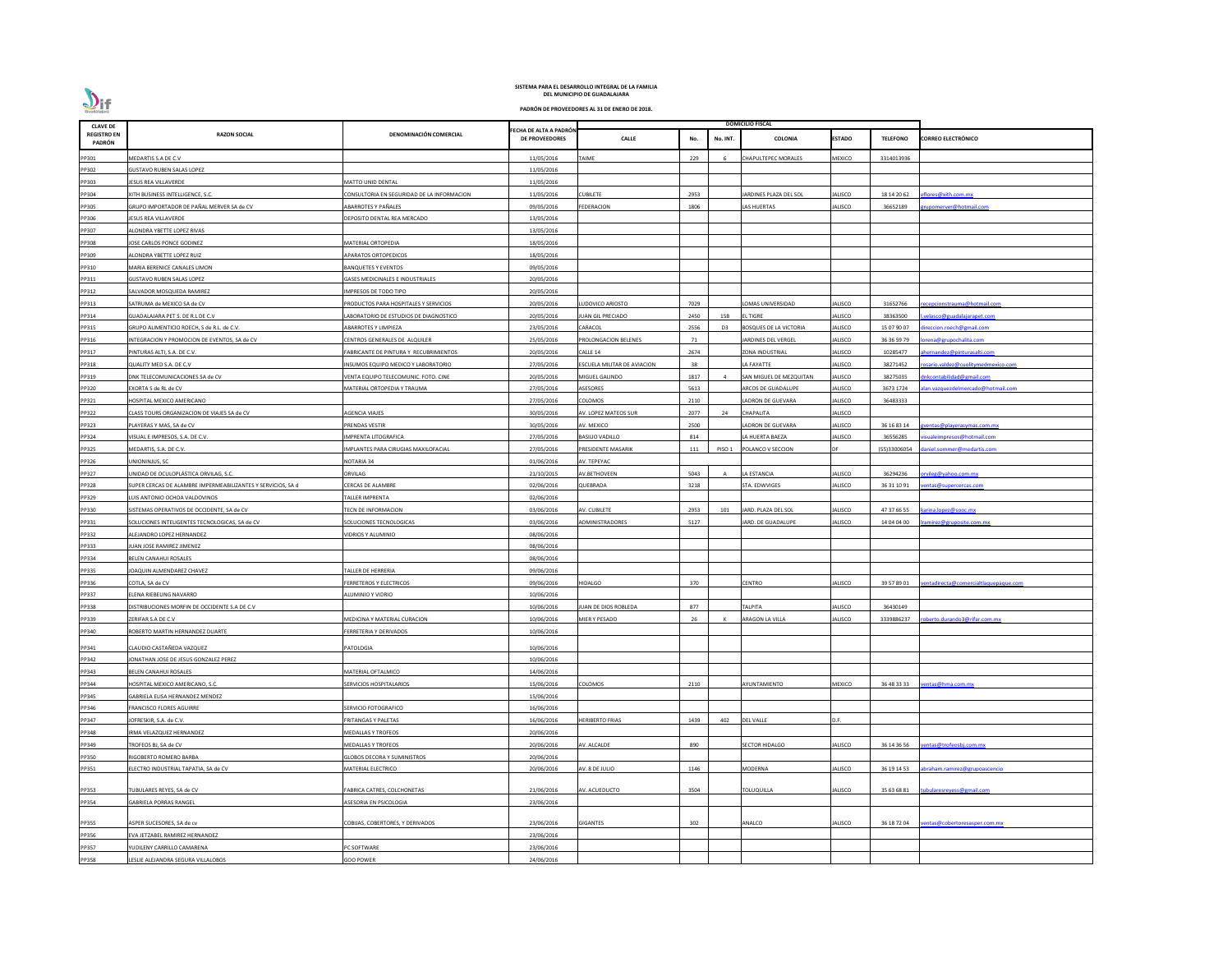

| <b>CLAVE DE</b>              |                                                              |                                            |                                                 |                                    |      |                   | <b>DOMICILIO FISCAL</b>       |                |                 |                                      |
|------------------------------|--------------------------------------------------------------|--------------------------------------------|-------------------------------------------------|------------------------------------|------|-------------------|-------------------------------|----------------|-----------------|--------------------------------------|
| <b>REGISTRO EN</b><br>PADRÓN | <b>RAZON SOCIAL</b>                                          | DENOMINACIÓN COMERCIAL                     | FECHA DE ALTA A PADRÓN<br><b>DE PROVEEDORES</b> | <b>CALLE</b>                       | No.  | No. INT.          | COLONIA                       | ESTADO         | <b>TELEFONO</b> | <b>CORREO ELECTRÓNICO</b>            |
| PP301                        | MEDARTIS S.A DE C.V                                          |                                            | 11/05/2016                                      | <b>TAIME</b>                       | 229  | -6                | CHAPULTEPEC MORALES           | MEXICO         | 3314013936      |                                      |
| PP302                        | <b>GUSTAVO RUBEN SALAS LOPEZ</b>                             |                                            | 11/05/2016                                      |                                    |      |                   |                               |                |                 |                                      |
| PP303                        | JESUS REA VILLAVERDE                                         | MATTO UNID DENTAL                          | 11/05/2016                                      |                                    |      |                   |                               |                |                 |                                      |
| PP304                        | XITH BUSINESS INTELLIGENCE, S.C.                             | CONSULTORIA EN SEGURIDAD DE LA INFORMACION | 11/05/2016                                      | <b>CUBILETE</b>                    | 2953 |                   | ARDINES PLAZA DEL SOL         | JALISCO        | 18 14 20 62     | flores@xith.com.mx                   |
| PP305                        | GRUPO IMPORTADOR DE PAÑAL MERVER SA de CV                    | ABARROTES Y PAÑALES                        | 09/05/2016                                      | <b>FEDERACION</b>                  | 1806 |                   | AS HUERTAS                    | JALISCO        | 36652189        | upomerver@hotmail.com                |
| PP306                        | JESUS REA VILLAVERDE                                         | DEPOSITO DENTAL REA MERCADO                | 13/05/2016                                      |                                    |      |                   |                               |                |                 |                                      |
| PP307                        | ALONDRA YBETTE LOPEZ RIVAS                                   |                                            | 13/05/2016                                      |                                    |      |                   |                               |                |                 |                                      |
| PP308                        | JOSE CARLOS PONCE GODINEZ                                    | MATERIAL ORTOPEDIA                         | 18/05/2016                                      |                                    |      |                   |                               |                |                 |                                      |
| PP309                        | ALONDRA YBETTE LOPEZ RUIZ                                    | <b>APARATOS ORTOPEDICOS</b>                | 18/05/2016                                      |                                    |      |                   |                               |                |                 |                                      |
| PP310                        | MARIA BERENICE CANALES LIMON                                 | <b>BANQUETES Y EVENTOS</b>                 | 09/05/2016                                      |                                    |      |                   |                               |                |                 |                                      |
| PP311                        | <b>GUSTAVO RUBEN SALAS LOPEZ</b>                             | <b>GASES MEDICINALES E INDUSTRIALES</b>    | 20/05/2016                                      |                                    |      |                   |                               |                |                 |                                      |
| PP312                        | SALVADOR MOSQUEDA RAMIREZ                                    | IMPRESOS DE TODO TIPO                      | 20/05/2016                                      |                                    |      |                   |                               |                |                 |                                      |
| PP313                        | SATRUMA de MEXICO SA de CV                                   | PRODUCTOS PARA HOSPITALES Y SERVICIOS      | 20/05/2016                                      | LUDOVICO ARIOSTO                   | 7029 |                   | OMAS UNIVERSIDAD              | JALISCO        | 31652766        | ecepcionstrauma@hotmail.com          |
| PP314                        | GUADALAJARA PET S. DE R.L DE C.V                             | LABORATORIO DE ESTUDIOS DE DIAGNOSTICO     | 20/05/2016                                      | JUAN GIL PRECIADO                  | 2450 | 15B               | L TIGRE                       | JALISCO        | 38363500        | velasco@guadalajarapet.com           |
| PP315                        | GRUPO ALIMENTICIO ROECH, S de R.L. de C.V.                   | <b>ABARROTES Y LIMPIEZA</b>                | 23/05/2016                                      | CARACOL                            | 2556 | D <sub>3</sub>    | <b>BOSQUES DE LA VICTORIA</b> | JALISCO        | 15 07 90 07     | ireccion.roech@gmail.com             |
| PP316                        | INTEGRACION Y PROMOCION DE EVENTOS, SA de CV                 | CENTROS GENERALES DE ALQUILER              | 25/05/2016                                      | PROLONGACION BELENES               | 71   |                   | ARDINES DEL VERGEL            | JALISCO        | 36 36 59 79     | rena@grupochalita.com                |
| PP317                        | PINTURAS ALTI, S.A. DE C.V.                                  | FABRICANTE DE PINTURA Y RECUBRIMIENTOS     | 20/05/2016                                      | CALLE 14                           | 2674 |                   | ZONA INDUSTRIAL               | JALISCO        | 10285477        | hernandez@pinturasalti.com           |
|                              |                                                              |                                            |                                                 |                                    | 38   |                   |                               |                |                 |                                      |
| PP318                        | QUALITY MED S.A. DE C.V                                      | INSUMOS EQUIPO MEDICO Y LABORATORIO        | 27/05/2016                                      | <b>ESCUELA MILITAR DE AVIACION</b> |      |                   | A FAYATTE                     | JALISCO        | 38271452        | osario.valdez@cuolitymedmexico.com   |
| PP319                        | DNK TELECOMUNICACIONES SA de CV                              | VENTA EQUIPO TELECOMUNIC. FOTO. CINE       | 20/05/2016                                      | MIGUEL GALINDO                     | 1817 |                   | SAN MIGUEL DE MEZQUITAN       | <b>JALISCO</b> | 38275035        | nkcontabilidad@gmail.com             |
| PP320                        | EXORTA S de RL de CV                                         | MATERIAL ORTOPEDIA Y TRAUMA                | 27/05/2016                                      | <b>ASESORES</b>                    | 5613 |                   | <b>ARCOS DE GUADALUPE</b>     | JALISCO        | 3673 1724       | lan.vazquezdelmercado@hotmail.com    |
| PP321                        | HOSPITAL MEXICO AMERICANO                                    |                                            | 27/05/2016                                      | COLOMOS                            | 2110 |                   | LADRON DE GUEVARA             | JALISCO        | 36483333        |                                      |
| PP322                        | CLASS TOURS ORGANIZACION DE VIAJES SA de CV                  | AGENCIA VIAJES                             | 30/05/2016                                      | AV. LOPEZ MATEOS SUR               | 2077 | 24                | CHAPALITA                     | JALISCO        |                 |                                      |
| PP323                        | PLAYERAS Y MAS, SA de CV                                     | PRENDAS VESTIR                             | 30/05/2016                                      | AV. MEXICO                         | 2500 |                   | ADRON DE GUEVARA              | JALISCO        | 36 16 83 14     | <u>ventas@playerasymas.com.mx</u>    |
| PP324                        | VISUAL E IMPRESOS, S.A. DE C.V.                              | IMPRENTA LITOGRAFICA                       | 27/05/2016                                      | <b>BASILIO VADILLO</b>             | 814  |                   | A HUERTA BAEZA                | JALISCO        | 36556285        | sualeimpresos@hotmail.com            |
| PP325                        | MEDARTIS, S.A. DE C.V.                                       | IMPLANTES PARA CIRUGIAS MAXILOFACIAL       | 27/05/2016                                      | PRESIDENTE MASARIK                 | 111  | PISO <sub>1</sub> | POLANCO V SECCION             | DE             | (55)33006054    | laniel.sommer@medartis.com           |
| PP326                        | JNIONINJUS, SC                                               | NOTARIA 34                                 | 01/06/2016                                      | AV. TEPEYAC                        |      |                   |                               |                |                 |                                      |
| PP327                        | UNIDAD DE OCULOPLÁSTICA ORVILAG, S.C.                        | ORVILAG                                    | 21/10/2015                                      | AV.BETHOVEEN                       | 5043 | A                 | A ESTANCIA                    | <b>JALISCO</b> | 36294236        | rvileg@yahoo.com.mx                  |
| PP328                        | SUPER CERCAS DE ALAMBRE IMPERMEABILIZANTES Y SERVICIOS, SA d | <b>CERCAS DE ALAMBRE</b>                   | 02/06/2016                                      | QUEBRADA                           | 3218 |                   | STA. EDWVIGES                 | JALISCO        | 36 31 10 91     | entas@supercercas.com                |
| PP329                        | LUIS ANTONIO OCHOA VALDOVINOS                                | <b>TALLER IMPRENTA</b>                     | 02/06/2016                                      |                                    |      |                   |                               |                |                 |                                      |
| PP330                        | SISTEMAS OPERATIVOS DE OCCIDENTE, SA de CV                   | TECN DE INFORMACION                        | 03/06/2016                                      | AV. CUBILETE                       | 2953 | 101               | JARD. PLAZA DEL SOL           | JALISCO        | 47 37 66 55     | karina.lopez@sooc.mx                 |
| PP331                        | SOLUCIONES INTELIGENTES TECNOLOGICAS, SA de CV               | SOLUCIONES TECNOLOGICAS                    | 03/06/2016                                      | ADMINISTRADORES                    | 5127 |                   | JARD. DE GUADALUPE            | <b>JALISCO</b> | 14 04 04 00     | ramirez@gruposite.com.mx             |
| PP332                        | ALEJANDRO LOPEZ HERNANDEZ                                    | VIDRIOS Y ALUMINIO                         | 08/06/2016                                      |                                    |      |                   |                               |                |                 |                                      |
| PP333                        | JUAN JOSE RAMIREZ JIMENEZ                                    |                                            | 08/06/2016                                      |                                    |      |                   |                               |                |                 |                                      |
| PP334                        | BELEN CANAHUI ROSALES                                        |                                            | 08/06/2016                                      |                                    |      |                   |                               |                |                 |                                      |
| PP335                        | JOAQUIN ALMENDAREZ CHAVEZ                                    | TALLER DE HERRERIA                         | 09/06/2016                                      |                                    |      |                   |                               |                |                 |                                      |
| PP336                        | COTLA, SA de CV                                              | FERRETEROS Y ELECTRICOS                    | 09/06/2016                                      | <b>HIDALGO</b>                     | 370  |                   | CENTRO                        | JALISCO        | 39 57 89 01     | entadirecta@comercialtlaquepaque.com |
| PP337                        | <b>LENA RIEBELING NAVARRO</b>                                | ALUMINIO Y VIDRIO                          | 10/06/2016                                      |                                    |      |                   |                               |                |                 |                                      |
| PP338                        | DISTRIBUCIONES MORFIN DE OCCIDENTE S.A DE C.V                |                                            | 10/06/2016                                      | JUAN DE DIOS ROBLEDA               | 877  |                   | ΑΙΡΙΤΑ                        | JALISCO        | 36430149        |                                      |
| PP339                        | ZERIFAR S.A DE C.V                                           | MEDICINA Y MATERIAL CURACION               | 10/06/2016                                      | MIER Y PESADO                      | 26   |                   | ARAGON LA VILLA               | JALISCO        | 3339886237      | bberto.durando3@rifar.com.mx         |
| PP340                        | ROBERTO MARTIN HERNANDEZ DUARTE                              | FERRETERIA Y DERIVADOS                     | 10/06/2016                                      |                                    |      |                   |                               |                |                 |                                      |
|                              |                                                              |                                            |                                                 |                                    |      |                   |                               |                |                 |                                      |
| PP341                        | CLAUDIO CASTAÑEDA VAZQUEZ                                    | <b>PATOLOGIA</b>                           | 10/06/2016                                      |                                    |      |                   |                               |                |                 |                                      |
| PP342                        | JONATHAN JOSE DE JESUS GONZALEZ PEREZ                        |                                            | 10/06/2016                                      |                                    |      |                   |                               |                |                 |                                      |
| PP343                        | BELEN CANAHUI ROSALES                                        | MATERIAL OFTALMICO                         | 14/06/2016                                      |                                    |      |                   |                               |                |                 |                                      |
| PP344                        | HOSPITAL MEXICO AMERICANO, S.C.                              | SERVICIOS HOSPITALARIOS                    | 15/06/2016                                      | COLOMOS                            | 2110 |                   | AYUNTAMIENTO                  | <b>MEXICO</b>  | 36 48 33 33     | entas@hma.com.mx                     |
| PP345                        | GABRIELA ELISA HERNANDEZ MENDEZ                              |                                            | 15/06/2016                                      |                                    |      |                   |                               |                |                 |                                      |
| PP346                        | FRANCISCO FLORES AGUIRRE                                     | SERVICIO FOTOGRAFICO                       | 16/06/2016                                      |                                    |      |                   |                               |                |                 |                                      |
| PP347                        | JOFRESKIR, S.A. de C.V.                                      | FRITANGAS Y PALETAS                        | 16/06/2016                                      | <b>HERIBERTO FRIAS</b>             | 1439 | 402               | DEL VALLE                     | D.F.           |                 |                                      |
| PP348                        | IRMA VELAZQUEZ HERNANDEZ                                     | MEDALLAS Y TROFEOS                         | 20/06/2016                                      |                                    |      |                   |                               |                |                 |                                      |
| PP349                        | TROFEOS BJ, SA de CV                                         | MEDALLAS Y TROFEOS                         | 20/06/2016                                      | AV. ALCALDE                        | 890  |                   | <b>SECTOR HIDALGO</b>         | JALISCO        | 36 14 36 56     | entas@trofeosbj.com.mx               |
| PP350                        | RIGOBERTO ROMERO BARBA                                       | <b>GLOBOS DECORA Y SUMINISTROS</b>         | 20/06/2016                                      |                                    |      |                   |                               |                |                 |                                      |
| PP351                        | LECTRO INDUSTRIAL TAPATIA, SA de CV                          | MATERIAL ELECTRICO                         | 20/06/2016                                      | AV. 8 DE JULIO                     | 1146 |                   | MODERNA                       | <b>JALISCO</b> | 36 19 14 53     | braham.ramirez@grupoascencio         |
|                              |                                                              |                                            |                                                 |                                    |      |                   |                               |                |                 |                                      |
| PP353                        | TUBULARES REYES, SA de CV                                    | FABRICA CATRES, COLCHONETAS                | 21/06/2016                                      | AV. ACUEDUCTO                      | 3504 |                   | TOLUQUILLA                    | JALISCO        | 35 63 68 81     | ubularesreyess@gmail.com             |
| PP354                        | <b>GABRIELA PORRAS RANGEL</b>                                | ASESORIA EN PSICOLOGIA                     | 23/06/2016                                      |                                    |      |                   |                               |                |                 |                                      |
|                              |                                                              |                                            |                                                 |                                    |      |                   |                               |                |                 |                                      |
| PP355                        | ASPER SUCESORES, SA de cv                                    | COBIJAS, COBERTORES, Y DERIVADOS           | 23/06/2016                                      | <b>GIGANTES</b>                    | 302  |                   | ANALCO                        | JALISCO        | 36 18 72 04     | entas@cobertoresasper.com.mx         |
| PP356                        | EVA JETZABEL RAMIREZ HERNANDEZ                               |                                            | 23/06/2016                                      |                                    |      |                   |                               |                |                 |                                      |
| PP357                        | YUDILENY CARRILLO CAMARENA                                   | PC SOFTWARE                                | 23/06/2016                                      |                                    |      |                   |                               |                |                 |                                      |
| PP358                        | LESLIE ALEJANDRA SEGURA VILLALOBOS                           | GOO POWER                                  | 24/06/2016                                      |                                    |      |                   |                               |                |                 |                                      |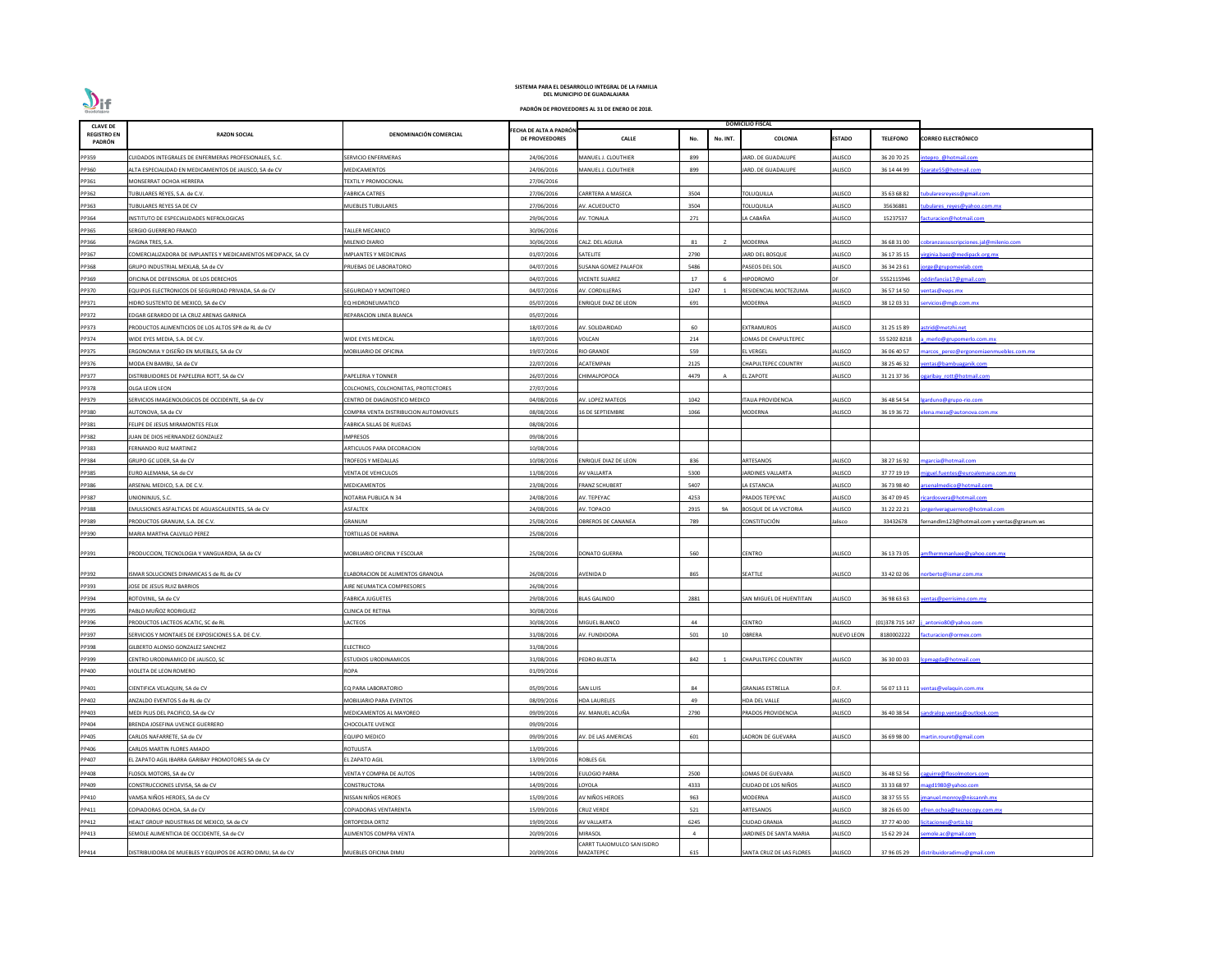| <b>CLAVE DE</b>              |                                                              |                                       |                                                 |                             | <b>DOMICILIO FISCAL</b> |          |                              |                   |                  |                                             |
|------------------------------|--------------------------------------------------------------|---------------------------------------|-------------------------------------------------|-----------------------------|-------------------------|----------|------------------------------|-------------------|------------------|---------------------------------------------|
| <b>REGISTRO EN</b><br>PADRÓN | <b>RAZON SOCIAL</b>                                          | DENOMINACIÓN COMERCIAL                | FECHA DE ALTA A PADRÓN<br><b>DE PROVEEDORES</b> | <b>CALLE</b>                | No.                     | No. INT. | COLONIA                      | <b>ESTADO</b>     | <b>TELEFONO</b>  | <b>CORREO ELECTRÓNICO</b>                   |
| PP359                        | CUIDADOS INTEGRALES DE ENFERMERAS PROFESIONALES, S.C.        | <b>SERVICIO ENFERMERAS</b>            | 24/06/2016                                      | MANUEL J. CLOUTHIER         | 899                     |          | ARD. DE GUADALUPE            | ALISCO            | 36 20 70 25      | tepro @hotmail.com                          |
| PP360                        | ALTA ESPECIALIDAD EN MEDICAMENTOS DE JALISCO, SA de CV       | MEDICAMENTOS                          | 24/06/2016                                      | MANUEL J. CLOUTHIER         | 899                     |          | ARD. DE GUADALUPE            | ALISCO            | 36 14 44 99      | arate55@hotmail.com                         |
| PP361                        | MONSERRAT OCHOA HERRERA                                      | <b>FEXTIL Y PROMOCIONAL</b>           | 27/06/2016                                      |                             |                         |          |                              |                   |                  |                                             |
| PP362                        | TUBULARES REYES, S.A. de C.V.                                | <b>ABRICA CATRES</b>                  | 27/06/2016                                      | CARRTERA A MASECA           | 3504                    |          | <b>TOLUQUILLA</b>            | ALISCO            | 35 63 68 82      | doularesreyess@gmail.com                    |
| PP363                        | TUBULARES REYES SA DE CV                                     | <b>MUEBLES TUBULARES</b>              | 27/06/2016                                      | AV. ACUEDUCTO               | 3504                    |          | <b>TOLUQUILLA</b>            | ALISCO            | 35636881         | ibulares reyes@yahoo.com.mx                 |
| PP364                        | INSTITUTO DE ESPECIALIDADES NEFROLOGICAS                     |                                       | 29/06/2016                                      | AV. TONALA                  | 271                     |          | A CABAÑA                     | JALISCO           | 15237537         | cturacion@hotmail.com                       |
| PP365                        | SERGIO GUERRERO FRANCO                                       | ALLER MECANICO                        | 30/06/2016                                      |                             |                         |          |                              |                   |                  |                                             |
| PP366                        | PAGINA TRES, S.A.                                            | MILENIO DIARIO                        | 30/06/2016                                      | CALZ. DEL AGUILA            | 81                      |          | <b>MODERNA</b>               | ALISCO            | 36 68 31 00      | bbranzassus cripciones.jal@milenio.com      |
| PP367                        | COMERCIALIZADORA DE IMPLANTES Y MEDICAMENTOS MEDIPACK, SA CV | IMPLANTES Y MEDICINAS                 | 01/07/2016                                      | SATELITE                    | 2790                    |          | JARD DEL BOSQUE              | JALISCO           | 36 17 35 15      | irginia.baez@medipack.org.mx                |
| PP368                        | GRUPO INDUSTRIAL MEXLAB, SA de CV                            | PRUEBAS DE LABORATORIO                | 04/07/2016                                      | SUSANA GOMEZ PALAFOX        | 5486                    |          | PASEOS DEL SOL               | ALISCO            | 36 34 23 61      | rge@grupomexlab.com                         |
| PP369                        | OFICINA DE DEFENSORIA DE LOS DERECHOS                        |                                       | 04/07/2016                                      | <b>VICENTE SUAREZ</b>       | 17                      |          | <b>HIPODROMO</b>             | <b>DF</b>         | 5552115946       | ddinfancia17@gmail.com                      |
| PP370                        | QUIPOS ELECTRONICOS DE SEGURIDAD PRIVADA, SA de CV           | SEGURIDAD Y MONITOREO                 | 04/07/2016                                      | AV. CORDILLERAS             | 1247                    |          | RESIDENCIAL MOCTEZUMA        | ALISCO            | 36 57 14 50      | entas@eeps.mx                               |
| PP371                        | HIDRO SUSTENTO DE MEXICO, SA de CV                           | EQ HIDRONEUMATICO                     | 05/07/2016                                      | ENRIQUE DIAZ DE LEON        | 691                     |          | MODERNA                      | ALISCO            | 38 12 03 31      | ervicios@mgb.com.mx                         |
| PP372                        | EDGAR GERARDO DE LA CRUZ ARENAS GARNICA                      | REPARACION LINEA BLANCA               | 05/07/2016                                      |                             |                         |          |                              |                   |                  |                                             |
| PP373                        |                                                              |                                       |                                                 | AV. SOLIDARIDAD             | 60                      |          | EXTRAMUROS                   | ALISCO            | 31 25 15 89      |                                             |
|                              | PRODUCTOS ALIMENTICIOS DE LOS ALTOS SPR de RL de CV          |                                       | 18/07/2016                                      |                             |                         |          |                              |                   |                  | strid@metzhi.net                            |
| PP374                        | WIDE EYES MEDIA, S.A. DE C.V.                                | WIDE EYES MEDICAL                     | 18/07/2016                                      | VOLCAN                      | 214                     |          | OMAS DE CHAPULTEPEC          |                   | 55 5202 8218     | merlo@grupomerlo.com.mx                     |
| PP375                        | ERGONOMIA Y DISEÑO EN MUEBLES, SA de CV                      | <b>MOBILIARIO DE OFICINA</b>          | 19/07/2016                                      | <b>RIO GRANDE</b>           | 559                     |          | EL VERGEL                    | JALISCO           | 36 06 40 57      | arcos perez@ergonomiaenmuebles.com.mx       |
| PP376                        | MODA EN BAMBU, SA de CV                                      |                                       | 22/07/2016                                      | ACATEMPAN                   | 2125                    |          | CHAPULTEPEC COUNTRY          | ALISCO            | 38 25 46 32      | entas@bambuaganik.com                       |
| PP377                        | DISTRIBUIDORES DE PAPELERIA ROTT, SA de CV                   | PAPELERIA Y TONNER                    | 26/07/2016                                      | CHIMALPOPOCA                | 4479                    |          | EL ZAPOTE                    | ALISCO            | 31 21 37 36      | garibay rott@hotmail.com                    |
| PP378                        | OLGA LEON LEON                                               | COLCHONES, COLCHONETAS, PROTECTORES   | 27/07/2016                                      |                             |                         |          |                              |                   |                  |                                             |
| PP379                        | SERVICIOS IMAGENOLOGICOS DE OCCIDENTE, SA de CV              | CENTRO DE DIAGNOSTICO MEDICO          | 04/08/2016                                      | AV. LOPEZ MATEOS            | 1042                    |          | TALIA PROVIDENCIA            | ALISCO            | 36 48 54 54      | arduno@grupo-rio.com                        |
| PP380                        | AUTONOVA, SA de CV                                           | COMPRA VENTA DISTRIBUCION AUTOMOVILES | 08/08/2016                                      | 16 DE SEPTIEMBRE            | 1066                    |          | MODERNA                      | ALISCO            | 36 19 36 72      | <u>ena.meza@autonova.com.mx</u>             |
| PP381                        | FELIPE DE JESUS MIRAMONTES FELIX                             | ABRICA SILLAS DE RUEDAS               | 08/08/2016                                      |                             |                         |          |                              |                   |                  |                                             |
| PP382                        | IUAN DE DIOS HERNANDEZ GONZALEZ                              | IMPRESOS                              | 09/08/2016                                      |                             |                         |          |                              |                   |                  |                                             |
| PP383                        | <b>ERNANDO RUIZ MARTINEZ</b>                                 | <b>RTICULOS PARA DECORACION</b>       | 10/08/2016                                      |                             |                         |          |                              |                   |                  |                                             |
| PP384                        | GRUPO GC LIDER, SA de CV                                     | <b>FROFEOS Y MEDALLAS</b>             | 10/08/2016                                      | ENRIQUE DIAZ DE LEON        | 836                     |          | ARTESANOS                    | ALISCO            | 38 27 16 92      | garcia@hotmail.com                          |
| PP385                        | EURO ALEMANA, SA de CV                                       | <b>/ENTA DE VEHICULOS</b>             | 11/08/2016                                      | <b>AV VALLARTA</b>          | 5300                    |          | ARDINES VALLARTA             | ALISCO            | 37 77 19 19      | iguel.fuentes@euroalemana.com.mx            |
| PP386                        | ARSENAL MEDICO, S.A. DE C.V.                                 | MEDICAMENTOS                          | 23/08/2016                                      | <b>FRANZ SCHUBERT</b>       | 5407                    |          | LA ESTANCIA                  | ALISCO            | 36 73 98 40      | senalmedico@hotmail.com                     |
| PP387                        | UNIONINJUS, S.C.                                             | NOTARIA PUBLICA N 34                  | 24/08/2016                                      | AV. TEPEYAC                 | 4253                    |          | PRADOS TEPEYAC               | <b>ALISCO</b>     | 36 47 09 45      | icardosvera@hotmail.com                     |
| PP388                        | EMULSIONES ASFALTICAS DE AGUASCALIENTES, SA de CV            | ASFALTEK                              | 24/08/2016                                      | AV. TOPACIO                 | 2915                    | 9A       | <b>BOSQUE DE LA VICTORIA</b> | ALISCO            | 31 22 22 21      | jorgeriveraguerrero@hotmail.com             |
| PP389                        | PRODUCTOS GRANUM, S.A. DE C.V.                               | GRANUM                                | 25/08/2016                                      | OBREROS DE CANANEA          | 789                     |          | <b>CONSTITUCIÓN</b>          | alisco            | 33432678         | fernandlm123@hotmail.com y ventas@granum.ws |
| PP390                        | MARIA MARTHA CALVILLO PEREZ                                  | <b>FORTILLAS DE HARINA</b>            | 25/08/2016                                      |                             |                         |          |                              |                   |                  |                                             |
|                              |                                                              |                                       |                                                 |                             |                         |          |                              |                   |                  |                                             |
| PP391                        | PRODUCCION, TECNOLOGIA Y VANGUARDIA, SA de CV                | MOBILIARIO OFICINA Y ESCOLAR          | 25/08/2016                                      | <b>DONATO GUERRA</b>        | 560                     |          | <b>CENTRO</b>                | JALISCO           | 36 13 73 05      | mfhermmanluxe@yahoo.com.mx                  |
|                              |                                                              |                                       |                                                 |                             |                         |          |                              |                   |                  |                                             |
| PP392                        | ISMAR SOLUCIONES DINAMICAS S de RL de CV                     | ELABORACION DE ALIMENTOS GRANOLA      | 26/08/2016                                      | AVENIDA D                   | 865                     |          | SEATTLE                      | JALISCO           | 33 42 02 06      | orberto@ismar.com.mx                        |
| PP393                        | IOSE DE JESUS RUIZ BARRIOS                                   | <b>IRE NEUMATICA COMPRESORES</b>      | 26/08/2016                                      |                             |                         |          |                              |                   |                  |                                             |
| PP394                        | ROTOVINIL, SA de CV                                          | <b>FABRICA JUGUETES</b>               | 29/08/2016                                      | <b>BLAS GALINDO</b>         | 2881                    |          | SAN MIGUEL DE HUENTITAN      | JALISCO           | 36 98 63 63      | entas@perrisimo.com.mx                      |
| PP395                        | PABLO MUÑOZ RODRIGUEZ                                        | CLINICA DE RETINA                     | 30/08/2016                                      |                             |                         |          |                              |                   |                  |                                             |
| PP396                        | PRODUCTOS LACTEOS ACATIC, SC de RL                           | ACTEOS                                | 30/08/2016                                      | MIGUEL BLANCO               | 44                      |          | CENTRO                       | ALISCO            | (01) 378 715 147 | antonio80@yahoo.com                         |
| PP397                        | SERVICIOS Y MONTAJES DE EXPOSICIONES S.A. DE C.V.            |                                       | 31/08/2016                                      | AV. FUNDIDORA               | 501                     | 10       | <b>OBRERA</b>                | <b>NUEVO LEON</b> | 8180002222       | cturacion@ormex.com                         |
| PP398                        | GILBERTO ALONSO GONZALEZ SANCHEZ                             | ELECTRICO                             | 31/08/2016                                      |                             |                         |          |                              |                   |                  |                                             |
| PP399                        | CENTRO URODINAMICO DE JALISCO, SC                            | STUDIOS URODINAMICOS                  | 31/08/2016                                      | <b>PEDRO BUZETA</b>         | 842                     |          | CHAPULTEPEC COUNTRY          | ALISCO            | 36 30 00 03      | omagda@hotmail.com                          |
| PP400                        | VIOLETA DE LEON ROMERO                                       | ROPA                                  | 01/09/2016                                      |                             |                         |          |                              |                   |                  |                                             |
| PP401                        |                                                              | EQ PARA LABORATORIO                   | 05/09/2016                                      | <b>SAN LUIS</b>             | 84                      |          | <b>GRANJAS ESTRELLA</b>      | D.F.              | 56 07 13 11      | entas@velaquin.com.mx                       |
|                              | CIENTIFICA VELAQUIN, SA de CV                                |                                       |                                                 |                             |                         |          |                              |                   |                  |                                             |
| PP402                        | ANZALDO EVENTOS S de RL de CV                                | MOBILIARIO PARA EVENTOS               | 08/09/2016                                      | <b>HDA LAURELES</b>         | 49                      |          | HDA DEL VALLE                | JALISCO           |                  |                                             |
| PP403                        | MEDI PLUS DEL PACIFICO, SA de CV                             | MEDICAMENTOS AL MAYOREO               | 09/09/2016                                      | AV. MANUEL ACUÑA            | 2790                    |          | PRADOS PROVIDENCIA           | ALISCO            | 36 40 38 54      | ndralop.ventas@outlook.com                  |
| PP404                        | BRENDA JOSEFINA UVENCE GUERRERO                              | HOCOLATE UVENCE                       | 09/09/2016                                      |                             |                         |          |                              |                   |                  |                                             |
| PP405                        | CARLOS NAFARRETE, SA de CV                                   | EQUIPO MEDICO                         | 09/09/2016                                      | AV. DE LAS AMERICAS         | 601                     |          | ADRON DE GUEVARA             | JALISCO           | 36 69 98 00      | artin.rouret@gmail.com                      |
| PP406                        | CARLOS MARTIN FLORES AMADO                                   | ROTULISTA                             | 13/09/2016                                      |                             |                         |          |                              |                   |                  |                                             |
| PP407                        | EL ZAPATO AGIL IBARRA GARIBAY PROMOTORES SA de CV            | L ZAPATO AGIL                         | 13/09/2016                                      | <b>ROBLES GIL</b>           |                         |          |                              |                   |                  |                                             |
| PP408                        | FLOSOL MOTORS, SA de CV                                      | <b>VENTA Y COMPRA DE AUTOS</b>        | 14/09/2016                                      | EULOGIO PARRA               | 2500                    |          | OMAS DE GUEVARA              | JALISCO           | 36 48 52 56      | aguirre@flosolmotors.com                    |
| PP409                        | CONSTRUCCIONES LEVISA, SA de CV                              | CONSTRUCTORA                          | 14/09/2016                                      | LOYOLA                      | 4333                    |          | CIUDAD DE LOS NIÑOS          | ALISCO            | 33 33 68 97      | agd1980@yahoo.com                           |
| PP410                        | VAMSA NIÑOS HEROES. SA de CV                                 | NISSAN NIÑOS HEROES                   | 15/09/2016                                      | AV NIÑOS HEROES             | 963                     |          | MODERNA                      | ALISCO            | 38 37 55 55      | anuel.monroy@nissannh.mx                    |
| PP411                        | COPIADORAS OCHOA, SA de CV                                   | COPIADORAS VENTARENTA                 | 15/09/2016                                      | <b>CRUZ VERDE</b>           | 521                     |          | ARTESANOS                    | ALISCO            | 38 26 65 00      | fren.ochoa@tecnocopy.com.mx                 |
| PP412                        | HEALT GROUP INDUSTRIAS DE MEXICO, SA de CV                   | ORTOPEDIA ORTIZ                       | 19/09/2016                                      | <b>AV VALLARTA</b>          | 6245                    |          | CIUDAD GRANJA                | <b>ALISCO</b>     | 37 77 40 00      | citaciones@ortiz.biz                        |
| PP413                        | SEMOLE ALIMENTICIA DE OCCIDENTE, SA de CV                    | ALIMENTOS COMPRA VENTA                | 20/09/2016                                      | <b>MIRASOL</b>              | $\overline{4}$          |          | JARDINES DE SANTA MARIA      | JALISCO           | 15 62 29 24      | mole.ac@gmail.com                           |
|                              |                                                              |                                       |                                                 | CARRT TLAJOMULCO SAN ISIDRO |                         |          |                              |                   |                  |                                             |
| PP414                        | DISTRIBUIDORA DE MUEBLES Y EQUIPOS DE ACERO DIMU, SA de CV   | MUEBLES OFICINA DIMU                  | 20/09/2016                                      | MAZATEPEC                   | 615                     |          | SANTA CRUZ DE LAS FLORES     | <b>JALISCO</b>    | 37 96 05 29      | distribuidoradimu@gmail.com                 |

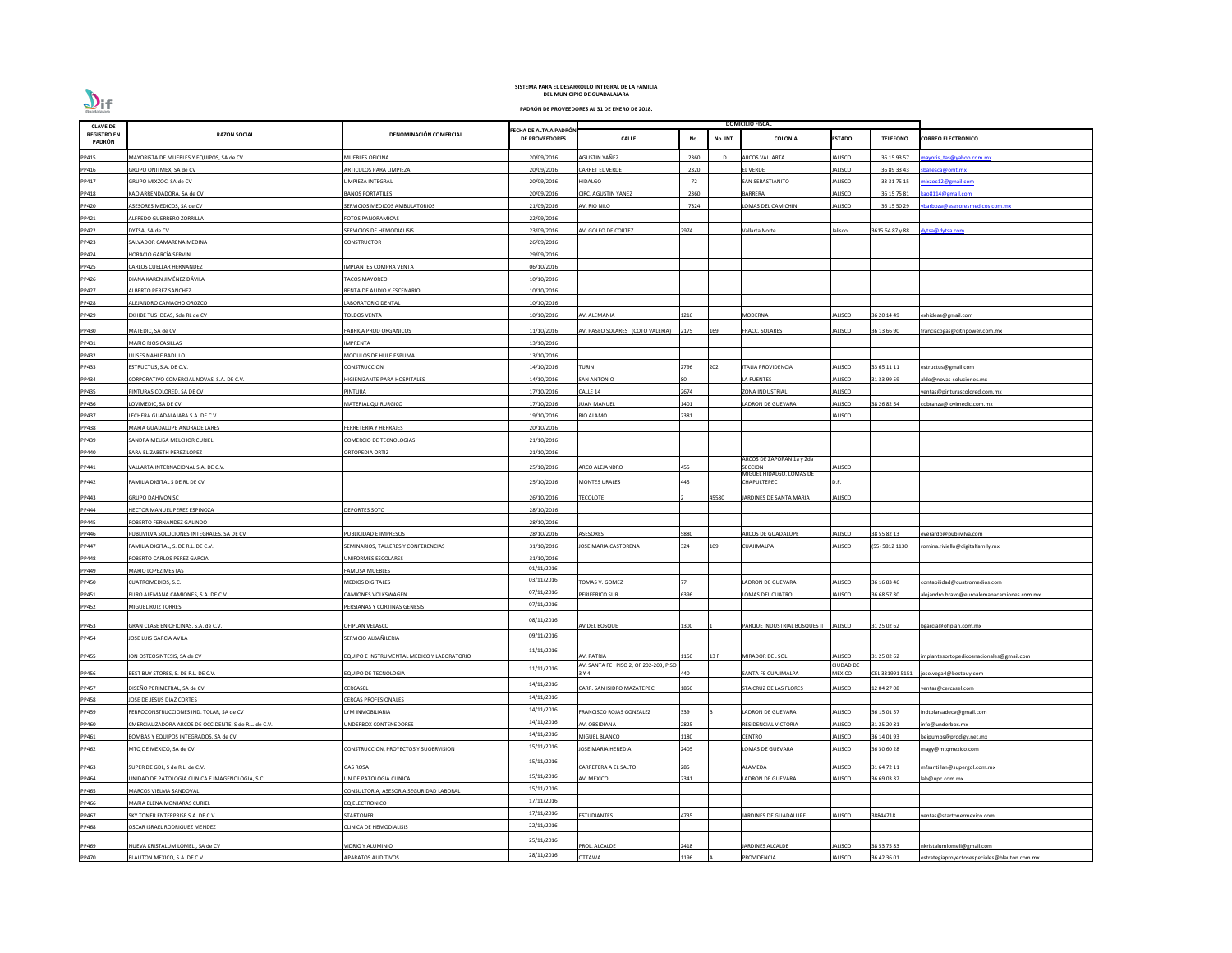| <b>CLAVE DE</b>              |                                                       |                                            |                                                 |                                       | <b>DOMICILIO FISCAL</b> |          |                                     |                  |                 |                                              |
|------------------------------|-------------------------------------------------------|--------------------------------------------|-------------------------------------------------|---------------------------------------|-------------------------|----------|-------------------------------------|------------------|-----------------|----------------------------------------------|
| <b>REGISTRO EN</b><br>PADRÓN | <b>RAZON SOCIAL</b>                                   | DENOMINACIÓN COMERCIAL                     | FECHA DE ALTA A PADRÓN<br><b>DE PROVEEDORES</b> | <b>CALLE</b>                          | No.                     | No. INT. | COLONIA                             | <b>ESTADO</b>    | <b>TELEFONO</b> | <b>CORREO ELECTRÓNICO</b>                    |
| PP415                        | MAYORISTA DE MUEBLES Y EQUIPOS, SA de CV              | MUEBLES OFICINA                            | 20/09/2016                                      | AGUSTIN YAÑEZ                         | 2360                    | - D      | <b>RCOS VALLARTA</b>                | JALISCO          | 36 15 93 57     | nayoris tas@yahoo.com.mx                     |
| PP416                        | GRUPO ONITMEX, SA de CV                               | ARTICULOS PARA LIMPIEZA                    | 20/09/2016                                      | CARRET EL VERDE                       | 2320                    |          | EL VERDE                            | <b>JALISCO</b>   | 36 89 33 43     | ballesca@onit.mx                             |
| PP417                        | GRUPO MIXZOC, SA de CV                                | LIMPIEZA INTEGRAL                          | 20/09/2016                                      | HIDALGO                               | 72                      |          | SAN SEBASTIANITO                    | <b>JALISCO</b>   | 33 31 75 15     | ixzoc12@gmail.com                            |
| PP418                        | KAO ARRENDADORA, SA de CV                             | <b>BAÑOS PORTATILES</b>                    | 20/09/2016                                      | CIRC. AGUSTIN YAÑEZ                   | 2360                    |          | <b>BARRERA</b>                      | <b>JALISCO</b>   | 36 15 75 81     | ao8114@gmail.com                             |
| PP420                        | ASESORES MEDICOS, SA de CV                            | SERVICIOS MEDICOS AMBULATORIOS             | 21/09/2016                                      | AV. RIO NILO                          | 7324                    |          | LOMAS DEL CAMICHIN                  | <b>JALISCO</b>   | 36 15 50 29     | barboza@asesoresmedicos.com.mx               |
| PP421                        | ALFREDO GUERRERO ZORRILLA                             | FOTOS PANORAMICAS                          | 22/09/2016                                      |                                       |                         |          |                                     |                  |                 |                                              |
| PP422                        | DYTSA, SA de CV                                       | SERVICIOS DE HEMODIALISIS                  | 23/09/2016                                      | AV. GOLFO DE CORTEZ                   | 2974                    |          | Vallarta Norte                      | Jalisco          | 3615 64 87 y 88 | dytsa@dytsa.com                              |
| PP423                        | SALVADOR CAMARENA MEDINA                              | CONSTRUCTOR                                | 26/09/2016                                      |                                       |                         |          |                                     |                  |                 |                                              |
| PP424                        | HORACIO GARCÍA SERVIN                                 |                                            | 29/09/2016                                      |                                       |                         |          |                                     |                  |                 |                                              |
| PP425                        | CARLOS CUELLAR HERNANDEZ                              | <b>IMPLANTES COMPRA VENTA</b>              | 06/10/2016                                      |                                       |                         |          |                                     |                  |                 |                                              |
| PP426                        | DIANA KAREN JIMÉNEZ DÁVILA                            | <b>TACOS MAYOREO</b>                       | 10/10/2016                                      |                                       |                         |          |                                     |                  |                 |                                              |
| PP427                        | ALBERTO PEREZ SANCHEZ                                 | RENTA DE AUDIO Y ESCENARIO                 | 10/10/2016                                      |                                       |                         |          |                                     |                  |                 |                                              |
| PP428                        | ALEJANDRO CAMACHO OROZCO                              | ABORATORIO DENTAL                          | 10/10/2016                                      |                                       |                         |          |                                     |                  |                 |                                              |
| PP429                        | EXHIBE TUS IDEAS, Sde RL de CV                        | <b>TOLDOS VENTA</b>                        | 10/10/2016                                      | AV. ALEMANIA                          | 1216                    |          | <b>MODERNA</b>                      | <b>JALISCO</b>   | 36 20 14 49     | exhideas@gmail.com                           |
|                              |                                                       | <b>FABRICA PROD ORGANICOS</b>              |                                                 | AV. PASEO SOLARES (COTO VALERIA)      | 2175                    | 169      |                                     | <b>JALISCO</b>   | 36 13 66 90     |                                              |
| PP430                        | MATEDIC, SA de CV                                     |                                            | 11/10/2016                                      |                                       |                         |          | <b>FRACC. SOLARES</b>               |                  |                 | franciscogas@citripower.com.mx               |
| PP431                        | MARIO RIOS CASILLAS                                   | <b>IMPRENTA</b>                            | 13/10/2016                                      |                                       |                         |          |                                     |                  |                 |                                              |
| PP432                        | JLISES NAHLE BADILLO                                  | MODULOS DE HULE ESPUMA                     | 13/10/2016                                      |                                       |                         |          |                                     |                  |                 |                                              |
| PP433                        | ESTRUCTUS, S.A. DE C.V.                               | CONSTRUCCION                               | 14/10/2016                                      | TURIN                                 | 2796                    | 202      | TALIA PROVIDENCIA                   | JALISCO          | 33 65 11 11     | estructus@gmail.com                          |
| PP434                        | CORPORATIVO COMERCIAL NOVAS, S.A. DE C.V.             | HIGIENIZANTE PARA HOSPITALES               | 14/10/2016                                      | SAN ANTONIO                           |                         |          | LA FUENTES                          | <b>JALISCO</b>   | 31 33 99 59     | ddo@novas-soluciones.mx                      |
| PP435                        | PINTURAS COLORED, SA DE CV                            | PINTURA                                    | 17/10/2016                                      | CALLE 14                              | 2674                    |          | ZONA INDUSTRIAL                     | JALISCO          |                 | entas@pinturascolored.com.mx                 |
| PP436                        | LOVIMEDIC, SA DE CV                                   | MATERIAL QUIRURGICO                        | 17/10/2016                                      | <b>IUAN MANUEL</b>                    | 1401                    |          | LADRON DE GUEVARA                   | JALISCO          | 38 26 82 54     | :obranza@lovimedic.com.mx                    |
| PP437                        | LECHERA GUADALAJARA S.A. DE C.V.                      |                                            | 19/10/2016                                      | RIO ALAMO                             | 2381                    |          |                                     | <b>JALISCO</b>   |                 |                                              |
| PP438                        | MARIA GUADALUPE ANDRADE LARES                         | FERRETERIA Y HERRAJES                      | 20/10/2016                                      |                                       |                         |          |                                     |                  |                 |                                              |
| PP439                        | SANDRA MELISA MELCHOR CURIEL                          | COMERCIO DE TECNOLOGIAS                    | 21/10/2016                                      |                                       |                         |          |                                     |                  |                 |                                              |
| PP440                        | SARA ELIZABETH PEREZ LOPEZ                            | ORTOPEDIA ORTIZ                            | 21/10/2016                                      |                                       |                         |          | ARCOS DE ZAPOPAN 1a y 2da           |                  |                 |                                              |
| PP441                        | VALLARTA INTERNACIONAL S.A. DE C.V.                   |                                            | 25/10/2016                                      | ARCO ALEJANDRO                        | 455                     |          | SECCION<br>MIGUEL HIDALGO, LOMAS DE | <b>JALISCO</b>   |                 |                                              |
| PP442                        | FAMILIA DIGITAL S DE RL DE CV                         |                                            | 25/10/2016                                      | <b>MONTES URALES</b>                  | 445                     |          | CHAPULTEPEC                         | D.F.             |                 |                                              |
| PP443                        | <b>GRUPO DAHIVON SC</b>                               |                                            | 26/10/2016                                      | <b>TECOLOTE</b>                       |                         | 45580    | JARDINES DE SANTA MARIA             | <b>JALISCO</b>   |                 |                                              |
| PP444                        | HECTOR MANUEL PEREZ ESPINOZA                          | <b>DEPORTES SOTO</b>                       | 28/10/2016                                      |                                       |                         |          |                                     |                  |                 |                                              |
| PP445                        | ROBERTO FERNANDEZ GALINDO                             |                                            | 28/10/2016                                      |                                       |                         |          |                                     |                  |                 |                                              |
| PP446                        | PUBLIVILVA SOLUCIONES INTEGRALES, SA DE CV            | PUBLICIDAD E IMPRESOS                      | 28/10/2016                                      | <b>ASESORES</b>                       | 5880                    |          | <b>ARCOS DE GUADALUPE</b>           | JALISCO          | 38 55 82 13     | verardo@publivilva.com                       |
| PP447                        | FAMILIA DIGITAL, S. DE R.L. DE C.V.                   | SEMINARIOS, TALLERES Y CONFERENCIAS        | 31/10/2016                                      | <b>JOSE MARIA CASTORENA</b>           | 324                     | 109      | CUAJIMALPA                          | <b>JALISCO</b>   | (55) 5812 1130  | omina.riviello@digitalfamily.mx              |
| PP448                        | ROBERTO CARLOS PEREZ GARCIA                           | UNIFORMES ESCOLARES                        | 31/10/2016                                      |                                       |                         |          |                                     |                  |                 |                                              |
| PP449                        | MARIO LOPEZ MESTAS                                    | <b>FAMUSA MUEBLES</b>                      | 01/11/2016                                      |                                       |                         |          |                                     |                  |                 |                                              |
| PP450                        | CUATROMEDIOS, S.C.                                    | <b>MEDIOS DIGITALES</b>                    | 03/11/2016                                      | TOMAS V. GOMEZ                        |                         |          | ADRON DE GUEVARA                    | <b>JALISCO</b>   | 36 16 83 46     | :ontabilidad@cuatromedios.com                |
| PP451                        | URO ALEMANA CAMIONES, S.A. DE C.V.                    | CAMIONES VOLKSWAGEN                        | 07/11/2016                                      | PERIFERICO SUR                        | 5396                    |          | LOMAS DEL CUATRO                    | <b>JALISCO</b>   | 36 68 57 30     | lejandro.bravo@euroalemanacamiones.com.mx    |
| PP452                        | MIGUEL RUIZ TORRES                                    | PERSIANAS Y CORTINAS GENESIS               | 07/11/2016                                      |                                       |                         |          |                                     |                  |                 |                                              |
|                              |                                                       |                                            | 08/11/2016                                      |                                       |                         |          |                                     |                  |                 |                                              |
| PP453                        | GRAN CLASE EN OFICINAS, S.A. de C.V.                  | OFIPLAN VELASCO                            |                                                 | AV DEL BOSQUE                         | L300                    |          | PARQUE INDUSTRIAL BOSQUES II        | <b>JALISCO</b>   | 31 25 02 62     | ogarcia@ofiplan.com.mx                       |
| PP454                        | JOSE LUIS GARCIA AVILA                                | SERVICIO ALBAÑILERIA                       | 09/11/2016                                      |                                       |                         |          |                                     |                  |                 |                                              |
| PP455                        | ION OSTEOSINTESIS, SA de CV                           | EQUIPO E INSTRUMENTAL MEDICO Y LABORATORIO | 11/11/2016                                      | AV. PATRIA                            | 150                     | 13 F     | MIRADOR DEL SOL                     | <b>JALISCO</b>   | 31 25 02 62     | mplantesortopedicosnacionales@gmail.com      |
|                              |                                                       |                                            |                                                 | AV. SANTA FE PISO 2, OF 202-203, PISO |                         |          |                                     | <b>CIUDAD DE</b> |                 |                                              |
| PP456                        | BEST BUY STORES, S. DE R.L. DE C.V.                   | EQUIPO DE TECNOLOGIA                       | 11/11/2016                                      | 3 Y 4                                 | 440                     |          | SANTA FE CUAJIMALPA                 | <b>MEXICO</b>    | CEL 331991 5151 | ose.vega4@bestbuy.com                        |
| PP457                        | DISEÑO PERIMETRAL, SA de CV                           | CERCASEL                                   | 14/11/2016                                      | CARR. SAN ISIDRO MAZATEPEC            | 1850                    |          | STA CRUZ DE LAS FLORES              | <b>JALISCO</b>   | 12 04 27 08     | entas@cercasel.com                           |
| PP458                        | JOSE DE JESUS DIAZ CORTES                             | <b>CERCAS PROFESIONALES</b>                | 14/11/2016                                      |                                       |                         |          |                                     |                  |                 |                                              |
| PP459                        | FERROCONSTRUCCIONES IND. TOLAR, SA de CV              | LYM INMOBILIARIA                           | 14/11/2016                                      | FRANCISCO ROJAS GONZALEZ              | 339                     |          | LADRON DE GUEVARA                   | <b>JALISCO</b>   | 36 15 01 57     | ndtolarsadecv@gmail.com                      |
| PP460                        | CMERCIALIZADORA ARCOS DE OCCIDENTE, S de R.L. de C.V. | JNDERBOX CONTENEDORES                      | 14/11/2016                                      | AV. OBSIDIANA                         | 2825                    |          | RESIDENCIAL VICTORIA                | <b>JALISCO</b>   | 31 25 20 81     | nfo@underbox.mx                              |
| PP461                        | BOMBAS Y EQUIPOS INTEGRADOS, SA de CV                 |                                            | 14/11/2016                                      | MIGUEL BLANCO                         | 180                     |          | CENTRO                              | <b>JALISCO</b>   | 36 14 01 93     | eipumps@prodigy.net.mx                       |
| PP462                        | MTQ DE MEXICO, SA de CV                               | CONSTRUCCION, PROYECTOS Y SUOERVISION      | 15/11/2016                                      | JOSE MARIA HEREDIA                    | 2405                    |          | OMAS DE GUEVARA                     | <b>JALISCO</b>   | 36 30 60 28     | nagy@mtqmexico.com                           |
| PP463                        | SUPER DE GDL, S de R.L. de C.V.                       | <b>GAS ROSA</b>                            | 15/11/2016                                      | CARRETERA A EL SALTO                  | 285                     |          | ALAMEDA                             | JALISCO          | 31 64 72 11     | mfsantillan@supergdl.com.mx                  |
| PP464                        | UNIDAD DE PATOLOGIA CLINICA E IMAGENOLOGIA, S.C.      | UN DE PATOLOGIA CLINICA                    | 15/11/2016                                      | AV. MEXICO                            | 2341                    |          | LADRON DE GUEVARA                   | <b>JALISCO</b>   | 36 69 03 32     | ab@upc.com.mx                                |
| PP465                        | <b>MARCOS VIELMA SANDOVAL</b>                         | CONSULTORIA, ASESORIA SEGURIDAD LABORAI    | 15/11/2016                                      |                                       |                         |          |                                     |                  |                 |                                              |
| PP466                        | MARIA ELENA MONJARAS CURIEL                           | EQ ELECTRONICO                             | 17/11/2016                                      |                                       |                         |          |                                     |                  |                 |                                              |
| PP467                        | SKY TONER ENTERPRISE S.A. DE C.V.                     | STARTONER                                  | 17/11/2016                                      | ESTUDIANTES                           | 4735                    |          | <b>ARDINES DE GUADALUPE</b>         | JALISCO          | 38844718        | entas@startonermexico.com                    |
| PP468                        | OSCAR ISRAEL RODRIGUEZ MENDEZ                         | CLINICA DE HEMODIALISIS                    | 22/11/2016                                      |                                       |                         |          |                                     |                  |                 |                                              |
|                              |                                                       |                                            | 25/11/2016                                      |                                       |                         |          |                                     |                  |                 |                                              |
| PP469                        | NUEVA KRISTALUM LOMELI, SA de CV                      | VIDRIO Y ALUMINIO                          | 28/11/2016                                      | PROL. ALCALDE                         | 2418                    |          | JARDINES ALCALDE                    | JALISCO          | 38 53 75 83     | nkristalumlomeli@gmail.com                   |
| PP470                        | BLAUTON MEXICO, S.A. DE C.V.                          | <b>APARATOS AUDITIVOS</b>                  |                                                 | <b>OTTAWA</b>                         | <b>196</b>              |          | PROVIDENCIA                         | <b>JALISCO</b>   | 36 42 36 01     | estrategiaproyectosespeciales@blauton.com.mx |

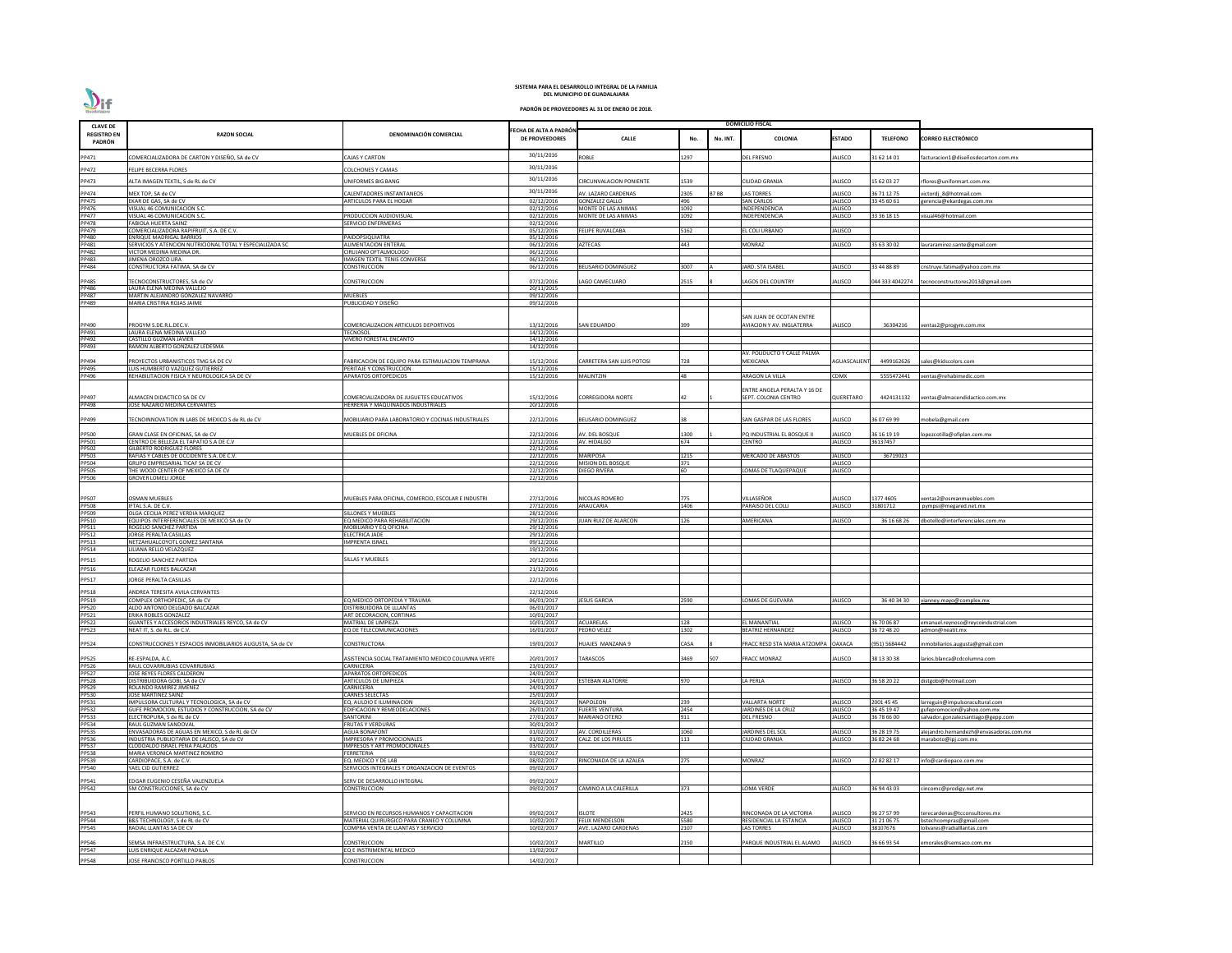| <b>CLAVE DE</b>              |                                                                                       |                                                                                 |                                                |                                                | <b>DOMICILIO FISCAL</b> |             |                                                              |                           |                            |                                                        |
|------------------------------|---------------------------------------------------------------------------------------|---------------------------------------------------------------------------------|------------------------------------------------|------------------------------------------------|-------------------------|-------------|--------------------------------------------------------------|---------------------------|----------------------------|--------------------------------------------------------|
| <b>REGISTRO EN</b><br>PADRÓN | <b>RAZON SOCIAL</b>                                                                   | DENOMINACIÓN COMERCIAL                                                          | ECHA DE ALTA A PADRÓN<br><b>DE PROVEEDORES</b> | <b>CALLE</b>                                   | No.                     | No. INT.    | COLONIA                                                      | <b>ESTADO</b>             | <b>TELEFONO</b>            | <b>CORREO ELECTRÓNICO</b>                              |
| PP471                        | COMERCIALIZADORA DE CARTON Y DISEÑO, SA de CV                                         | <b>CAJAS Y CARTON</b>                                                           | 30/11/2016                                     | <b>ROBLE</b>                                   | 1297                    |             | EL FRESNO                                                    | ALISCO                    | 31 62 14 01                | acturacion1@diseñosdecarton.com.mx                     |
| PP472                        | <b>ELIPE BECERRA FLORES</b>                                                           | COLCHONES Y CAMAS                                                               | 30/11/2016                                     |                                                |                         |             |                                                              |                           |                            |                                                        |
| PP473                        |                                                                                       | <b>JNIFORMES BIG BANG</b>                                                       | 30/11/2016                                     |                                                | 1539                    |             | CIUDAD GRANJA                                                |                           |                            |                                                        |
|                              | <b>ILTA IMAGEN TEXTIL, S de RL de CV</b>                                              |                                                                                 | 30/11/2016                                     | <b>CIRCUNVALACION PONIENTE</b>                 |                         |             |                                                              | ALISCO                    | 15 62 03 27                | flores@uniformart.com.mx                               |
| PP474<br>PP475               | MEX TOP, SA de CV<br>EKAR DE GAS, SA de CV                                            | CALENTADORES INSTANTANEOS<br>ARTICULOS PARA EL HOGAR                            | 02/12/2016                                     | AV. LAZARO CARDENAS<br><b>GONZALEZ GALLO</b>   | 2305<br>496             | <b>B7B8</b> | LAS TORRES<br><b>SAN CARLOS</b>                              | ALISCO<br>JALISCO         | 36 71 12 75<br>33 45 60 61 | victordj 8@hotmail.com<br>gerencia@ekardegas.com.mx    |
| PP476                        | VISUAL 46 COMUNICACION S.C.                                                           |                                                                                 | 02/12/2016                                     | MONTE DE LAS ANIMAS                            | 1092                    |             | INDEPENDENCIA                                                | <b>JALISCO</b>            |                            |                                                        |
| PP477<br><b>PP478</b>        | VISUAL 46 COMUNICACION S.C.                                                           | PRODUCCION AUDIOVISUAL                                                          | 02/12/2016                                     | MONTE DE LAS ANIMAS                            | 1092                    |             | INDEPENDENCIA                                                | JALISCO                   | 33 36 18 15                | visual46@hotmail.com                                   |
| PP479                        | <b>FABIOLA HUERTA SAINZ</b><br>COMERCIALIZADORA RAPIFRUIT. S.A. DE C.V.               | SERVICIO ENFERMERAS                                                             | 02/12/2016<br>05/12/2016                       | <b>FELIPE RUVALCABA</b>                        | 5162                    |             | EL COLI URBANO                                               | <b>JALISCO</b>            |                            |                                                        |
| PP480                        | <b>ENRIQUE MADRIGAL BARRIOS</b>                                                       | PAIDOPSIQUIATRA                                                                 | 05/12/2016                                     |                                                |                         |             |                                                              |                           |                            |                                                        |
| PP481<br><b>PP482</b>        | SERVICIOS Y ATENCION NUTRICIONAL TOTAL Y ESPECIALIZADA SC<br>VICTOR MEDINA MEDINA DR. | <b>ALIMENTACION ENTERAL</b><br>CIRUJANO OFTALMOLOGO                             | 06/12/2016<br>06/12/2016                       | <b>AZTECAS</b>                                 | 443                     |             | <b>MONRAZ</b>                                                | <b>JALISCO</b>            | 35 63 30 02                | lauraramirez.sante@gmail.com                           |
| PP483                        | JIMENA OROZCO LIRA                                                                    | <b>IMAGEN TEXTIL TENIS CONVERSE</b>                                             | 06/12/2016                                     |                                                |                         |             |                                                              |                           |                            |                                                        |
| PP484                        | CONSTRUCTORA FATIMA, SA de CV                                                         | CONSTRUCCION                                                                    | 06/12/2016                                     | <b>BELISARIO DOMINGUEZ</b>                     | 3007                    |             | <b>JARD. STA ISABEL</b>                                      | <b>JALISCO</b>            | 33 44 88 89                | cnstruye.fatima@yahoo.com.mx                           |
| PP485                        | <b>TECNOCONSTRUCTORES, SA de CV</b>                                                   | CONSTRUCCION                                                                    | 07/12/2016                                     | LAGO CAMECUARO                                 | 2515                    |             | LAGOS DEL COUNTRY                                            | <b>ALISCO</b>             |                            | 044 333 4042274 tecnoconstructores2013@gmail.com       |
| PP486                        | LAURA ELENA MEDINA VALLEJO                                                            |                                                                                 | 20/11/2015                                     |                                                |                         |             |                                                              |                           |                            |                                                        |
| <b>PP487</b><br>PP489        | MARTIN ALEJANDRO GONZALEZ NAVARRO<br>MARIA CRISTINA ROJAS JAIME                       | MUEBLES<br>PUBLICIDAD Y DISEÑO                                                  | 09/12/2016<br>09/12/2016                       |                                                |                         |             |                                                              |                           |                            |                                                        |
|                              |                                                                                       |                                                                                 |                                                |                                                |                         |             |                                                              |                           |                            |                                                        |
| PP490                        | PROGYM S.DE.R.L.DEC.V.                                                                | COMERCIALIZACION ARTICULOS DEPORTIVOS                                           | 13/12/2016                                     | <b>SAN EDUARDO</b>                             | 399                     |             | SAN JUAN DE OCOTAN ENTRE<br><b>AVIACION Y AV. INGLATERRA</b> | ALISCO                    | 36304216                   | /entas2@progym.com.mx                                  |
| PP491                        | LAURA ELENA MEDINA VALLEJO                                                            | <b>TECNOSOL</b>                                                                 | $\frac{14}{12}/2016$                           |                                                |                         |             |                                                              |                           |                            |                                                        |
| PP492                        | CASTILLO GUZMAN JAVIER                                                                | VIVERO FORESTAL ENCANTO                                                         | 14/12/2016                                     |                                                |                         |             |                                                              |                           |                            |                                                        |
| PP493                        | RAMON ALBERTO GONZALEZ LEDESMA                                                        |                                                                                 | 14/12/2016                                     |                                                |                         |             | AV. POLIDUCTO Y CALLE PALMA                                  |                           |                            |                                                        |
| PP494                        | PROYECTOS URBANISTICOS TMG SA DE CV                                                   | FABRICACION DE EQUIPO PARA ESTIMULACION TEMPRANA                                | 15/12/2016                                     | <b>CARRETERA SAN LUIS POTOSI</b>               | 728                     |             | MEXICANA                                                     | <b>AGUASCALIEN</b>        | 4499162626                 | ales@kidscolors.com                                    |
| PP495<br>PP496               | LUIS HUMBERTO VAZQUEZ GUTIERREZ<br>REHABILITACION FISICA Y NEUROLOGICA SA DE CV       | PERITAJE Y CONSTRUCCION<br><b>APARATOS ORTOPEDICOS</b>                          | 15/12/2016<br>15/12/2016                       | <b>MALINTZIN</b>                               | 48                      |             | ARAGON LA VILLA                                              | CDMX                      | 5555472441                 | ventas@rehabimedic.com                                 |
|                              |                                                                                       |                                                                                 |                                                |                                                |                         |             |                                                              |                           |                            |                                                        |
|                              |                                                                                       |                                                                                 |                                                |                                                |                         |             | ENTRE ANGELA PERALTA Y 16 DE                                 |                           |                            |                                                        |
| PP497<br>PP498               | <b>ILMACEN DIDACTICO SA DE CV</b><br><b>OSE NAZARIO MEDINA CERVANTES</b>              | COMERCIALIZADORA DE JUGUETES EDUCATIVOS<br>HERRERIA Y MAQUINADOS INDUSTRIALES   | 15/12/2016<br>20/12/2016                       | <b>CORREGIDORA NORTE</b>                       |                         |             | SEPT. COLONIA CENTRO                                         | QUERETARO                 | 4424131132                 | ventas@almacendidactico.com.mx                         |
|                              |                                                                                       |                                                                                 |                                                |                                                |                         |             |                                                              |                           |                            |                                                        |
| PP499                        | ECNOINNOVATION IN LABS DE MEXICO S de RL de CV                                        | MOBILIARIO PARA LABORATORIO Y COCINAS INDUSTRIALES                              | 22/12/2016                                     | <b>BELISARIO DOMINGUEZ</b>                     |                         |             | SAN GASPAR DE LAS FLORES                                     | JALISCO                   | 36 07 69 99                | nobela@gmail.com                                       |
| PP500                        | GRAN CLASE EN OFICINAS, SA de CV                                                      | MUEBLES DE OFICINA                                                              | 22/12/2016                                     | AV. DEL BOSQUE                                 | 1300                    |             | PQ INDUSTRIAL EL BOSQUE II                                   | <b>JALISCO</b>            | 36 16 19 19                | opezcotilla@ofiplan.com.mx                             |
| PP501<br>PP502               | CENTRO DE BELLEZA EL TAPATIO S.A DE C.V                                               |                                                                                 | 22/12/2016<br>22/12/2016                       | AV. HIDALGO                                    | 674                     |             | CENTRO                                                       | <b>JALISCO</b>            | 36137457                   |                                                        |
| PP503                        | <b>GILBERTO RODRIGUEZ FLORES</b><br>RAFIAS Y CABLES DE OCCIDENTE S.A. DE C.V.         |                                                                                 | 22/12/2016                                     | <b>MARIPOSA</b>                                | 1215                    |             | <b>MERCADO DE ABASTOS</b>                                    | <b>JALISCO</b>            | 36719023                   |                                                        |
| PP504                        | <b>GRUPO EMPRESARIAL TICAF SA DE CV</b>                                               |                                                                                 | 22/12/2016                                     | <b>MISION DEL BOSQUE</b>                       | 371                     |             |                                                              | <b>JALISCO</b>            |                            |                                                        |
| <b>PP505</b><br><b>PP506</b> | THE WOOD CENTER OF MEXICO SA DE CV<br><b>GROVER LOMELI JORGE</b>                      |                                                                                 | 22/12/2016<br>22/12/2016                       | <b>DIEGO RIVERA</b>                            | <b>60</b>               |             | LOMAS DE TLAQUEPAQUE                                         | <b>JALISCO</b>            |                            |                                                        |
|                              |                                                                                       |                                                                                 |                                                |                                                |                         |             |                                                              |                           |                            |                                                        |
| PP507                        | <b>OSMAN MUEBLES</b>                                                                  | MUEBLES PARA OFICINA. COMERCIO. ESCOLAR E INDUSTRI                              | 27/12/2016                                     | NICOLAS ROMERO                                 | 775                     |             | /ILLASEÑOR                                                   | JALISCO                   | 1377 4605                  | ventas2@osmanmuebles.com                               |
| PP508<br>PP509               | IFTAL S.A. DE C.V.                                                                    |                                                                                 | 27/12/2016                                     | ARAUCARIA                                      | 1406                    |             | PARAISO DEL COLLI                                            | <b>JALISCO</b>            | 31801712                   | pympsi@megared.net.mx                                  |
| PP510                        | OLGA CECILIA PEREZ VERDIA MARQUEZ                                                     | SILLONES Y MUEBLES<br>EQ MEDICO PARA REHABILITACION                             | 28/12/2016<br>29/12/2016                       | JUAN RUIZ DE ALARCON                           | 126                     |             | <b>MERICANA</b>                                              | JALISCO                   | 36 16 68 26                |                                                        |
| PP511                        | EQUIPOS INTERFERENCIALES DE MEXICO SA de CV<br>ROGELIO SANCHEZ PARTIDA                | MOBILIARIO Y EQ OFICINA                                                         | 29/12/2016                                     |                                                |                         |             |                                                              |                           |                            | dbotello@interferenciales.com.mx                       |
| PP512                        | JORGE PERALTA CASILLAS                                                                | <b>ELECTRICA JADE</b>                                                           | 29/12/2016                                     |                                                |                         |             |                                                              |                           |                            |                                                        |
| PP513<br>PP514               | NETZAHUALCOYOTL GOMEZ SANTANA<br>ILIANA RELLO VELAZQUEZ                               | <b>IMPRENTA ISRAEL</b>                                                          | 09/12/2016<br>19/12/2016                       |                                                |                         |             |                                                              |                           |                            |                                                        |
| PP515                        | ROGELIO SANCHEZ PARTIDA                                                               | SILLAS Y MUEBLES                                                                | 20/12/2016                                     |                                                |                         |             |                                                              |                           |                            |                                                        |
| PP516                        | ELEAZAR FLORES BALCAZAR                                                               |                                                                                 | 21/12/2016                                     |                                                |                         |             |                                                              |                           |                            |                                                        |
| PP517                        | JORGE PERALTA CASILLAS                                                                |                                                                                 | 22/12/2016                                     |                                                |                         |             |                                                              |                           |                            |                                                        |
| PP518                        | ANDREA TERESITA AVILA CERVANTES                                                       |                                                                                 | 22/12/2016                                     |                                                |                         |             |                                                              |                           |                            |                                                        |
| PP519                        | COMPLEX ORTHOPEDIC. SA de CV                                                          | EQ MEDICO ORTOPEDIA Y TRAUMA                                                    | 06/01/2017                                     | <b>JESUS GARCIA</b>                            | 2590                    |             | OMAS DE GUEVARA                                              | <b>JALISCO</b>            | 36 40 34 30                | vianney.mayo@complex.mx                                |
| <b>PP520</b>                 | ALDO ANTONIO DELGADO BALCAZAR                                                         | DISTRIBUIDORA DE LLLANTAS                                                       | 06/01/2017                                     |                                                |                         |             |                                                              |                           |                            |                                                        |
| PP521<br><b>PP522</b>        | ERIKA ROBLES GONZALEZ<br>GUANTES Y ACCESORIOS INDUSTRIALES REYCO, SA de CV            | ART DECORACION, CORTINAS<br>MATRIAL DE LIMPIEZA                                 | 10/01/2017<br>10/01/2017                       | <b>ACUARELAS</b>                               | 128                     |             | EL MANANTIAL                                                 | <b>JALISCO</b>            | 36 70 06 87                | emanuel.reynoso@reycoindustrial.com                    |
| PP523                        | NEAT IT, S. de R.L. de C.V.                                                           | EQ DE TELECOMUNICACIONES                                                        | 16/01/2017                                     | PEDRO VELEZ                                    | 1302                    |             | BEATRIZ HERNANDEZ                                            | JALISCO                   | 36 72 48 20                | admon@neatit.mx                                        |
| PP524                        | CONSTRUCCIONES Y ESPACIOS INMOBILIARIOS AUGUSTA, SA de CV                             | CONSTRUCTORA                                                                    | 19/01/2017                                     | <b>HUAJES MANZANA 9</b>                        | <b>CASA</b>             |             | FRACC RESD STA MARIA ATZOMPA                                 | <b>OAXACA</b>             | 951) 5684442               | nmobiliarios.augusta@gmail.com                         |
|                              |                                                                                       |                                                                                 |                                                |                                                |                         |             |                                                              |                           |                            |                                                        |
| <b>PP525</b>                 | RE-ESPALDA, A.C.                                                                      | ASISTENCIA SOCIAL TRATAMIENTO MEDICO COLUMNA VERTE                              | 20/01/2017                                     | TARASCOS                                       | 3469                    | 507         | <b>FRACC MONRAZ</b>                                          | JALISCO                   | 38 13 30 38                | larios.blanca@cdcolumna.com                            |
| PP526<br><b>PP527</b>        | RAUL COVARRUBIAS COVARRUBIAS<br>JOSE REYES FLORES CALDERON                            | CARNICERIA<br><b>APARATOS ORTOPEDICOS</b>                                       | 23/01/2017<br>24/01/2017                       |                                                |                         |             |                                                              |                           |                            |                                                        |
| <b>PP528</b>                 | DISTRIBUIDORA GOBI, SA de CV                                                          | ARTICULOS DE LIMPIEZA                                                           | 24/01/2017                                     | <b>ESTEBAN ALATORRE</b>                        | 970                     |             | LA PERLA                                                     | JALISCO                   | 36 58 20 22                | distgobi@hotmail.com                                   |
| PP529<br>PP530               | ROLANDO RAMIREZ JIMENEZ<br>JOSE MARTINEZ SAINZ                                        | CARNICERIA<br>CARNES SELECTAS                                                   | 24/01/2017<br>25/01/2017                       |                                                |                         |             |                                                              |                           |                            |                                                        |
| PP531                        | IMPULSORA CULTURAL Y TECNOLOGICA, SA de CV                                            | EQ. AULDIO E ILUMINACION                                                        | 26/01/2017                                     | <b>NAPOLEON</b>                                | 239                     |             | <b>VALLARTA NORTE</b>                                        | <b>JALISCO</b>            | 2001 45 45                 | larreguin@impulsoracultural.com                        |
| PP532                        | GUFE PROMOCION, ESTUDIOS Y CONSTRUCCION, SA de CV                                     | EDIFICACION Y REMEODELACIONES                                                   | 26/01/2017                                     | <b>FUERTE VENTURA</b>                          | 2454                    |             | <b>JARDINES DE LA CRUZ</b>                                   | JALISCO                   | 36 45 19 47                | gufepromocion@yahoo.com.mx                             |
| PP533<br>PP534               | ELECTROPURA, S de RL de CV<br>RAUL GUZMAN SANDOVAL                                    | SANTORINI<br>FRUTAS Y VERDURAS                                                  | 27/01/2017<br>30/01/2017                       | <b>MARIANO OTERO</b>                           | 911                     |             | <b>DEL FRESNO</b>                                            | <b>JALISCO</b>            | 36 78 66 00                | salvador.gonzalezsantiago@gepp.com                     |
| <b>PP535</b>                 | ENVASADORAS DE AGUAS EN MEXICO, S de RL de CV                                         | <b>AGUA BONAFONT</b>                                                            | 01/02/2017                                     | AV. CORDILLERAS                                | 1060                    |             | <b>JARDINES DEL SOL</b>                                      | <b>JALISCO</b>            | 36 28 19 75                | alejandro.hernandezh@envasadoras.com.mx                |
| PP536<br><b>PP537</b>        | INDUSTRIA PUBLICITARIA DE JALISCO, SA de CV<br>CLODOALDO ISRAEL PEÑA PALACIOS         | IMPRESORA Y PROMOCIONALES<br><b>IMPRESOS Y ART PROMOCIONALES</b>                | 01/02/2017<br>03/02/2017                       | CALZ. DE LOS PIRULES                           | 113                     |             | CIUDAD GRANJA                                                | JALISCO                   | 36 82 24 68                | maraboto@ipj.com.mx                                    |
| <b>PP538</b>                 | MARIA VERONICA MARTINEZ ROMERO                                                        | FERRETERIA                                                                      | 03/02/2017                                     |                                                |                         |             |                                                              |                           |                            |                                                        |
| PP539<br>PP540               | CARDIOPACE, S.A. de C.V                                                               | EQ. MEDICO Y DE LAB                                                             | 08/02/2017                                     | RINCONADA DE LA AZALEA                         | 275                     |             | MONRAZ                                                       | JALISCO                   | 22 82 82 17                | info@cardiopace.com.mx                                 |
|                              | YAEL CID GUTIERREZ                                                                    | SERVICIOS INTEGRALES Y ORGANZACION DE EVENTOS                                   | 09/02/2017                                     |                                                |                         |             |                                                              |                           |                            |                                                        |
| PP541                        | EDGAR EUGENIO CESEÑA VALENZUELA                                                       | SERV DE DESARROLLO INTEGRAL                                                     | 09/02/2017                                     |                                                |                         |             |                                                              |                           |                            |                                                        |
| <b>PP542</b>                 | 5M CONSTRUCCIONES, SA de CV                                                           | CONSTRUCCION                                                                    | 09/02/2017                                     | CAMINO A LA CALERILLA                          | 373                     |             | LOMA VERDE                                                   | JALISCO                   | 36 94 43 03                | cincomc@prodigy.net.mx                                 |
|                              |                                                                                       |                                                                                 |                                                |                                                |                         |             |                                                              |                           |                            |                                                        |
| PP543                        | PERFIL HUMANO SOLUTIONS, S.C.                                                         | SERVICIO EN RECURSOS HUMANOS Y CAPACITACION                                     | 09/02/2017                                     | <b>ISLOTE</b>                                  | 2425                    |             | RINCONADA DE LA VICTORIA                                     | JALISCO                   | 96 27 57 99                | terecardenas@tcconsultores.mx                          |
| PP544<br><b>PP545</b>        | B&S TECHNOLOGY, S de RL de CV<br>RADIAL LLANTAS SA DE CV                              | MATERIAL QUIRURGICO PARA CRANEO Y COLUMNA<br>COMPRA VENTA DE LLANTAS Y SERVICIO | 10/02/2017<br>10/02/2017                       | <b>FELIX MENDELSON</b><br>AVE. LAZARO CARDENAS | 5580<br>2107            |             | RESIDENCIAL LA ESTANCIA<br>LAS TORRES                        | <b>JALISCO</b><br>JALISCO | 31 21 06 75<br>38107676    | bstechcompras@gmail.com<br>lolivares@radialllantas.com |
|                              |                                                                                       |                                                                                 |                                                |                                                |                         |             |                                                              |                           |                            |                                                        |
| PP546<br>PP547               | SEMSA INFRAESTRUCTURA. S.A. DE C.V.                                                   | CONSTRUCCION                                                                    | 10/02/2017                                     | <b>MARTILLO</b>                                | 2150                    |             | PARQUE INDUSTRIAL EL ALAMO                                   | JALISCO                   | 36 66 93 54                | morales@semsaco.com.mx                                 |
|                              | UIS ENRIQUE ALCAZAR PADILLA                                                           | EQ E INSTRIMENTAL MEDICO                                                        | 13/02/2017                                     |                                                |                         |             |                                                              |                           |                            |                                                        |
| PP548                        | JOSE FRANCISCO PORTILLO PABLOS                                                        | CONSTRUCCION                                                                    | 14/02/2017                                     |                                                |                         |             |                                                              |                           |                            |                                                        |

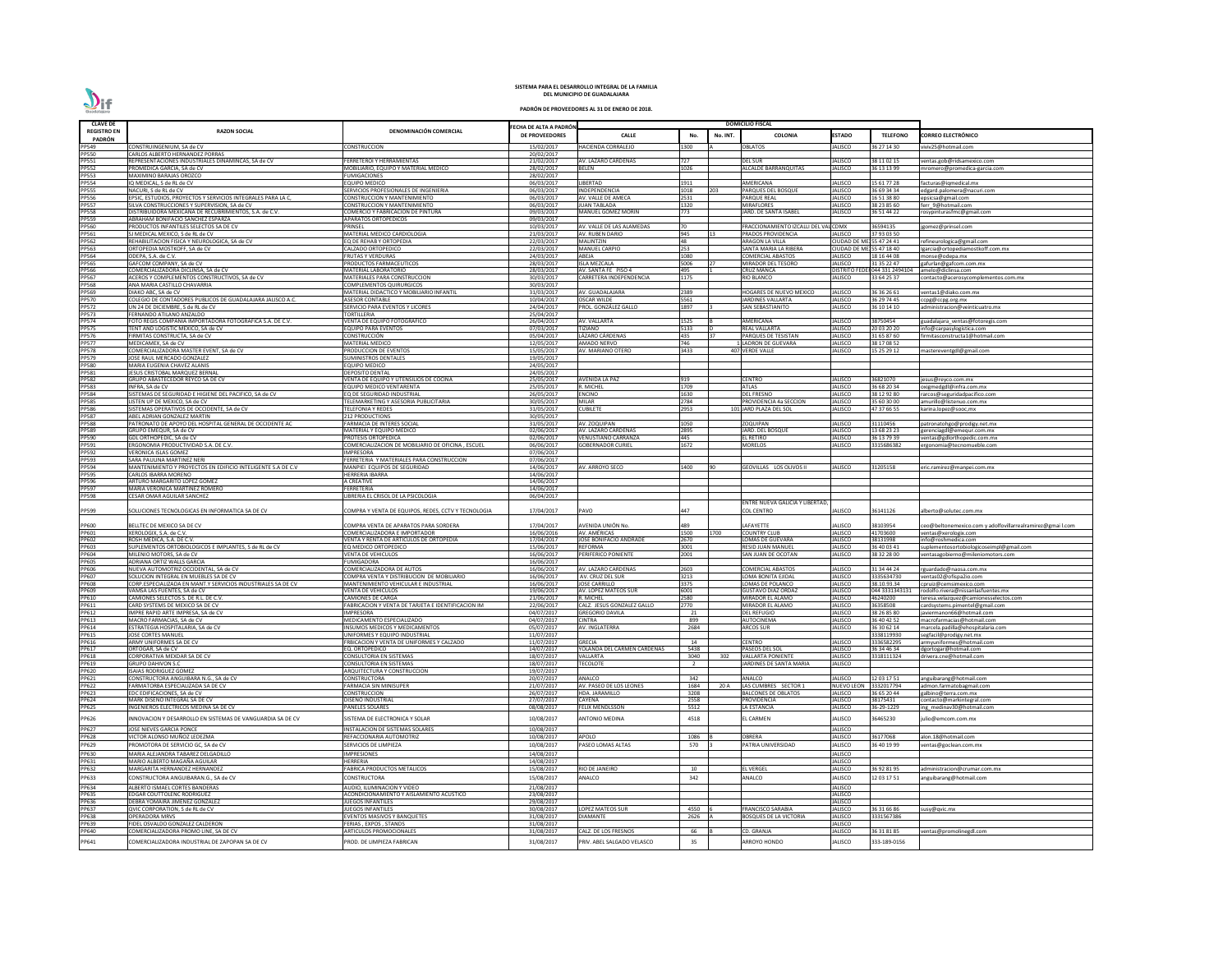| <b>CLAVE DE</b>              |                                                                                                       |                                                                                          |                                         | <b>DOMICILIO FISCAL</b>                                |                        |          |                                                           |                                            |                                |                                                                                   |
|------------------------------|-------------------------------------------------------------------------------------------------------|------------------------------------------------------------------------------------------|-----------------------------------------|--------------------------------------------------------|------------------------|----------|-----------------------------------------------------------|--------------------------------------------|--------------------------------|-----------------------------------------------------------------------------------|
| <b>REGISTRO EN</b>           | <b>RAZON SOCIAL</b>                                                                                   | DENOMINACIÓN COMERCIAL                                                                   | ECHA DE ALTA A PADRÓN<br>DE PROVEEDORES | <b>CALLE</b>                                           | No.                    | No. INT. | <b>COLONIA</b>                                            | <b>ESTADO</b>                              | <b>TELEFONO</b>                | CORREO ELECTRÓNICO                                                                |
| PADRÓN<br>PP549              | CONSTRUINGENIUM, SA de CV                                                                             | CONSTRUCCION                                                                             | 15/02/2017                              | HACIENDA CORRALEJO                                     | L300                   |          | <b>DBLATOS</b>                                            | JALISCO                                    | 6 27 14 30                     | viviv25@hotmail.com                                                               |
| <b>PP550</b>                 | CARLOS ALBERTO HERNANDEZ PORRAS                                                                       |                                                                                          | 20/02/2017                              |                                                        |                        |          |                                                           |                                            |                                |                                                                                   |
| PP551<br><b>PP552</b>        | REPRESENTACIONES INDUSTRIALES DINAMINCAS, SA de CV                                                    | <b>ERRETEROI Y HERRAMIENTAS</b><br>MOBILIARIO. EQUIPO Y MATERIAL MEDICO                  | 21/02/2017                              | AV. LAZARO CARDENAS                                    | 727<br>1026            |          | DEL SUR                                                   | <b>JALISCO</b>                             | 8 11 02 15                     | ventas.gob@ridsamexico.com                                                        |
| <b>PP553</b>                 | PROMEDICA GARCIA, SA de CV<br>MAXIMINO BARAJAS OROZCO                                                 | <b>FUMIGACIONES</b>                                                                      | 28/02/2017<br>28/02/2017                | <b>BELEN</b>                                           |                        |          | <b>ALCALDE BARRANQUITAS</b>                               | JALISCO                                    | 36 13 13 99                    | mromero@promedica-garcia.com                                                      |
| PP554                        | IQ MEDICAL, S de RL de CV                                                                             | <b>EQUIPO MEDICO</b>                                                                     | 06/03/2017                              | <b>LIBERTAD</b>                                        | 1911                   |          | AMERICANA                                                 | <b>JALISCO</b>                             | 15 61 77 28                    | facturas@iqmedical.mx                                                             |
| <b>PP555</b><br>PP556        | NACURI, S de RL de CV<br>EPSIC, ESTUDIOS, PROYECTOS Y SERVICIOS INTEGRALES PARA LA C,                 | SERVICIOS PROFESIONALES DE INGENIERIA<br>CONSTRUCCION Y MANTENIMIENTO                    | 06/03/2017<br>06/03/2017                | INDEPENDENCIA<br>AV. VALLE DE AMECA                    | 1018<br>2531           | 203      | PARQUES DEL BOSQUE<br>PARQUE REAL                         | <b>JALISCO</b><br><b>JALISCO</b>           | 36 69 34 34<br>6 51 38 80      | edgard.palomera@nacuri.com                                                        |
| <b>PP557</b>                 | SILVA CONSTRUCCIONES Y SUPERVISION. SA de CV                                                          | <b>CONSTRUCCION Y MANTENIMIENTO</b>                                                      | 06/03/2017                              | <b>JUAN TABLADA</b>                                    | 1320                   |          | <b>MIRAFLORES</b>                                         | <b>JALISCO</b>                             | 38 23 85 60                    | epsicsa@gmail.com<br>ferr 9@hotmail.com                                           |
| <b>PP558</b>                 | DISTRIBUIDORA MEXICANA DE RECUBRIMIENTOS, S.A. de C.V.                                                | COMERCIO Y FABRICACION DE PINTURA                                                        | 09/03/2017                              | <b>MANUEL GOMEZ MORIN</b>                              | 773                    |          | IARD. DE SANTA ISABEL                                     | JALISCO                                    | 36 51 44 22                    | rosypinturasfmc@gmail.com                                                         |
| <b>PP559</b><br><b>PP560</b> | ABRAHAM BONIFACIO SANCHEZ ESPARZA<br>PRODUCTOS INFANTILES SELECTOS SA DE CV                           | <b>APARATOS ORTOPEDICOS</b><br><b>PRINSEL</b>                                            | 09/03/2017<br>10/03/2017                | AV. VALLE DE LAS ALAMEDAS                              | <b>1</b> 70            |          | FRACCIONAMIENTO IZCALLI DEL VALICDMX                      |                                            | 36594135                       | jgomez@prinsel.com                                                                |
| PP561                        | SJ MEDICAL MEXICO, S de RL de CV                                                                      | MATERIAL MEDICO CARDIOLOGIA                                                              | 21/03/2017                              | <b>AV. RUBEN DARIO</b>                                 | 945                    |          | PRADOS PROVIDENCIA                                        | JALISCO                                    | 37 93 03 50                    |                                                                                   |
| PP562                        | REHABILITACION FISICA Y NEUROLOGICA, SA de CV                                                         | EQ DE REHAB Y ORTOPEDIA                                                                  | 22/03/2017                              | <b>MALINTZIN</b>                                       | 48                     |          | ARAGON LA VILLA                                           | CIUDAD DE MEJ 55 47 24 41                  |                                | refineurologica@gmail.com                                                         |
| PP563<br>PP564               | ORTOPEDIA MOSTKOFF, SA de CV<br>ODEPA, S.A. de C.V.                                                   | CALZADO ORTOPEDICO<br>FRUTAS Y VERDURAS                                                  | 22/03/2017<br>24/03/2017                | <b>MANUEL CARPIO</b><br>ABEJA                          | 253<br>1080            |          | SANTA MARIA LA RIBERA<br>COMERCIAL ABASTOS                | CIUDAD DE ME 55 47 18 40<br><b>JALISCO</b> | 18 16 44 08                    | Igarcia@ortopediamostkoff.com.mx<br>monse@odepa.mx                                |
| PP565                        | GAFCOM COMPANY, SA de CV                                                                              | PRODUCTOS FARMACEUTICOS                                                                  | 28/03/2017                              | <b>ISLA MEZCALA</b>                                    | 5006                   |          | MIRADOR DEL TESORO                                        | <b>JALISCO</b>                             | 31 35 22 47                    | gafurlan@gafcom.com.mx                                                            |
| PP566<br>PP567               | COMERCIALIZADORA DICLINSA, SA de CV<br>ACEROS Y COMPLEMENTOS CONSTRUCTIVOS, SA de CV                  | MATERIAL LABORATORIO<br>MATERIALES PARA CONSTRUCCION                                     | 28/03/2017<br>30/03/2017                | AV. SANTA FE PISO 4<br>CARRETERA INDEPENDENCIA         | 495<br>1175            |          | CRUZ MANCA<br>RIO BLANCO                                  | <b>DISTRITO FI</b><br><b>JALISCO</b>       | 044 331 2494104<br>33 64 25 37 | amelo@diclinsa.com<br>contacto@acerosycomplementos.com.mx                         |
| <b>PP568</b>                 | ANA MARIA CASTILLO CHAVARRIA                                                                          | COMPLEMENTOS QUIRURGICOS                                                                 | 30/03/2017                              |                                                        |                        |          |                                                           |                                            |                                |                                                                                   |
| PP569                        | DIAKO ABC, SA de CV                                                                                   | MATERIAL DIDACTICO Y MOBILIARIO INFANTIL                                                 | 31/03/2017                              | AV. GUADALAJARA                                        | 2389                   |          | HOGARES DE NUEVO MEXICO                                   | <b>JALISCO</b>                             | 36 36 26 61                    | ventas1@diako.com.mx                                                              |
| <b>PP570</b><br><b>PP572</b> | COLEGIO DE CONTADORES PUBLICOS DE GUADALAJARA JALISCO A.C.<br>UN 24 DE DICIEMBRE, S de RL de CV       | <b>ASESOR CONTABLE</b><br>SERVICIO PARA EVENTOS Y LICORES                                | 10/04/2017<br>24/04/2017                | <b>OSCAR WILDE</b><br>PROL. GONZÁLEZ GALLO             | 5561<br>1897           |          | <b>ARDINES VALLARTA</b><br>SAN SEBASTIANITO               | <b>JALISCO</b><br><b>JALISCO</b>           | 16 29 74 45<br>36 10 14 10     | ccpg@ccpg.org.mx<br>administracion@veinticuatro.mx                                |
| <b>PP573</b>                 | FERNANDO ATILANO ANZALDO                                                                              | <b>TORTILLERIA</b>                                                                       | 25/04/2017                              |                                                        |                        |          |                                                           |                                            |                                |                                                                                   |
| <b>PP574</b><br><b>PP575</b> | FOTO REGIS COMPAÑIA IMPORTADORA FOTOGRAFICA S.A. DE C.V                                               | VENTA DE EQUIPO FOTOGRAFICO                                                              | 26/04/2017                              | AV. VALLARTA                                           | 1525                   |          | AMERICANA                                                 | <b>JALISCO</b>                             | 38750454                       | guadalajara_ventas@fotoregis.com                                                  |
| <b>PP576</b>                 | TENT AND LOGISTIC MEXICO, SA de CV<br>FIRMITAS CONSTRUCTA, SA de CV                                   | <b>EQUIPO PARA EVENTOS</b><br><b>CONSTRUCCIÓN</b>                                        | 07/03/2017<br>05/04/2017                | <b><i>FIZIANO</i></b><br>LÁZARO CÁRDENAS               | 5133<br>435            |          | REAL VALLARTA<br>PARQUES DE TESISTAN                      | <b>JALISCO</b><br><b>JALISCO</b>           | 20 03 20 20<br>31 65 87 60     | info@carpasylogistica.com<br>firmitasconstructa1@hotmail.com                      |
| <b>PP577</b>                 | MEDICAMEX, SA de CV                                                                                   | <b>MATERIAL MEDICO</b>                                                                   | 12/05/2017                              | <b>AMADO NERVO</b>                                     | 746                    |          | LADRON DE GUEVARA                                         | <b>JALISCO</b>                             | 38 17 08 52                    |                                                                                   |
| <b>PP578</b><br>PP579        | COMERCIALIZADORA MASTER EVENT, SA de CV                                                               | PRODUCCION DE EVENTOS                                                                    | 15/05/2017                              | AV. MARIANO OTERO                                      | 3433                   |          | 407 VERDE VALLE                                           | <b>JALISCO</b>                             | 15 25 29 12                    | mastereventgdl@gmail.com                                                          |
| <b>PP580</b>                 | JOSE RAUL MERCADO GONZALEZ<br>MARIA EUGENIA CHAVEZ ALANIS                                             | SUMINISTROS DENTALES<br><b>EQUIPO MEDICO</b>                                             | 19/05/2017<br>24/05/2017                |                                                        |                        |          |                                                           |                                            |                                |                                                                                   |
| PP581                        | JESUS CRISTOBAL MARQUEZ BERNAL                                                                        | <b>DEPOSITO DENTAL</b>                                                                   | 24/05/2017                              |                                                        |                        |          |                                                           |                                            |                                |                                                                                   |
| <b>PP582</b><br>PP583        | GRUPO ABASTECEDOR REYCO SA DE CV                                                                      | VENTA DE EQUIPO Y UTENSILIOS DE COCINA                                                   | 25/05/2017                              | <b>AVENIDA LA PAZ</b>                                  | 919                    |          | CENTRO                                                    | <b>JALISCO</b>                             | 16821070                       | jesus@reyco.com.mx                                                                |
| PP584                        | INFRA, SA de CV<br>SISTEMAS DE SEGURIDAD E HIGIENE DEL PACIFICO, SA de CV                             | EQUIPO MEDICO VENTARENTA<br>EQ DE SEGURIDAD INDUSTRIAL                                   | 25/05/2017<br>26/05/2017                | R. MICHEL<br><b>ENCINO</b>                             | 1709<br>1630           |          | ATLAS<br>DEL FRESNO                                       | <b>JALISCO</b><br>JALISCO                  | 36 68 20 34<br>38 12 92 80     | oxigmedgdl@infra.com.mx<br>rarcos@seguridadpacifico.com                           |
| <b>PP585</b>                 | LISTEN UP DE MEXICO, SA de CV                                                                         | TELEMARKETING Y ASESORIA PUBLICITARIA                                                    | 30/05/2017                              | <b>MILAR</b>                                           | 2784                   |          | PROVIDENCIA 4a SECCION                                    | <b>JALISCO</b>                             | 35 60 30 00                    | amurillo@listenuo.com.mx                                                          |
| PP586<br><b>PP587</b>        | SISTEMAS OPERATIVOS DE OCCIDENTE, SA de CV<br>ABEL ADRIAN GONZALEZ MARTIN                             | <b>TELEFONIA Y REDES</b>                                                                 | 31/05/2017<br>30/05/2017                | <b>CUBILETE</b>                                        | 2953                   |          | 101 JARD PLAZA DEL SOL                                    | <b>JALISCO</b>                             | 47 37 66 55                    | karina.lopez@sooc,mx                                                              |
| <b>PP588</b>                 | PATRONATO DE APOYO DEL HOSPITAL GENERAL DE OCCIDENTE AC                                               | <b>212 PRODUCTIONS</b><br>FARMACIA DE INTERES SOCIAL                                     | 31/05/2017                              | AV. ZOQUIPAN                                           | 1050                   |          | ZOQUIPAN                                                  | <b>JALISCO</b>                             | 31110456                       | oatronatohgo@prodigy.net.mx                                                       |
| PP589                        | GRUPO EMEQUR, SA de CV                                                                                | MATERIAL Y EQUIPO MEDICO                                                                 | 02/06/2017                              | AV. LAZARO CARDENAS                                    | 2895                   |          | IARD. DEL BOSQUE                                          | <b>JALISCO</b>                             | 13 68 23 23                    | gerenciagdl@emequr.com.mx                                                         |
| PP590<br>PP591               | GDL ORTHOPEDIC, SA de CV<br>ERGONOMIA PRODUCTIVIDAD S.A. DE C.V.                                      | PROTESIS ORTOPEDICA<br>COMERCIALIZACION DE MOBILIARIO DE OFICINA, ESCUEL                 | 02/06/2017<br>06/06/2017                | <b>VENUSTIANO CARRANZA</b><br><b>GOBERNADOR CURIEL</b> | 445<br>1672            |          | EL RETIRO<br><b>MORELOS</b>                               | <b>JALISCO</b><br><b>JALISCO</b>           | 16 13 79 39<br>315686382       | entas@gdlorthopedic.com.mx<br>ergonomia@tecnomueble.com                           |
| PP592                        | VERONICA ISLAS GOMEZ                                                                                  | <b>IMPRESORA</b>                                                                         | 07/06/2017                              |                                                        |                        |          |                                                           |                                            |                                |                                                                                   |
| PP593                        | SARA PAULINA MARTINEZ NERI                                                                            | FERRETERIA Y MATERIALES PARA CONSTRUCCION                                                | 07/06/2017                              |                                                        |                        |          |                                                           |                                            |                                |                                                                                   |
| PP594<br><b>PP595</b>        | MANTENIMIENTO Y PROYECTOS EN EDIFICIO INTELIGENTE S.A DE C.V<br>CARLOS IBARRA MORENO                  | MANPIEI EQUIPOS DE SEGURIDAD<br><b>HERRERIA IBARRA</b>                                   | 14/06/2017<br>14/06/2017                | AV. ARROYO SECO                                        | 1400                   |          | GEOVILLAS LOS OLIVOS II                                   | JALISCO                                    | 1205158                        | eric.ramirez@manpei.com.mx                                                        |
| PP596                        | ARTURO MARGARITO LOPEZ GOMEZ                                                                          | A CREATIVE                                                                               | 14/06/2017                              |                                                        |                        |          |                                                           |                                            |                                |                                                                                   |
| PP597                        | MARIA VERONICA MARTINEZ ROMERO                                                                        | FERRETERIA                                                                               | 14/06/2017                              |                                                        |                        |          |                                                           |                                            |                                |                                                                                   |
| PP598                        | <b>CESAR OMAR AGUILAR SANCHEZ</b>                                                                     | LIBRERIA EL CRISOL DE LA PSICOLOGIA                                                      | 06/04/2017                              |                                                        |                        |          | INTRE NUEVA GALICIA Y LIBERTAD,                           |                                            |                                |                                                                                   |
| PP599                        | SOLUCIONES TECNOLOGICAS EN INFORMATICA SA DE CV                                                       | COMPRA Y VENTA DE EQUIPOS. REDES. CCTV Y TECNOLOGIA                                      | 17/04/2017                              | PAVO                                                   | 447                    |          | COL CENTRO                                                | <b>JALISCO</b>                             | 36141126                       | alberto@solutec.com.mx                                                            |
|                              |                                                                                                       |                                                                                          | 17/04/2017                              | AVENIDA UNIÓN No.                                      | 489                    |          | <b>AFAYETTE</b>                                           | <b>JALISCO</b>                             | 38103954                       |                                                                                   |
| PP600<br>PP601               | BELLTEC DE MEXICO SA DE CV<br>XEROLOGIX, S.A. de C.V.                                                 | COMPRA VENTA DE APARATOS PARA SORDERA<br>COMERCIALIZADORA E IMPORTADOR                   | 16/06/2016                              | AV. AMÉRICAS                                           | 1500                   | 1700     | COUNTRY CLUB                                              | <b>JALISCO</b>                             | 41703600                       | eo@beltonemexico.com y adolfovillarrealramirez@gmai l.com<br>ventas@xerologix.com |
| PP602                        | ROSH MEDICA, S.A. DE C.V.                                                                             | VENTA Y RENTA DE ARTICULOS DE ORTOPEDIA                                                  | 17/04/2017                              | JOSÉ BONIFACIO ANDRADE                                 | 2670                   |          | LOMAS DE GUEVARA                                          | <b>JALISCO</b>                             | 38131998                       | info@roshmedica.com                                                               |
| PP603<br>PP604               | SUPLEMENTOS ORTOBIOLOGICOS E IMPLANTES, S de RL de CV<br>MILENIO MOTORS, SA de CV                     | EQ MEDICO ORTOPEDICO<br><b>VENTA DE VEHICULOS</b>                                        | 15/06/2017<br>16/06/2017                | <b>REFORMA</b><br>PERIFERICO PONIENTE                  | 3001<br>2001           |          | RESID JUAN MANUEI<br>SAN JUAN DE OCOTAN                   | <b>JALISCO</b><br><b>JALISCO</b>           | 36 40 03 41<br>8 32 28 00      | suplementosortobiologicoseimpl@gmail.com<br>ventasagobierno@mileniomotors.com     |
| PP605                        | ADRIANA ORTIZ WALLS GARCIA                                                                            | <b>FUMIGADORA</b>                                                                        | 16/06/2017                              |                                                        |                        |          |                                                           |                                            |                                |                                                                                   |
| PP606                        | NUEVA AUTOMOTRIZ OCCIDENTAL. SA de CV                                                                 | COMERCIALIZADORA DE AUTOS                                                                | 16/06/2017                              | AV. LAZARO CARDENAS                                    | 2603                   |          | COMERCIAL ABASTOS                                         | <b>JALISCO</b>                             | 1 34 44 24                     | rguardado@naosa.com.mx                                                            |
| PP607<br>PP608               | SOLUCION INTEGRAL EN MUEBLES SA DE CV<br>CORP.ESPECIALIZADA EN MANT.Y SERVICIOS INDUSTRIALES SA DE CV | COMPRA VENTA Y DISTRIBUCION DE MOBILIARIO<br><b>MANTENIMIENTO VEHICULAR E INDUSTRIAL</b> | 16/06/2017<br>16/06/2017                | AV. CRUZ DEL SUF<br><b>JOSE CARRILLO</b>               | 3213<br>3375           |          | LOMA BONITA EJIDAL<br>OMAS DE POLANCO                     | <b>JALISCO</b><br><b>JALISCO</b>           | 3335634730<br>38.10.93.34      | ventas02@ofispa2io.com<br>cpruiz@cemsimexico.com                                  |
| PP609                        | VAMSA LAS FUENTES, SA de CV                                                                           | <b>VENTA DE VEHICULOS</b>                                                                | 19/06/2017                              | AV. LOPEZ MATEOS SUR                                   | 6001                   |          | <b>GUSTAVO DIAZ ORDAZ</b>                                 | <b>JALISCO</b>                             | 044 333134313                  | rodolfo.rivera@nissanlasfuentes.mx                                                |
| PP610                        | CAMIONES SELECTOS S. DE R.L. DE C.V.                                                                  | <b>CAMIONES DE CARGA</b>                                                                 | 21/06/2017                              | R. MICHEL                                              | 2580                   |          | <b>MIRADOR EL ALAMO</b>                                   | <b>JALISCO</b>                             | 46240200                       | teresa.velazquez@camionesselectos.com                                             |
| PP611<br>PP612               | CARD SYSTEMS DE MEXICO SA DE CV<br>IMPRE RAPID ARTE IMPRESA, SA de CV                                 | FABRICACION Y VENTA DE TARJETA E IDENTIFICACION IM<br><b>IMPRESORA</b>                   | 22/06/2017<br>04/07/2017                | CALZ. JESUS GONZALEZ GALLO<br><b>GREGORIO DAVILA</b>   | 2770<br>21             |          | <b>MIRADOR EL ALAMO</b><br>DEL REFUGIO                    | <b>JALISCO</b><br><b>JALISCO</b>           | 6358508<br>8 26 85 80          | cardsystems.pimentel@gmail.com<br>javiermanon66@hotmail.com                       |
| PP613                        | MACRO FARMACIAS, SA de CV                                                                             | MEDICAMENTO ESPECIALIZADO                                                                | 04/07/2017                              | <b>CINTRA</b>                                          | 899                    |          | AUTOCINEMA                                                | <b>JALISCO</b>                             | 36 40 42 52                    | macrofarmacias@hotmail.com                                                        |
| PP614<br>PP615               | ESTRATEGIA HOSPITALARIA, SA de CV                                                                     | INSUMOS MEDICOS Y MEDICAMENTOS                                                           | 05/07/2017<br>11/07/2017                | AV. INGLATERRA                                         | 2684                   |          | <b>ARCOS SUR</b>                                          | <b>JALISCO</b>                             | 36 30 62 14<br>3338119930      | marcela.padilla@ehospitalaria.com                                                 |
| PP616                        | <b>JOSE CORTES MANUEL</b><br>ARMY UNIFORMES SA DE CV                                                  | UNIFORMES Y EQUIPO INDUSTRIAL<br>FRBICACION Y VENTA DE UNIFORMES Y CALZADO               | 11/07/2017                              | <b>GRECIA</b>                                          | 14                     |          | CENTRO                                                    | <b>JALISCO</b>                             | 3336582295                     | segfacil@prodigy.net.mx<br>armyuniformes@hotmail.com                              |
| PP617                        | ORTOGAR, SA de CV                                                                                     | EQ. ORTOPEDICO                                                                           | 14/07/2017                              | YOLANDA DEL CARMEN CARDENAS                            | 5438                   |          | <b>PASEOS DEL SOL</b>                                     | <b>JALISCO</b>                             | 6 34 46 34                     | dgortogar@hotmail.com                                                             |
| <b>PP618</b><br>PP619        | CORPORATIVA MEXDAR SA DE CV<br><b>GRUPO DAHIVON S.C</b>                                               | <b>CONSULTORIA EN SISTEMAS</b><br><b>CONSULTORIA EN SISTEMAS</b>                         | 18/07/2017<br>18/07/2017                | VALLARTA<br><b><i>TECOLOTE</i></b>                     | 3040<br>$\overline{2}$ | 302      | <b>VALLARTA PONIENTE</b><br><b>ARDINES DE SANTA MARIA</b> | <b>JALISCO</b><br><b>JALISCO</b>           | 318111324                      | drivera.cne@hotmail.com                                                           |
| PP620                        | <b>ISAIAS RODRIGUEZ GOMEZ</b>                                                                         | ARQUITECTURA Y CONSTRUCCION                                                              | 19/07/2017                              |                                                        |                        |          |                                                           |                                            |                                |                                                                                   |
| PP621                        | CONSTRUCTORA ANGUIBARA N.G., SA de CV                                                                 | <b>CONSTRUCTORA</b>                                                                      | 20/07/2017                              | ANALCO                                                 | 342                    |          | ANALCO                                                    | <b>JALISCO</b>                             | 12 03 17 51                    | anguibarang@hotmail.com                                                           |
| PP622<br>PP623               | FARMATORBA ESPECIALIZADA SA DE CV<br>EDC EDIFICACIONES, SA de CV                                      | <b>FARMACIA SIN MINISUPER</b><br>CONSTRUCCION                                            | 21/07/2017<br>26/07/2017                | AV. PASEO DE LOS LEONES<br><b>HDA. JARAMILLO</b>       | 1684<br>3208           | 20 A     | LAS CUMBRES SECTOR 1<br>BALCONES DE OBLATOS               | <b>NUEVO LEON</b><br><b>JALISCO</b>        | 332017794<br>36 65 20 44       | admon.farmatobagmail.com<br>galbino@terra.com.mx                                  |
| <b>PP624</b>                 | MARK DISEÑO INTEGRAL SA DE CV                                                                         | DISEÑO INDUSTRIAL                                                                        | 27/07/2017                              | <b>CAYENA</b>                                          | 2558                   |          | PROVIDENCIA                                               | <b>JALISCO</b>                             | 8175431                        | contacto@markintegral.com                                                         |
| <b>PP625</b>                 | INGENIEROS ELECTRICOS MEDINA SA DE CV                                                                 | <b>PANELES SOLARES</b>                                                                   | 08/08/2017                              | <b>FELIX MENDLSSON</b>                                 | 5512                   |          | <b>LA ESTANCIA</b>                                        | <b>JALISCO</b>                             | 6-29-1229                      | ing medinav30@hotmail.com                                                         |
| PP626<br>PP627               | INNOVACION Y DESARROLLO EN SISTEMAS DE VANGUARDIA SA DE CV<br>JOSE NIEVES GARCIA PONCE                | SISTEMA DE ELECTRONICA Y SOLAR<br>INSTALACION DE SISTEMAS SOLARES                        | 10/08/2017<br>10/08/2017                | <b>ANTONIO MEDINA</b>                                  | 4518                   |          | EL CARMEN                                                 | JALISCO<br><b>JALISCO</b>                  | 6465230                        | julio@emcom.com.mx                                                                |
| <b>PP628</b>                 | VICTOR ALONSO MUÑOZ LEDEZMA                                                                           | REFACCIONARIA AUTOMOTRIZ                                                                 | 10/08/2017                              | APOLO                                                  | 1086                   |          | OBRERA                                                    | <b>JALISCO</b>                             | 36177068                       | alon.18@hotmail.com                                                               |
| PP629                        | PROMOTORA DE SERVICIO GC, SA de CV                                                                    | SERVICIOS DE LIMPIEZA                                                                    | 10/08/2017                              | PASEO LOMAS ALTAS                                      | 570                    |          | PATRIA UNIVERSIDAD                                        | <b>JALISCO</b>                             | 36 40 19 99                    | ventas@goclean.com.mx                                                             |
| PP630                        | MARIA ALEJANDRA TABAREZ DELGADILLO                                                                    | <b>IMPRESIONES</b>                                                                       | 14/08/2017                              |                                                        |                        |          |                                                           | <b>JALISCO</b>                             |                                |                                                                                   |
| PP631                        | MARIO ALBERTO MAGAÑA AGUILAR                                                                          | HERRERIA                                                                                 | 14/08/2017                              |                                                        |                        |          |                                                           | <b>JALISCO</b>                             |                                |                                                                                   |
| PP632                        | MARGARITA HERNANDEZ HERNANDEZ                                                                         | FABRICA PRODUCTOS METALICOS                                                              | 15/08/2017                              | RIO DE JANEIRO                                         | 10                     |          | EL VERGEI                                                 | <b>JALISCO</b><br><b>JALISCO</b>           | 36 92 81 95                    | administracion@crumar.com.mx                                                      |
| PP633<br>PP634               | CONSTRUCTORA ANGUIBARAN.G., SA de CV<br>ALBERTO ISMAEL CORTES BANDERAS                                | CONSTRUCTORA<br>AUDIO. ILUMINACION Y VIDEO                                               | 15/08/2017<br>21/08/2017                | <b>ANALCO</b>                                          | 342                    |          | ANALCO                                                    | <b>JALISCO</b>                             | 2 03 17 51                     | anguibarang@hotmail.com                                                           |
| <b>PP635</b>                 | <b>EDGAR COUTTOLENC RODRIGUEZ</b>                                                                     | ACONDICIONAMIENTO Y AISLAMIENTO ACUSTICO                                                 | 23/08/2017                              |                                                        |                        |          |                                                           | <b>JALISCO</b>                             |                                |                                                                                   |
| PP636                        | DEBRA YOMAIRA JIMENEZ GONZALEZ                                                                        | <b>JUEGOS INFANTILES</b>                                                                 | 29/08/2017                              |                                                        |                        |          |                                                           | <b>JALISCO</b>                             |                                |                                                                                   |
| <b>PP637</b><br>PP638        | QVIC CORPORATION, S de RL de CV<br><b>OPERADORA MRVS</b>                                              | <b>JUEGOS INFANTILES</b><br>EVENTOS MASIVOS Y BANQUETES                                  | 30/08/2017<br>31/08/2017                | <b>LOPEZ MATEOS SUR</b><br><b>DIAMANTE</b>             | 4550<br>2626           |          | <b>FRANCISCO SARABIA</b><br><b>BOSQUES DE LA VICTORIA</b> | <b>JALISCO</b><br><b>JALISCO</b>           | 36 31 66 86<br>3331567386      | susy@qvic.mx                                                                      |
| PP639                        | FIDEL OSVALDO GONZALEZ CALDERON                                                                       | FERIAS , EXPOS , STANDS                                                                  | 31/08/2017                              |                                                        |                        |          |                                                           | <b>JALISCO</b>                             |                                |                                                                                   |
| PP640                        | COMERCIALIZADORA PROMO LINE. SA DE CV                                                                 | <b>ARTICULOS PROMOCIONALES</b>                                                           | 31/08/2017                              | CALZ. DE LOS FRESNOS                                   | 66                     |          | CD. GRANJA                                                | <b>JALISCO</b>                             | 86 31 81 85                    | entas@promolinegdl.com                                                            |
| PP641                        | COMERCIALIZADORA INDUSTRIAL DE ZAPOPAN SA DE CV                                                       | PROD. DE LIMPIEZA FABRICAN                                                               | 31/08/2017                              | PRIV. ABEL SALGADO VELASCO                             | 35                     |          | <b>ARROYO HONDO</b>                                       | JALISCO                                    | 333-189-0156                   |                                                                                   |